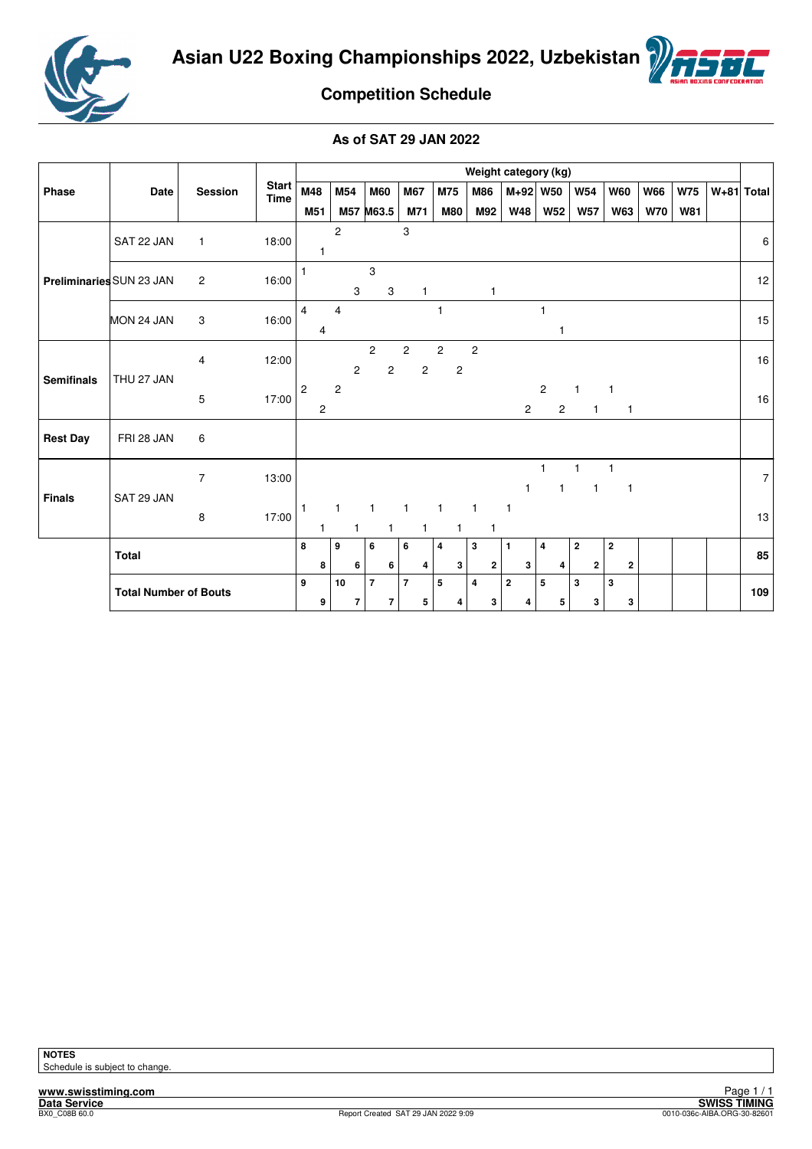



# **Competition Schedule**

|                          |                              |                | Weight category (kg)        |                |                                           |                |                                            |                |                |                                  |                         |                |                              |                         |                         |              |                   |                              |            |            |              |
|--------------------------|------------------------------|----------------|-----------------------------|----------------|-------------------------------------------|----------------|--------------------------------------------|----------------|----------------|----------------------------------|-------------------------|----------------|------------------------------|-------------------------|-------------------------|--------------|-------------------|------------------------------|------------|------------|--------------|
| Phase                    | Date                         | Session        | <b>Start</b><br><b>Time</b> | M48            | M54                                       |                | <b>M60</b>                                 | M67            |                | M75                              |                         | <b>M86</b>     | M+92 W50                     |                         |                         | <b>W54</b>   |                   | <b>W60</b>                   | <b>W66</b> | <b>W75</b> | $W+81$ Total |
|                          |                              |                |                             | M51            |                                           |                | M57 M63.5                                  | M71            |                | <b>M80</b>                       |                         | M92            | <b>W48</b>                   |                         | <b>W52</b>              | <b>W57</b>   |                   | <b>W63</b>                   | <b>W70</b> | <b>W81</b> |              |
|                          | SAT 22 JAN                   | $\mathbf{1}$   | 18:00                       |                | $\overline{c}$                            |                |                                            | 3              |                |                                  |                         |                |                              |                         |                         |              |                   |                              |            |            | 6            |
| Preliminaries SUN 23 JAN |                              | $\overline{c}$ | 16:00                       |                |                                           | 3              | 3<br>3                                     |                | $\mathbf{1}$   |                                  |                         | 1              |                              |                         |                         |              |                   |                              |            |            | 12           |
|                          | MON 24 JAN                   | 3              | 16:00                       | 4<br>4         | $\overline{4}$                            |                |                                            |                |                | 1                                |                         |                |                              | 1                       | $\mathbf{1}$            |              |                   |                              |            |            | 15           |
| <b>Semifinals</b>        | THU 27 JAN                   | $\overline{4}$ | 12:00                       |                |                                           | $\overline{c}$ | $\overline{c}$<br>2                        | $\overline{2}$ | $\overline{c}$ | $\overline{c}$<br>$\overline{c}$ | $\overline{2}$          |                |                              |                         |                         |              |                   |                              |            |            | 16           |
|                          |                              | 5              | 17:00                       | $\overline{c}$ | $\overline{c}$<br>$\overline{\mathbf{c}}$ |                |                                            |                |                |                                  |                         |                | $\overline{2}$               | $\overline{2}$          | $\overline{\mathbf{c}}$ | $\mathbf{1}$ | $\mathbf{1}$<br>1 | 1                            |            |            | 16           |
| <b>Rest Day</b>          | FRI 28 JAN                   | 6              |                             |                |                                           |                |                                            |                |                |                                  |                         |                |                              |                         |                         |              |                   |                              |            |            |              |
| <b>Finals</b>            | SAT 29 JAN                   | $\overline{7}$ | 13:00                       |                |                                           |                |                                            |                |                |                                  |                         |                | $\mathbf{1}$                 | 1                       | 1                       |              | $\mathbf{1}$      | 1<br>$\mathbf{1}$            |            |            | 7            |
|                          |                              | 8              | 17:00                       | 1              |                                           |                |                                            |                | 1              | 1                                | $\mathbf{1}$            | $\mathbf{1}$   | $\mathbf{1}$                 |                         |                         |              |                   |                              |            |            | 13           |
|                          | <b>Total</b>                 |                |                             | 8              | $\boldsymbol{9}$<br>8                     | 6              | 6<br>6                                     | 6              | 4              | 4<br>3                           | 3                       | $\overline{2}$ | $\mathbf{1}$<br>3            | $\overline{\mathbf{4}}$ | 4                       | $\mathbf{2}$ | $\mathbf{2}$      | $\mathbf{2}$<br>$\mathbf{2}$ |            |            | 85           |
|                          | <b>Total Number of Bouts</b> |                |                             | 9              | 10<br>9                                   | $\overline{7}$ | $\overline{\phantom{a}}$<br>$\overline{7}$ | $\overline{7}$ | 5              | 5<br>4                           | $\overline{\mathbf{4}}$ | 3              | $\overline{\mathbf{2}}$<br>4 | 5                       | 5                       | $\mathbf 3$  | $\mathbf{3}$      | 3<br>3                       |            |            | 109          |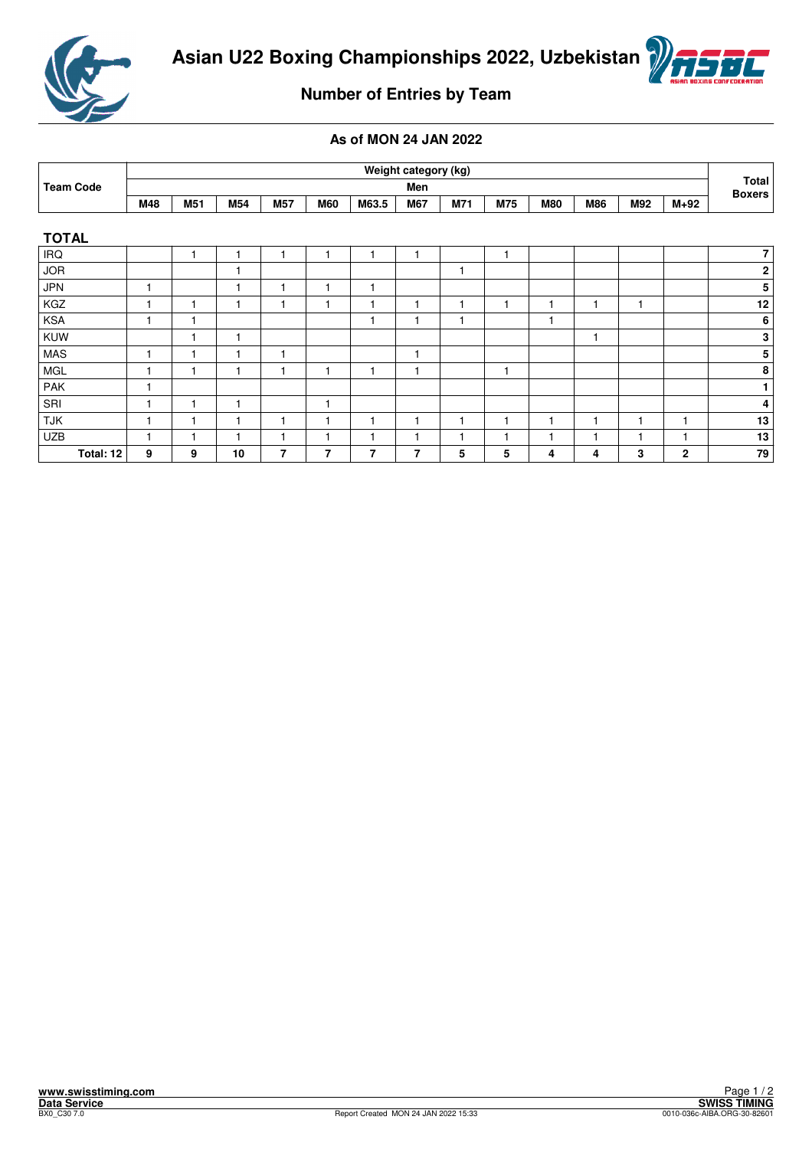



# **Number of Entries by Team**

|                  |     |     |     |     |            |       | Weight category (kg) |     |                          |              |                |     |              |                        |
|------------------|-----|-----|-----|-----|------------|-------|----------------------|-----|--------------------------|--------------|----------------|-----|--------------|------------------------|
| <b>Team Code</b> |     |     |     |     |            |       | Men                  |     |                          |              |                |     |              | Total<br><b>Boxers</b> |
|                  | M48 | M51 | M54 | M57 | <b>M60</b> | M63.5 | <b>M67</b>           | M71 | M75                      | <b>M80</b>   | <b>M86</b>     | M92 | $M+92$       |                        |
|                  |     |     |     |     |            |       |                      |     |                          |              |                |     |              |                        |
| <b>TOTAL</b>     |     |     |     |     |            |       |                      |     |                          |              |                |     |              |                        |
| <b>IRQ</b>       |     |     |     |     |            |       |                      |     | 1                        |              |                |     |              | 7                      |
| <b>JOR</b>       |     |     |     |     |            |       |                      | 1   |                          |              |                |     |              | $\boldsymbol{2}$       |
| <b>JPN</b>       | н   |     |     |     |            | ۹     |                      |     |                          |              |                |     |              | 5                      |
| KGZ              | ۰   |     |     |     |            |       |                      | 1   | 1                        | 1            | $\mathbf{1}$   |     |              | 12                     |
| <b>KSA</b>       |     |     |     |     |            |       |                      | ۴   |                          | 1            |                |     |              | 6                      |
| KUW              |     |     |     |     |            |       |                      |     |                          |              | $\mathbf{1}$   |     |              | 3                      |
| <b>MAS</b>       |     |     |     |     |            |       |                      |     |                          |              |                |     |              | 5                      |
| <b>MGL</b>       |     |     |     |     |            |       |                      |     | 1                        |              |                |     |              | 8                      |
| PAK              |     |     |     |     |            |       |                      |     |                          |              |                |     |              | $\mathbf{1}$           |
| SRI              |     |     |     |     |            |       |                      |     |                          |              |                |     |              | 4                      |
| <b>TJK</b>       |     |     |     |     |            |       |                      | 1   | 1                        | 1            | 1              |     |              | 13                     |
| <b>UZB</b>       |     |     |     |     |            |       |                      | ٠   | $\overline{\phantom{a}}$ | $\mathbf{1}$ | $\overline{1}$ |     |              | 13                     |
| Total: 12        | 9   | 9   | 10  | 7   | 7          | 7     | 7                    | 5   | 5                        | 4            | 4              | 3   | $\mathbf{2}$ | 79                     |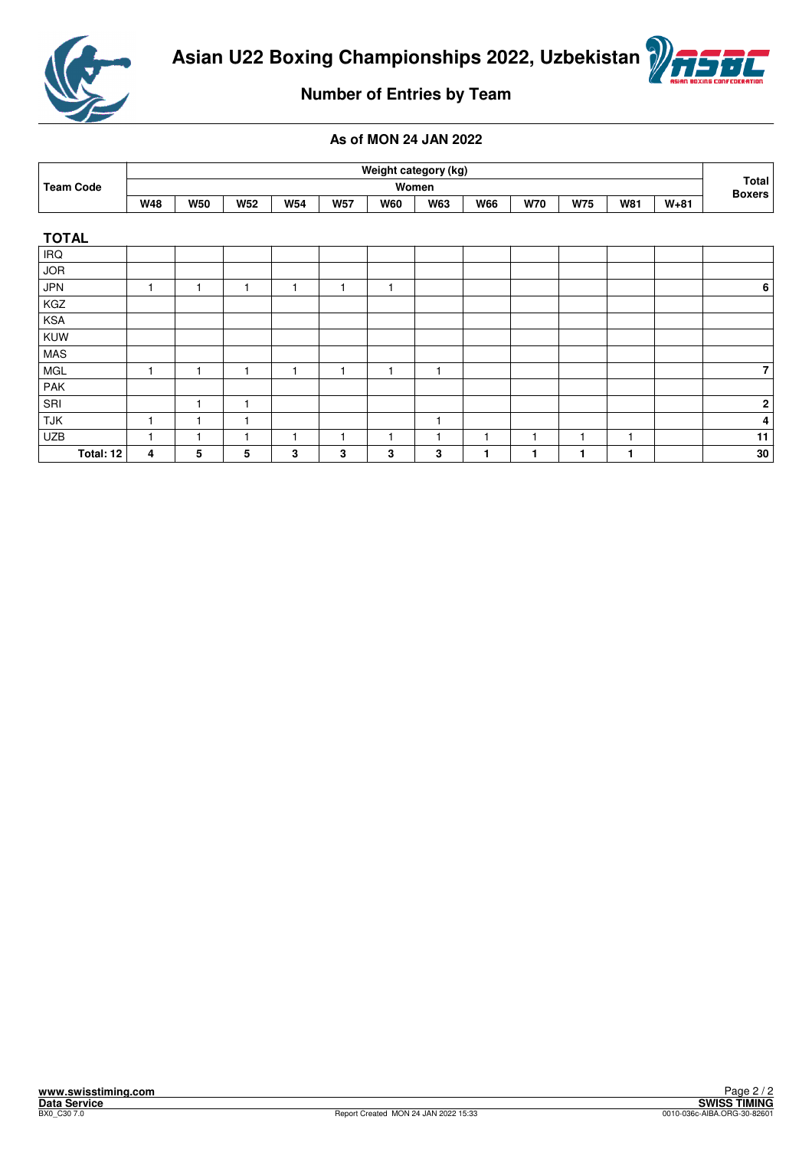



# **Number of Entries by Team**

|                  |            |            |            |            |            | Weight category (kg) |            |            |            |            |            |        |                        |
|------------------|------------|------------|------------|------------|------------|----------------------|------------|------------|------------|------------|------------|--------|------------------------|
| <b>Team Code</b> |            |            |            |            |            |                      | Women      |            |            |            |            |        | Total<br><b>Boxers</b> |
|                  | <b>W48</b> | <b>W50</b> | <b>W52</b> | <b>W54</b> | <b>W57</b> | <b>W60</b>           | <b>W63</b> | <b>W66</b> | <b>W70</b> | <b>W75</b> | <b>W81</b> | $W+81$ |                        |
|                  |            |            |            |            |            |                      |            |            |            |            |            |        |                        |
| <b>TOTAL</b>     |            |            |            |            |            |                      |            |            |            |            |            |        |                        |
| <b>IRQ</b>       |            |            |            |            |            |                      |            |            |            |            |            |        |                        |
| <b>JOR</b>       |            |            |            |            |            |                      |            |            |            |            |            |        |                        |
| <b>JPN</b>       |            |            | 1          | 1          | 1          | 1                    |            |            |            |            |            |        | $\boldsymbol{6}$       |
| KGZ              |            |            |            |            |            |                      |            |            |            |            |            |        |                        |
| KSA              |            |            |            |            |            |                      |            |            |            |            |            |        |                        |
| KUW              |            |            |            |            |            |                      |            |            |            |            |            |        |                        |
| <b>MAS</b>       |            |            |            |            |            |                      |            |            |            |            |            |        |                        |
| <b>MGL</b>       |            |            | 1          | 1          | 1          |                      | 1          |            |            |            |            |        | $\overline{7}$         |
| PAK              |            |            |            |            |            |                      |            |            |            |            |            |        |                        |
| SRI              |            |            | ٠          |            |            |                      |            |            |            |            |            |        | $\bf 2$                |
| <b>TJK</b>       |            |            |            |            |            |                      | 1          |            |            |            |            |        | 4                      |
| <b>UZB</b>       |            |            |            | 1          |            |                      | 1          | 1          |            |            | 1          |        | 11                     |
| Total: 12        | 4          | 5          | 5          | 3          | 3          | 3                    | 3          | 1          |            |            |            |        | 30                     |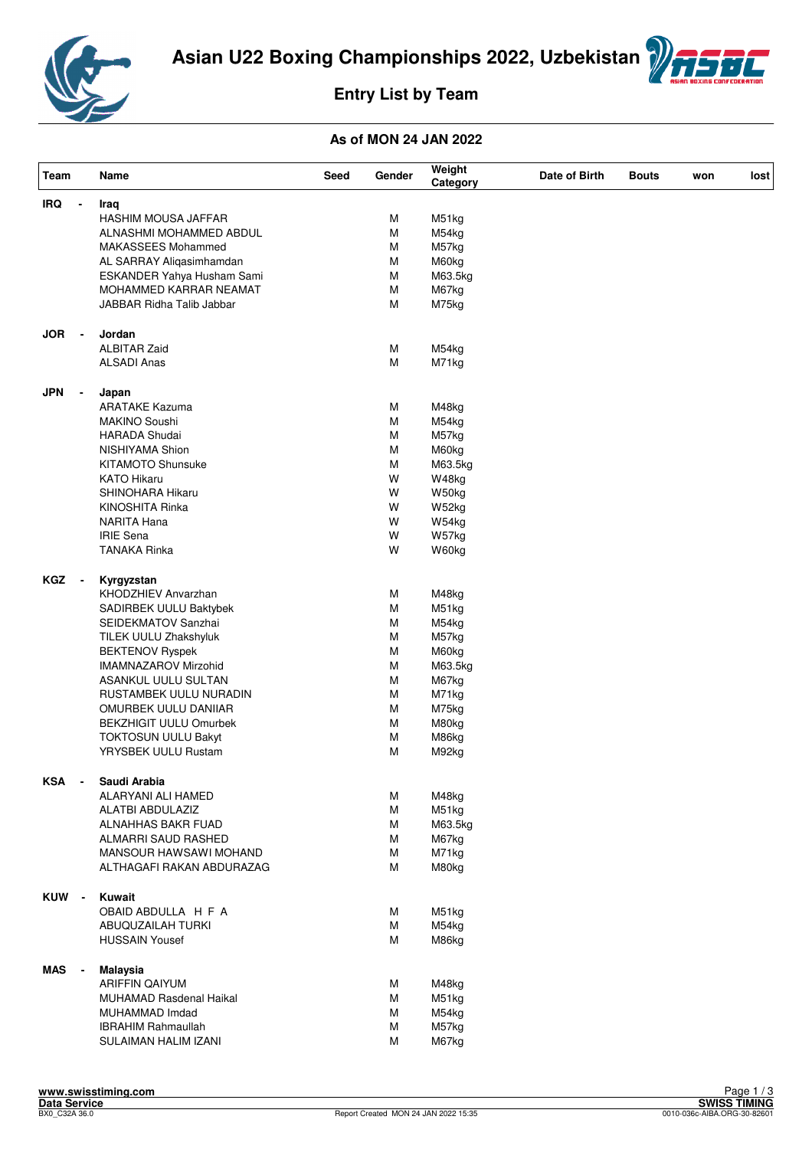



# **Entry List by Team**

| Team       |                          | Name                               | Seed | Gender | Weight<br>Category | Date of Birth | <b>Bouts</b> | won | lost |
|------------|--------------------------|------------------------------------|------|--------|--------------------|---------------|--------------|-----|------|
| <b>IRQ</b> |                          | Iraq                               |      |        |                    |               |              |     |      |
|            |                          | HASHIM MOUSA JAFFAR                |      | М      | M51kg              |               |              |     |      |
|            |                          | ALNASHMI MOHAMMED ABDUL            |      | M      | M54kg              |               |              |     |      |
|            |                          | MAKASSEES Mohammed                 |      | M      | M57kg              |               |              |     |      |
|            |                          | AL SARRAY Aliqasimhamdan           |      | M      | M60kg              |               |              |     |      |
|            |                          | ESKANDER Yahya Husham Sami         |      | M      | M63.5kg            |               |              |     |      |
|            |                          | MOHAMMED KARRAR NEAMAT             |      | M      | M67kg              |               |              |     |      |
|            |                          | <b>JABBAR Ridha Talib Jabbar</b>   |      | M      | M75kg              |               |              |     |      |
|            |                          |                                    |      |        |                    |               |              |     |      |
| <b>JOR</b> | $\blacksquare$           | Jordan                             |      |        |                    |               |              |     |      |
|            |                          | <b>ALBITAR Zaid</b>                |      | М      | M54kg              |               |              |     |      |
|            |                          | <b>ALSADI Anas</b>                 |      | M      | M71kg              |               |              |     |      |
|            |                          |                                    |      |        |                    |               |              |     |      |
| <b>JPN</b> |                          | Japan                              |      |        |                    |               |              |     |      |
|            |                          | <b>ARATAKE Kazuma</b>              |      | М      | M48kg              |               |              |     |      |
|            |                          | MAKINO Soushi                      |      | M      | M54kg              |               |              |     |      |
|            |                          | <b>HARADA Shudai</b>               |      | М      | M57kg              |               |              |     |      |
|            |                          | NISHIYAMA Shion                    |      | М      | M60kg              |               |              |     |      |
|            |                          | <b>KITAMOTO Shunsuke</b>           |      | М      | M63.5kg            |               |              |     |      |
|            |                          | <b>KATO Hikaru</b>                 |      | W      | W48kg              |               |              |     |      |
|            |                          | SHINOHARA Hikaru                   |      | W      | W50kg              |               |              |     |      |
|            |                          | KINOSHITA Rinka                    |      | W      | W52kg              |               |              |     |      |
|            |                          | <b>NARITA Hana</b>                 |      | W      | W54kg              |               |              |     |      |
|            |                          | <b>IRIE Sena</b>                   |      | W      | W57kg              |               |              |     |      |
|            |                          | <b>TANAKA Rinka</b>                |      | W      | W60kg              |               |              |     |      |
|            |                          |                                    |      |        |                    |               |              |     |      |
| <b>KGZ</b> | $\overline{\phantom{a}}$ | Kyrgyzstan                         |      |        |                    |               |              |     |      |
|            |                          | KHODZHIEV Anvarzhan                |      | М      | M48kg              |               |              |     |      |
|            |                          | SADIRBEK UULU Baktybek             |      | M      | M51kg              |               |              |     |      |
|            |                          | SEIDEKMATOV Sanzhai                |      | M      | M54kg              |               |              |     |      |
|            |                          | TILEK UULU Zhakshyluk              |      | М      | M57kg              |               |              |     |      |
|            |                          | <b>BEKTENOV Ryspek</b>             |      | M      | M60kg              |               |              |     |      |
|            |                          | <b>IMAMNAZAROV Mirzohid</b>        |      | M      |                    |               |              |     |      |
|            |                          |                                    |      | M      | M63.5kg            |               |              |     |      |
|            |                          | ASANKUL UULU SULTAN                |      |        | M67kg              |               |              |     |      |
|            |                          | RUSTAMBEK UULU NURADIN             |      | М      | M71kg              |               |              |     |      |
|            |                          | OMURBEK UULU DANIIAR               |      | M      | M75kg              |               |              |     |      |
|            |                          | <b>BEKZHIGIT UULU Omurbek</b>      |      | M      | M80kg              |               |              |     |      |
|            |                          | <b>TOKTOSUN UULU Bakyt</b>         |      | M      | M86kg              |               |              |     |      |
|            |                          | YRYSBEK UULU Rustam                |      | М      | M92kg              |               |              |     |      |
|            |                          |                                    |      |        |                    |               |              |     |      |
| <b>KSA</b> | $\overline{\phantom{a}}$ | Saudi Arabia<br>ALARYANI ALI HAMED |      | М      | M48kg              |               |              |     |      |
|            |                          | ALATBI ABDULAZIZ                   |      | M      | M51kg              |               |              |     |      |
|            |                          |                                    |      |        |                    |               |              |     |      |
|            |                          | ALNAHHAS BAKR FUAD                 |      | М      | M63.5kg            |               |              |     |      |
|            |                          | ALMARRI SAUD RASHED                |      | М      | M67kg              |               |              |     |      |
|            |                          | MANSOUR HAWSAWI MOHAND             |      | М      | M71kg              |               |              |     |      |
|            |                          | ALTHAGAFI RAKAN ABDURAZAG          |      | M      | M80kg              |               |              |     |      |
| KUW -      |                          | Kuwait                             |      |        |                    |               |              |     |      |
|            |                          | OBAID ABDULLA H F A                |      | м      | M51kg              |               |              |     |      |
|            |                          |                                    |      |        |                    |               |              |     |      |
|            |                          | ABUQUZAILAH TURKI                  |      | M      | M54kg              |               |              |     |      |
|            |                          | <b>HUSSAIN Yousef</b>              |      | М      | M86kg              |               |              |     |      |
| MAS        | $\overline{\phantom{a}}$ | <b>Malaysia</b>                    |      |        |                    |               |              |     |      |
|            |                          | <b>ARIFFIN QAIYUM</b>              |      | м      | M48kg              |               |              |     |      |
|            |                          | <b>MUHAMAD Rasdenal Haikal</b>     |      | M      | M51kg              |               |              |     |      |
|            |                          | MUHAMMAD Imdad                     |      | М      | M54kg              |               |              |     |      |
|            |                          | <b>IBRAHIM Rahmaullah</b>          |      | M      | M57kg              |               |              |     |      |
|            |                          |                                    |      | M      |                    |               |              |     |      |
|            |                          | SULAIMAN HALIM IZANI               |      |        | M67kg              |               |              |     |      |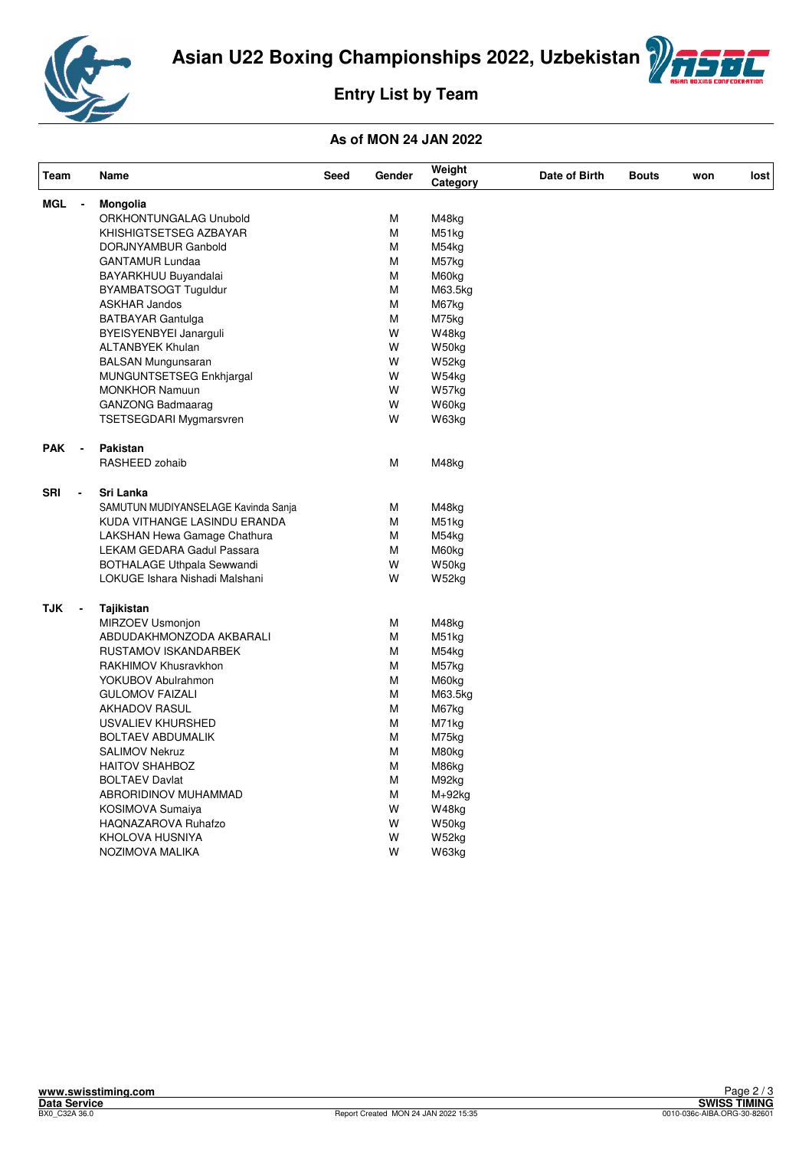



# **Entry List by Team**

| Team                         | Name                                | Seed | Gender | Weight<br>Category | Date of Birth | <b>Bouts</b> | won | lost |
|------------------------------|-------------------------------------|------|--------|--------------------|---------------|--------------|-----|------|
| <b>MGL</b><br>$\blacksquare$ | Mongolia                            |      |        |                    |               |              |     |      |
|                              | ORKHONTUNGALAG Unubold              |      | М      | M48kg              |               |              |     |      |
|                              | KHISHIGTSETSEG AZBAYAR              |      | M      | M51kg              |               |              |     |      |
|                              | DORJNYAMBUR Ganbold                 |      | M      | M54kg              |               |              |     |      |
|                              | <b>GANTAMUR Lundaa</b>              |      | M      | M57kg              |               |              |     |      |
|                              | BAYARKHUU Buyandalai                |      | М      | M60kg              |               |              |     |      |
|                              | BYAMBATSOGT Tuguldur                |      | м      | M63.5kg            |               |              |     |      |
|                              | <b>ASKHAR Jandos</b>                |      | М      | M67kg              |               |              |     |      |
|                              | <b>BATBAYAR Gantulga</b>            |      | М      | M75kg              |               |              |     |      |
|                              | BYEISYENBYEI Janarguli              |      | W      | W48kg              |               |              |     |      |
|                              | <b>ALTANBYEK Khulan</b>             |      | W      | W50kg              |               |              |     |      |
|                              |                                     |      | W      | W52kg              |               |              |     |      |
|                              | <b>BALSAN Mungunsaran</b>           |      |        |                    |               |              |     |      |
|                              | MUNGUNTSETSEG Enkhjargal            |      | W      | W54kg              |               |              |     |      |
|                              | <b>MONKHOR Namuun</b>               |      | W      | W57kg              |               |              |     |      |
|                              | <b>GANZONG Badmaarag</b>            |      | W      | W60kg              |               |              |     |      |
|                              | <b>TSETSEGDARI Mygmarsvren</b>      |      | W      | W63kg              |               |              |     |      |
| PAK<br>$\blacksquare$        | Pakistan                            |      |        |                    |               |              |     |      |
|                              | RASHEED zohaib                      |      | М      | M48kg              |               |              |     |      |
| <b>SRI</b><br>$\blacksquare$ | Sri Lanka                           |      |        |                    |               |              |     |      |
|                              | SAMUTUN MUDIYANSELAGE Kavinda Sanja |      | М      | M48kg              |               |              |     |      |
|                              | KUDA VITHANGE LASINDU ERANDA        |      | М      | M51kg              |               |              |     |      |
|                              | LAKSHAN Hewa Gamage Chathura        |      | М      | M54kg              |               |              |     |      |
|                              | LEKAM GEDARA Gadul Passara          |      | M      | M60kg              |               |              |     |      |
|                              | <b>BOTHALAGE Uthpala Sewwandi</b>   |      | W      | W50kg              |               |              |     |      |
|                              | LOKUGE Ishara Nishadi Malshani      |      | W      | W52kg              |               |              |     |      |
| <b>TJK</b><br>$\blacksquare$ | Tajikistan                          |      |        |                    |               |              |     |      |
|                              | MIRZOEV Usmonjon                    |      | М      | M48kg              |               |              |     |      |
|                              | ABDUDAKHMONZODA AKBARALI            |      | М      | M51kg              |               |              |     |      |
|                              |                                     |      |        |                    |               |              |     |      |
|                              | RUSTAMOV ISKANDARBEK                |      | M      | M54kg              |               |              |     |      |
|                              | RAKHIMOV Khusravkhon                |      | М      | M57kg              |               |              |     |      |
|                              | YOKUBOV Abulrahmon                  |      | M      | M60kg              |               |              |     |      |
|                              | <b>GULOMOV FAIZALI</b>              |      | M      | M63.5kg            |               |              |     |      |
|                              | <b>AKHADOV RASUL</b>                |      | M      | M67kg              |               |              |     |      |
|                              | USVALIEV KHURSHED                   |      | M      | M71kg              |               |              |     |      |
|                              | <b>BOLTAEV ABDUMALIK</b>            |      | М      | M75kg              |               |              |     |      |
|                              | <b>SALIMOV Nekruz</b>               |      | М      | M80kg              |               |              |     |      |
|                              | <b>HAITOV SHAHBOZ</b>               |      | м      | M86kg              |               |              |     |      |
|                              | <b>BOLTAEV Davlat</b>               |      | M      | M92kg              |               |              |     |      |
|                              | ABRORIDINOV MUHAMMAD                |      | M      | M+92kg             |               |              |     |      |
|                              | KOSIMOVA Sumaiya                    |      | W      | W48kg              |               |              |     |      |
|                              | HAQNAZAROVA Ruhafzo                 |      | W      | W50kg              |               |              |     |      |
|                              | KHOLOVA HUSNIYA                     |      | W      | W52kg              |               |              |     |      |
|                              | NOZIMOVA MALIKA                     |      | W      | W63kg              |               |              |     |      |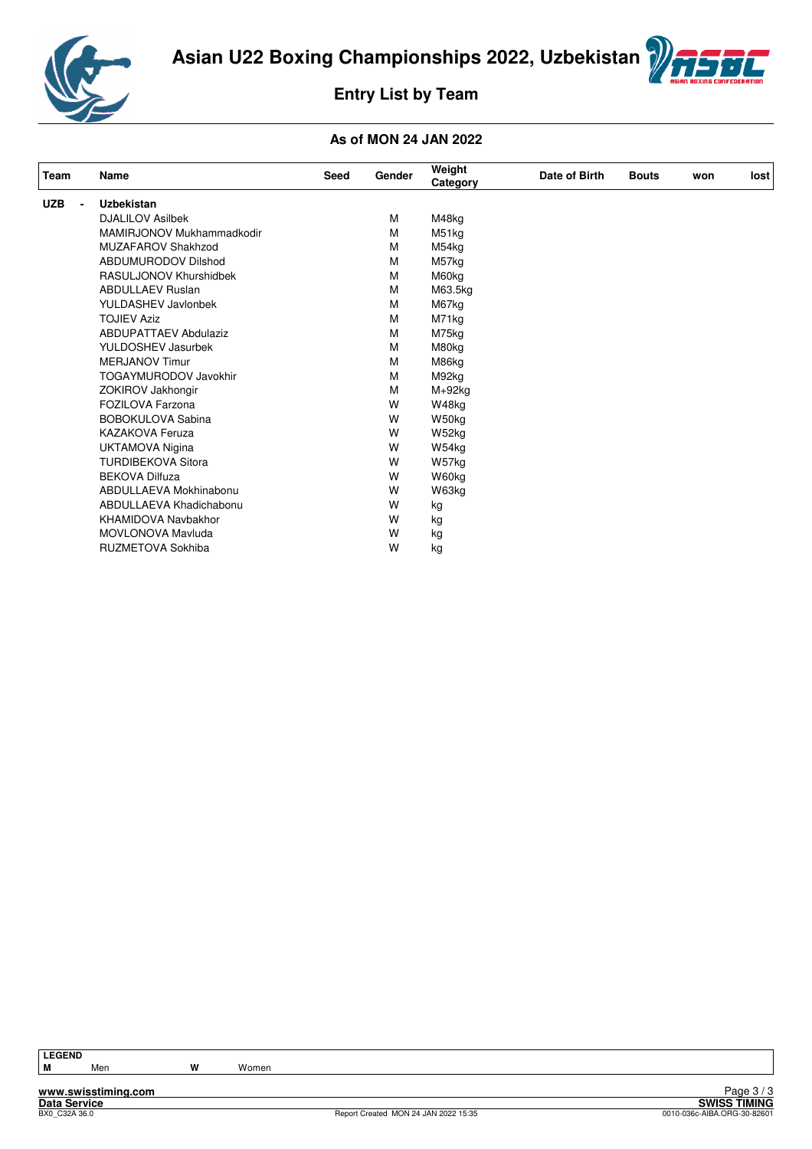



# **Entry List by Team**

#### **As of MON 24 JAN 2022**

| Team                         | Name                         | Seed | <b>Gender</b> | Weight<br>Category | Date of Birth | <b>Bouts</b> | won | lost |
|------------------------------|------------------------------|------|---------------|--------------------|---------------|--------------|-----|------|
| <b>UZB</b><br>$\blacksquare$ | <b>Uzbekistan</b>            |      |               |                    |               |              |     |      |
|                              | <b>DJALILOV Asilbek</b>      |      | М             | M48kg              |               |              |     |      |
|                              | MAMIRJONOV Mukhammadkodir    |      | М             | M51kg              |               |              |     |      |
|                              | MUZAFAROV Shakhzod           |      | М             | M54kg              |               |              |     |      |
|                              | <b>ABDUMURODOV Dilshod</b>   |      | M             | M57kg              |               |              |     |      |
|                              | RASULJONOV Khurshidbek       |      | М             | M60kg              |               |              |     |      |
|                              | <b>ABDULLAEV Ruslan</b>      |      | M             | M63.5kg            |               |              |     |      |
|                              | <b>YULDASHEV Javlonbek</b>   |      | M             | M67kg              |               |              |     |      |
|                              | <b>TOJIEV Aziz</b>           |      | M             | M71kg              |               |              |     |      |
|                              | <b>ABDUPATTAEV Abdulaziz</b> |      | M             | M75kg              |               |              |     |      |
|                              | YULDOSHEV Jasurbek           |      | М             | M80kg              |               |              |     |      |
|                              | <b>MERJANOV Timur</b>        |      | M             | M86kg              |               |              |     |      |
|                              | <b>TOGAYMURODOV Javokhir</b> |      | M             | M92kg              |               |              |     |      |
|                              | ZOKIROV Jakhongir            |      | M             | $M+92kg$           |               |              |     |      |
|                              | FOZILOVA Farzona             |      | W             | W48kg              |               |              |     |      |
|                              | <b>BOBOKULOVA Sabina</b>     |      | W             | W50kg              |               |              |     |      |
|                              | <b>KAZAKOVA Feruza</b>       |      | W             | W52kg              |               |              |     |      |
|                              | <b>UKTAMOVA Nigina</b>       |      | W             | W54kg              |               |              |     |      |
|                              | <b>TURDIBEKOVA Sitora</b>    |      | W             | W57kg              |               |              |     |      |
|                              | <b>BEKOVA Dilfuza</b>        |      | W             | W60kg              |               |              |     |      |
|                              | ABDULLAEVA Mokhinabonu       |      | W             | W63kg              |               |              |     |      |
|                              | ABDULLAEVA Khadichabonu      |      | W             | kg                 |               |              |     |      |
|                              | <b>KHAMIDOVA Navbakhor</b>   |      | W             | kg                 |               |              |     |      |
|                              | MOVLONOVA Mavluda            |      | W             | kg                 |               |              |     |      |
|                              | <b>RUZMETOVA Sokhiba</b>     |      | W             | kg                 |               |              |     |      |

**M** Men **W** Women

**www.swisstiming.com**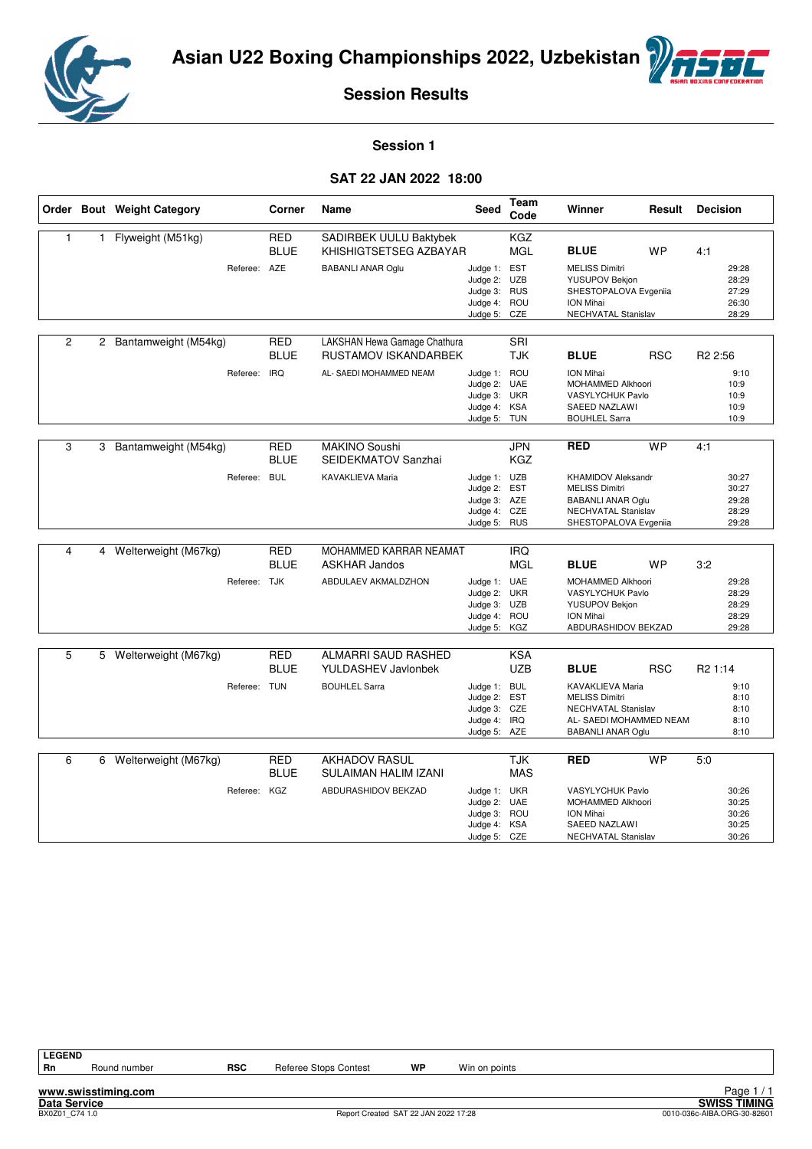



**Session 1** 

#### **SAT 22 JAN 2022 18:00**

|                |   | Order Bout Weight Category | Corner                    | Name                                                 | Seed                                                                         | Team<br>Code             | Winner                                                                                                                  | Result     | <b>Decision</b>                           |
|----------------|---|----------------------------|---------------------------|------------------------------------------------------|------------------------------------------------------------------------------|--------------------------|-------------------------------------------------------------------------------------------------------------------------|------------|-------------------------------------------|
| $\mathbf{1}$   | 1 | Flyweight (M51kg)          | <b>RED</b><br><b>BLUE</b> | SADIRBEK UULU Baktybek<br>KHISHIGTSETSEG AZBAYAR     |                                                                              | <b>KGZ</b><br><b>MGL</b> | <b>BLUE</b>                                                                                                             | <b>WP</b>  | 4:1                                       |
|                |   | Referee: AZE               |                           | <b>BABANLI ANAR Oglu</b>                             | Judge 1: EST<br>Judge 2: UZB<br>Judge 3: RUS<br>Judge 4: ROU<br>Judge 5:     | CZE                      | <b>MELISS Dimitri</b><br>YUSUPOV Bekjon<br>SHESTOPALOVA Evgeniia<br>ION Mihai<br>NECHVATAL Stanislav                    |            | 29:28<br>28:29<br>27:29<br>26:30<br>28:29 |
|                |   |                            |                           |                                                      |                                                                              |                          |                                                                                                                         |            |                                           |
| $\overline{c}$ |   | 2 Bantamweight (M54kg)     | <b>RED</b><br><b>BLUE</b> | LAKSHAN Hewa Gamage Chathura<br>RUSTAMOV ISKANDARBEK |                                                                              | <b>SRI</b><br><b>TJK</b> | <b>BLUE</b>                                                                                                             | <b>RSC</b> | R <sub>2</sub> 2:56                       |
|                |   | Referee:                   | <b>IRQ</b>                | AL- SAEDI MOHAMMED NEAM                              | Judge 1: ROU<br>Judge 2: UAE<br>Judge 3: UKR<br>Judge 4: KSA<br>Judge 5: TUN |                          | ION Mihai<br>MOHAMMED Alkhoori<br>VASYLYCHUK Pavlo<br>SAEED NAZLAWI<br><b>BOUHLEL Sarra</b>                             |            | 9:10<br>10:9<br>10:9<br>10:9<br>10:9      |
| 3              |   | 3 Bantamweight (M54kg)     | RED<br><b>BLUE</b>        | <b>MAKINO Soushi</b><br>SEIDEKMATOV Sanzhai          |                                                                              | <b>JPN</b><br><b>KGZ</b> | <b>RED</b>                                                                                                              | <b>WP</b>  | 4:1                                       |
|                |   | Referee:                   | <b>BUL</b>                | KAVAKLIEVA Maria                                     | Judge 1: UZB<br>Judge 2: EST<br>Judge 3: AZE<br>Judge 4: CZE                 |                          | <b>KHAMIDOV Aleksandr</b><br><b>MELISS Dimitri</b><br><b>BABANLI ANAR Oglu</b><br>NECHVATAL Stanislav                   |            | 30:27<br>30:27<br>29:28<br>28:29<br>29:28 |
|                |   |                            |                           |                                                      | Judge 5: RUS                                                                 |                          | SHESTOPALOVA Evgeniia                                                                                                   |            |                                           |
| $\overline{4}$ | 4 | Welterweight (M67kg)       | <b>RED</b><br><b>BLUE</b> | MOHAMMED KARRAR NEAMAT<br><b>ASKHAR Jandos</b>       |                                                                              | <b>IRQ</b><br><b>MGL</b> | <b>BLUE</b>                                                                                                             | <b>WP</b>  | 3:2                                       |
|                |   | Referee: TJK               |                           | ABDULAEV AKMALDZHON                                  | Judge 1: UAE<br>Judge 2: UKR<br>Judge 3: UZB<br>Judge 4: ROU<br>Judge 5: KGZ |                          | MOHAMMED Alkhoori<br>VASYLYCHUK Pavlo<br><b>YUSUPOV Bekjon</b><br>ION Mihai<br>ABDURASHIDOV BEKZAD                      |            | 29:28<br>28:29<br>28:29<br>28:29<br>29:28 |
|                |   |                            |                           |                                                      |                                                                              |                          |                                                                                                                         |            |                                           |
| 5              |   | 5 Welterweight (M67kg)     | <b>RED</b><br><b>BLUE</b> | ALMARRI SAUD RASHED<br>YULDASHEV Javlonbek           |                                                                              | <b>KSA</b><br><b>UZB</b> | <b>BLUE</b>                                                                                                             | <b>RSC</b> | R <sub>2</sub> 1:14                       |
|                |   |                            | Referee: TUN              | <b>BOUHLEL Sarra</b>                                 | Judge 1: BUL<br>Judge 2: EST<br>Judge 3: CZE<br>Judge 4:<br>Judge 5: AZE     | <b>IRQ</b>               | KAVAKLIEVA Maria<br><b>MELISS Dimitri</b><br>NECHVATAL Stanislav<br>AL- SAEDI MOHAMMED NEAM<br><b>BABANLI ANAR Oglu</b> |            | 9:10<br>8:10<br>8:10<br>8:10<br>8:10      |
|                |   |                            |                           |                                                      |                                                                              |                          |                                                                                                                         | <b>WP</b>  |                                           |
| 6              | 6 | Welterweight (M67kg)       | RED<br><b>BLUE</b>        | <b>AKHADOV RASUL</b><br>SULAIMAN HALIM IZANI         |                                                                              | <b>TJK</b><br><b>MAS</b> | <b>RED</b>                                                                                                              |            | 5:0                                       |
|                |   |                            | Referee: KGZ              | ABDURASHIDOV BEKZAD                                  | Judge 1: UKR<br>Judge 2: UAE<br>Judge 3: ROU<br>Judge 4:<br>Judge 5: CZE     | KSA                      | VASYLYCHUK Pavlo<br>MOHAMMED Alkhoori<br><b>ION Mihai</b><br>SAEED NAZLAWI<br>NECHVATAL Stanislav                       |            | 30:26<br>30:25<br>30:26<br>30:25<br>30:26 |

**www.swisstiming.com**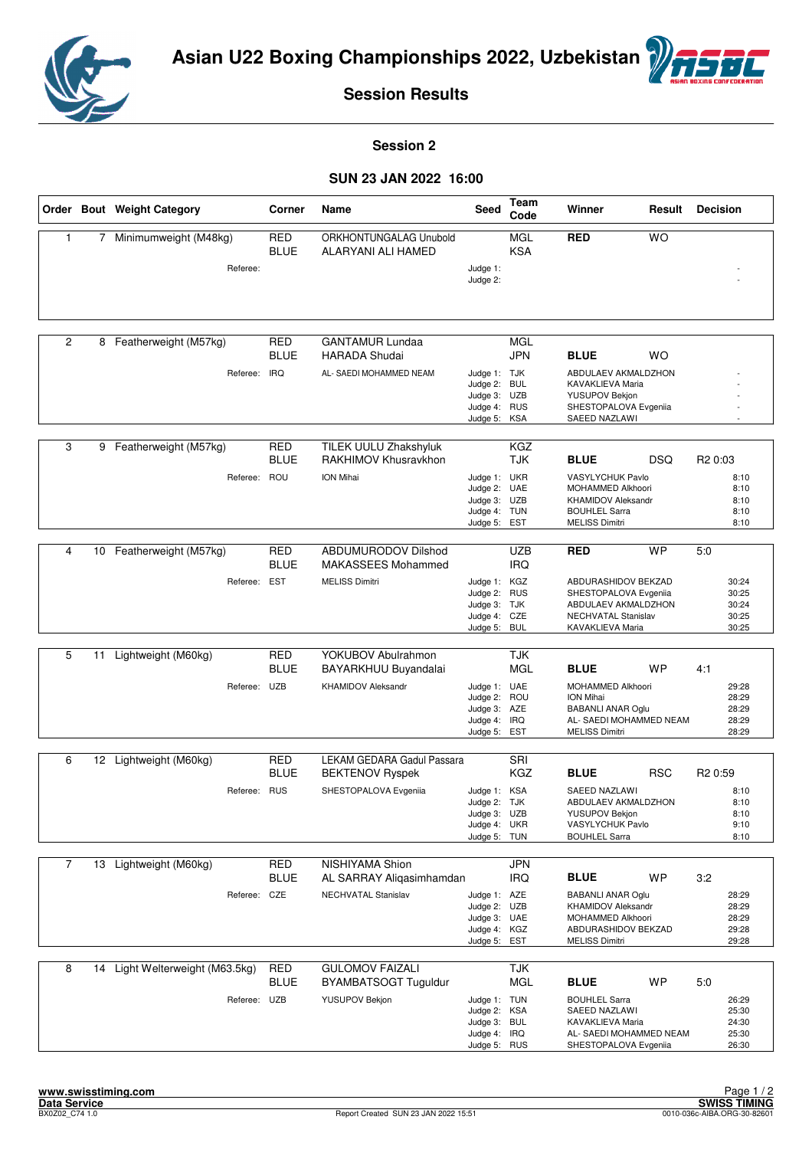



**Session 2** 

#### **SUN 23 JAN 2022 16:00**

|                |    | Order Bout Weight Category      | Corner                    | Name                                                    | Seed                                                                         | Team<br>Code                    | Winner                                                                                                                     | Result     | <b>Decision</b>                           |
|----------------|----|---------------------------------|---------------------------|---------------------------------------------------------|------------------------------------------------------------------------------|---------------------------------|----------------------------------------------------------------------------------------------------------------------------|------------|-------------------------------------------|
| $\mathbf{1}$   | 7  | Minimumweight (M48kg)           | <b>RED</b><br><b>BLUE</b> | ORKHONTUNGALAG Unubold<br>ALARYANI ALI HAMED            |                                                                              | <b>MGL</b><br><b>KSA</b>        | <b>RED</b>                                                                                                                 | <b>WO</b>  |                                           |
|                |    | Referee:                        |                           |                                                         | Judge 1:<br>Judge 2:                                                         |                                 |                                                                                                                            |            |                                           |
| $\overline{2}$ | 8  | Featherweight (M57kg)           | <b>RED</b><br><b>BLUE</b> | <b>GANTAMUR Lundaa</b><br><b>HARADA Shudai</b>          |                                                                              | MGL<br><b>JPN</b>               | <b>BLUE</b>                                                                                                                | <b>WO</b>  |                                           |
|                |    | Referee:                        | <b>IRQ</b>                | AL- SAEDI MOHAMMED NEAM                                 | Judge 1: TJK<br>Judge 2:<br>Judge 3: UZB<br>Judge 4:<br>Judge 5:             | <b>BUL</b><br><b>RUS</b><br>KSA | ABDULAEV AKMALDZHON<br>KAVAKLIEVA Maria<br>YUSUPOV Bekjon<br>SHESTOPALOVA Evgeniia<br>SAEED NAZLAWI                        |            |                                           |
| 3              | 9  | Featherweight (M57kg)           | <b>RED</b><br><b>BLUE</b> | TILEK UULU Zhakshyluk<br>RAKHIMOV Khusravkhon           |                                                                              | <b>KGZ</b><br><b>TJK</b>        | <b>BLUE</b>                                                                                                                | <b>DSQ</b> | R <sub>2</sub> 0:03                       |
|                |    | Referee:                        | ROU                       | <b>ION Mihai</b>                                        | Judge 1: UKR<br>Judge 2: UAE<br>Judge 3: UZB<br>Judge 4: TUN<br>Judge 5:     | <b>EST</b>                      | VASYLYCHUK Pavlo<br>MOHAMMED Alkhoori<br><b>KHAMIDOV Aleksandr</b><br><b>BOUHLEL Sarra</b><br><b>MELISS Dimitri</b>        |            | 8:10<br>8:10<br>8:10<br>8:10<br>8:10      |
| 4              |    | 10 Featherweight (M57kg)        | <b>RED</b><br><b>BLUE</b> | <b>ABDUMURODOV Dilshod</b><br><b>MAKASSEES Mohammed</b> |                                                                              | <b>UZB</b><br><b>IRQ</b>        | <b>RED</b>                                                                                                                 | <b>WP</b>  | 5:0                                       |
|                |    | Referee: EST                    |                           | <b>MELISS Dimitri</b>                                   | Judge 1: KGZ<br>Judge 2: RUS<br>Judge 3: TJK<br>Judge 4: CZE<br>Judge 5: BUL |                                 | ABDURASHIDOV BEKZAD<br>SHESTOPALOVA Evgeniia<br>ABDULAEV AKMALDZHON<br>NECHVATAL Stanislav<br>KAVAKLIEVA Maria             |            | 30:24<br>30:25<br>30:24<br>30:25<br>30:25 |
|                |    |                                 |                           |                                                         |                                                                              |                                 |                                                                                                                            |            |                                           |
| 5              | 11 | Lightweight (M60kg)             | RED<br><b>BLUE</b>        | YOKUBOV Abulrahmon<br>BAYARKHUU Buyandalai              |                                                                              | TJK<br><b>MGL</b>               | <b>BLUE</b>                                                                                                                | <b>WP</b>  | 4:1                                       |
|                |    | Referee: UZB                    |                           | <b>KHAMIDOV Aleksandr</b>                               | Judge 1: UAE<br>Judge 2: ROU<br>Judge 3: AZE<br>Judge 4: IRQ<br>Judge 5: EST |                                 | MOHAMMED Alkhoori<br>ION Mihai<br><b>BABANLI ANAR Oglu</b><br>AL- SAEDI MOHAMMED NEAM<br><b>MELISS Dimitri</b>             |            | 29:28<br>28:29<br>28:29<br>28:29<br>28:29 |
| 6              |    | 12 Lightweight (M60kg)          | <b>RED</b>                | LEKAM GEDARA Gadul Passara                              |                                                                              | SRI                             |                                                                                                                            |            |                                           |
|                |    |                                 | <b>BLUE</b>               | <b>BEKTENOV Ryspek</b>                                  |                                                                              | <b>KGZ</b>                      | <b>BLUE</b>                                                                                                                | <b>RSC</b> | R <sub>2</sub> 0:59                       |
|                |    | Referee: RUS                    |                           | SHESTOPALOVA Evgeniia                                   | Judge 1: KSA<br>Judge 2: TJK<br>Judge 3: UZB<br>Judge 4: UKR<br>Judge 5: TUN |                                 | SAEED NAZLAWI<br>ABDULAEV AKMALDZHON<br><b>YUSUPOV Bekjon</b><br>VASYLYCHUK Pavlo<br><b>BOUHLEL Sarra</b>                  |            | 8:10<br>8:10<br>8:10<br>9:10<br>8:10      |
| $\overline{7}$ | 13 | Lightweight (M60kg)             | <b>RED</b><br><b>BLUE</b> | NISHIYAMA Shion<br>AL SARRAY Aliqasimhamdan             |                                                                              | <b>JPN</b><br><b>IRQ</b>        | <b>BLUE</b>                                                                                                                | <b>WP</b>  | 3:2                                       |
|                |    | Referee: CZE                    |                           | NECHVATAL Stanislav                                     | Judge 1: AZE<br>Judge 2: UZB<br>Judge 3: UAE<br>Judge 4: KGZ<br>Judge 5: EST |                                 | <b>BABANLI ANAR Oglu</b><br><b>KHAMIDOV Aleksandr</b><br>MOHAMMED Alkhoori<br>ABDURASHIDOV BEKZAD<br><b>MELISS Dimitri</b> |            | 28:29<br>28:29<br>28:29<br>29:28<br>29:28 |
| 8              |    | 14 Light Welterweight (M63.5kg) | <b>RED</b><br><b>BLUE</b> | <b>GULOMOV FAIZALI</b><br>BYAMBATSOGT Tuguldur          |                                                                              | <b>TJK</b><br><b>MGL</b>        | <b>BLUE</b>                                                                                                                | WP         | 5:0                                       |
|                |    | Referee: UZB                    |                           | YUSUPOV Bekjon                                          | Judge 1: TUN<br>Judge 2: KSA<br>Judge 3: BUL<br>Judge 4: IRQ<br>Judge 5: RUS |                                 | <b>BOUHLEL Sarra</b><br>SAEED NAZLAWI<br>KAVAKLIEVA Maria<br>AL- SAEDI MOHAMMED NEAM<br>SHESTOPALOVA Evgeniia              |            | 26:29<br>25:30<br>24:30<br>25:30<br>26:30 |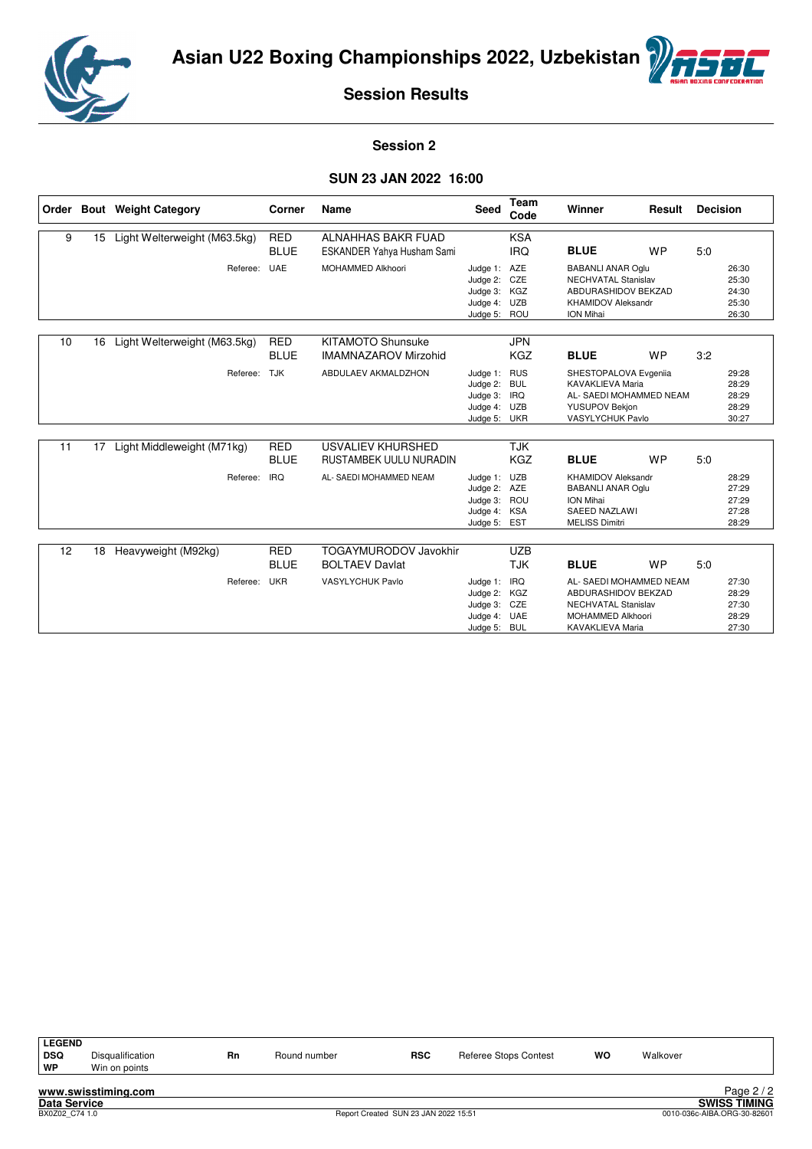



#### **Session 2**

#### **SUN 23 JAN 2022 16:00**

|    |    | Order Bout Weight Category   | Corner                    | Name                                                    | Seed                                                                     | Team<br>Code                           | Winner                                                                                                                   | Result    | <b>Decision</b> |                                           |
|----|----|------------------------------|---------------------------|---------------------------------------------------------|--------------------------------------------------------------------------|----------------------------------------|--------------------------------------------------------------------------------------------------------------------------|-----------|-----------------|-------------------------------------------|
| 9  | 15 | Light Welterweight (M63.5kg) | <b>RED</b><br><b>BLUE</b> | <b>ALNAHHAS BAKR FUAD</b><br>ESKANDER Yahya Husham Sami |                                                                          | <b>KSA</b><br><b>IRQ</b>               | <b>BLUE</b>                                                                                                              | <b>WP</b> | 5.0             |                                           |
|    |    | Referee:                     | <b>UAE</b>                | MOHAMMED Alkhoori                                       | Judge 1:<br>Judge 2: CZE<br>Judge 3: KGZ<br>Judge 4:<br>Judge 5: ROU     | AZE<br><b>UZB</b>                      | <b>BABANLI ANAR Oglu</b><br><b>NECHVATAL Stanislav</b><br>ABDURASHIDOV BEKZAD<br><b>KHAMIDOV Aleksandr</b><br>ION Mihai  |           |                 | 26:30<br>25:30<br>24:30<br>25:30<br>26:30 |
| 10 | 16 | Light Welterweight (M63.5kg) | <b>RED</b><br><b>BLUE</b> | <b>KITAMOTO Shunsuke</b><br><b>IMAMNAZAROV Mirzohid</b> |                                                                          | <b>JPN</b><br><b>KGZ</b>               | <b>BLUE</b>                                                                                                              | <b>WP</b> | 3:2             |                                           |
|    |    | Referee:                     | <b>TJK</b>                | ABDULAEV AKMALDZHON                                     | Judge 1:<br>Judge 2: BUL<br>Judge 3: IRQ<br>Judge 4: UZB<br>Judge 5: UKR | <b>RUS</b>                             | SHESTOPALOVA Evgeniia<br><b>KAVAKLIEVA Maria</b><br>AL- SAEDI MOHAMMED NEAM<br><b>YUSUPOV Bekjon</b><br>VASYLYCHUK Pavlo |           |                 | 29:28<br>28:29<br>28:29<br>28:29<br>30:27 |
| 11 | 17 | Light Middleweight (M71kg)   | <b>RED</b><br><b>BLUE</b> | USVALIEV KHURSHED<br>RUSTAMBEK UULU NURADIN             |                                                                          | <b>TJK</b><br><b>KGZ</b>               | <b>BLUE</b>                                                                                                              | <b>WP</b> | 5:0             |                                           |
|    |    | Referee:                     | <b>IRQ</b>                | AL- SAEDI MOHAMMED NEAM                                 | Judge 1:<br>Judge 2: AZE<br>Judge 3: ROU<br>Judge 4:<br>Judge 5:         | UZB<br><b>KSA</b><br><b>EST</b>        | <b>KHAMIDOV Aleksandr</b><br><b>BABANLI ANAR Oglu</b><br>ION Mihai<br><b>SAEED NAZLAWI</b><br><b>MELISS Dimitri</b>      |           |                 | 28:29<br>27:29<br>27:29<br>27:28<br>28:29 |
| 12 | 18 | Heavyweight (M92kg)          | <b>RED</b>                | <b>TOGAYMURODOV Javokhir</b>                            |                                                                          | <b>UZB</b>                             |                                                                                                                          |           |                 |                                           |
|    |    |                              | <b>BLUE</b>               | <b>BOLTAEV Davlat</b>                                   |                                                                          | <b>TJK</b>                             | <b>BLUE</b>                                                                                                              | <b>WP</b> | 5:0             |                                           |
|    |    | Referee:                     | <b>UKR</b>                | <b>VASYLYCHUK Pavlo</b>                                 | Judge 1:<br>Judge 2:<br>Judge 3: CZE<br>Judge 4:<br>Judge 5:             | IRQ<br>KGZ<br><b>UAE</b><br><b>BUL</b> | AL- SAEDI MOHAMMED NEAM<br>ABDURASHIDOV BEKZAD<br><b>NECHVATAL Stanislav</b><br>MOHAMMED Alkhoori<br>KAVAKLIEVA Maria    |           |                 | 27:30<br>28:29<br>27:30<br>28:29<br>27:30 |

| <b>LEGEND</b><br>DSQ<br>∣ WP | Disqualification<br>Win on points | Rn | Round number | <b>RSC</b> | Referee Stops Contest | <b>WO</b> | Walkover |
|------------------------------|-----------------------------------|----|--------------|------------|-----------------------|-----------|----------|
|                              |                                   |    |              |            |                       |           |          |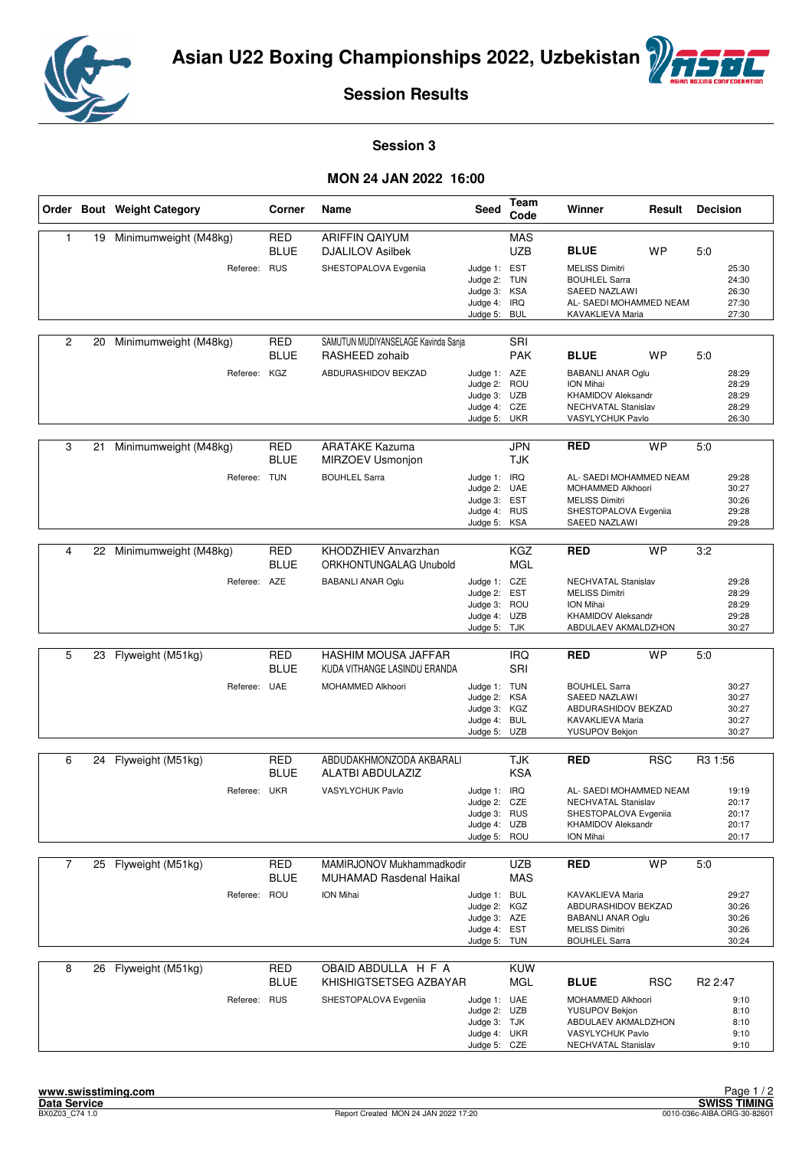



#### **Session 3**

#### **MON 24 JAN 2022 16:00**

|                |    | Order Bout Weight Category | Corner                    | Name                                                        | Seed                                                                         | <b>Team</b><br>Code      | Winner                                                                                                               | Result     | <b>Decision</b>                           |
|----------------|----|----------------------------|---------------------------|-------------------------------------------------------------|------------------------------------------------------------------------------|--------------------------|----------------------------------------------------------------------------------------------------------------------|------------|-------------------------------------------|
| $\mathbf{1}$   | 19 | Minimumweight (M48kg)      | <b>RED</b><br><b>BLUE</b> | <b>ARIFFIN QAIYUM</b><br><b>DJALILOV Asilbek</b>            |                                                                              | <b>MAS</b><br><b>UZB</b> | <b>BLUE</b>                                                                                                          | <b>WP</b>  | 5:0                                       |
|                |    | Referee: RUS               |                           | SHESTOPALOVA Evgeniia                                       | Judge 1: EST<br>Judge 2: TUN<br>Judge 3: KSA<br>Judge 4: IRQ<br>Judge 5:     | <b>BUL</b>               | <b>MELISS Dimitri</b><br><b>BOUHLEL Sarra</b><br><b>SAEED NAZLAWI</b><br>AL- SAEDI MOHAMMED NEAM<br>KAVAKLIEVA Maria |            | 25:30<br>24:30<br>26:30<br>27:30<br>27:30 |
| $\overline{2}$ | 20 | Minimumweight (M48kg)      | RED<br><b>BLUE</b>        | SAMUTUN MUDIYANSELAGE Kavinda Sanja<br>RASHEED zohaib       |                                                                              | SRI<br><b>PAK</b>        | <b>BLUE</b>                                                                                                          | <b>WP</b>  | 5:0                                       |
|                |    | Referee: KGZ               |                           | ABDURASHIDOV BEKZAD                                         | Judge 1: AZE<br>Judge 2: ROU<br>Judge 3: UZB<br>Judge 4: CZE<br>Judge 5: UKR |                          | <b>BABANLI ANAR Oglu</b><br>ION Mihai<br><b>KHAMIDOV Aleksandr</b><br>NECHVATAL Stanislav<br>VASYLYCHUK Pavlo        |            | 28:29<br>28:29<br>28:29<br>28:29<br>26:30 |
| 3              | 21 | Minimumweight (M48kg)      | <b>RED</b><br><b>BLUE</b> | <b>ARATAKE Kazuma</b><br>MIRZOEV Usmonjon                   |                                                                              | <b>JPN</b><br><b>TJK</b> | <b>RED</b>                                                                                                           | <b>WP</b>  | 5:0                                       |
|                |    | Referee:                   | <b>TUN</b>                | <b>BOUHLEL Sarra</b>                                        | Judge 1: IRQ<br>Judge 2: UAE<br>Judge 3: EST<br>Judge 4: RUS<br>Judge 5:     | <b>KSA</b>               | AL- SAEDI MOHAMMED NEAM<br>MOHAMMED Alkhoori<br><b>MELISS Dimitri</b><br>SHESTOPALOVA Evgeniia<br>SAEED NAZLAWI      |            | 29:28<br>30:27<br>30:26<br>29:28<br>29:28 |
|                |    |                            |                           |                                                             |                                                                              |                          |                                                                                                                      |            |                                           |
| 4              | 22 | Minimumweight (M48kg)      | <b>RED</b><br><b>BLUE</b> | KHODZHIEV Anvarzhan<br>ORKHONTUNGALAG Unubold               |                                                                              | <b>KGZ</b><br><b>MGL</b> | <b>RED</b>                                                                                                           | <b>WP</b>  | 3:2                                       |
|                |    | Referee: AZE               |                           | <b>BABANLI ANAR Oglu</b>                                    | Judge 1: CZE<br>Judge 2: EST<br>Judge 3: ROU<br>Judge 4: UZB<br>Judge 5: TJK |                          | <b>NECHVATAL Stanislav</b><br><b>MELISS Dimitri</b><br>ION Mihai<br><b>KHAMIDOV Aleksandr</b><br>ABDULAEV AKMALDZHON |            | 29:28<br>28:29<br>28:29<br>29:28<br>30:27 |
|                |    |                            |                           |                                                             |                                                                              |                          |                                                                                                                      |            |                                           |
| 5              | 23 | Flyweight (M51kg)          | <b>RED</b><br><b>BLUE</b> | HASHIM MOUSA JAFFAR<br>KUDA VITHANGE LASINDU ERANDA         |                                                                              | <b>IRQ</b><br><b>SRI</b> | <b>RED</b>                                                                                                           | <b>WP</b>  | 5:0                                       |
|                |    | Referee: UAE               |                           | MOHAMMED Alkhoori                                           | Judge 1: TUN<br>Judge 2: KSA<br>Judge 3: KGZ<br>Judge 4: BUL<br>Judge 5: UZB |                          | <b>BOUHLEL Sarra</b><br>SAEED NAZLAWI<br>ABDURASHIDOV BEKZAD<br>KAVAKLIEVA Maria<br>YUSUPOV Bekjon                   |            | 30:27<br>30:27<br>30:27<br>30:27<br>30:27 |
| 6              | 24 | Flyweight (M51kg)          | <b>RED</b>                | ABDUDAKHMONZODA AKBARALI                                    |                                                                              | <b>TJK</b>               | <b>RED</b>                                                                                                           | <b>RSC</b> | R <sub>3</sub> 1:56                       |
|                |    |                            | <b>BLUE</b>               | ALATBI ABDULAZIZ                                            |                                                                              | <b>KSA</b>               |                                                                                                                      |            |                                           |
|                |    | Referee: UKR               |                           | VASYLYCHUK Pavlo                                            | Judge 1: IRQ<br>Judge 2: CZE<br>Judge 3: RUS<br>Judge 4: UZB<br>Judge 5: ROU |                          | AL- SAEDI MOHAMMED NEAM<br>NECHVATAL Stanislav<br>SHESTOPALOVA Evgeniia<br><b>KHAMIDOV Aleksandr</b><br>ION Mihai    |            | 19:19<br>20:17<br>20:17<br>20:17<br>20:17 |
| $\overline{7}$ |    | 25 Flyweight (M51kg)       | RED<br><b>BLUE</b>        | MAMIRJONOV Mukhammadkodir<br><b>MUHAMAD Rasdenal Haikal</b> |                                                                              | <b>UZB</b><br><b>MAS</b> | <b>RED</b>                                                                                                           | <b>WP</b>  | 5:0                                       |
|                |    | Referee:                   | ROU                       | <b>ION Mihai</b>                                            | Judge 1: BUL<br>Judge 2: KGZ<br>Judge 3: AZE<br>Judge 4: EST<br>Judge 5: TUN |                          | KAVAKLIEVA Maria<br>ABDURASHIDOV BEKZAD<br><b>BABANLI ANAR Oglu</b><br><b>MELISS Dimitri</b><br><b>BOUHLEL Sarra</b> |            | 29:27<br>30:26<br>30:26<br>30:26<br>30:24 |
| 8              |    | 26 Flyweight (M51kg)       | <b>RED</b>                | OBAID ABDULLA H F A                                         |                                                                              | <b>KUW</b>               |                                                                                                                      |            |                                           |
|                |    |                            | <b>BLUE</b>               | KHISHIGTSETSEG AZBAYAR                                      |                                                                              | MGL                      | <b>BLUE</b>                                                                                                          | <b>RSC</b> | R <sub>2</sub> 2:47                       |
|                |    | Referee: RUS               |                           | SHESTOPALOVA Evgeniia                                       | Judge 1: UAE<br>Judge 2: UZB<br>Judge 3: TJK<br>Judge 4: UKR<br>Judge 5: CZE |                          | MOHAMMED Alkhoori<br>YUSUPOV Bekjon<br>ABDULAEV AKMALDZHON<br>VASYLYCHUK Pavlo<br>NECHVATAL Stanislav                |            | 9:10<br>8:10<br>8:10<br>9:10<br>9:10      |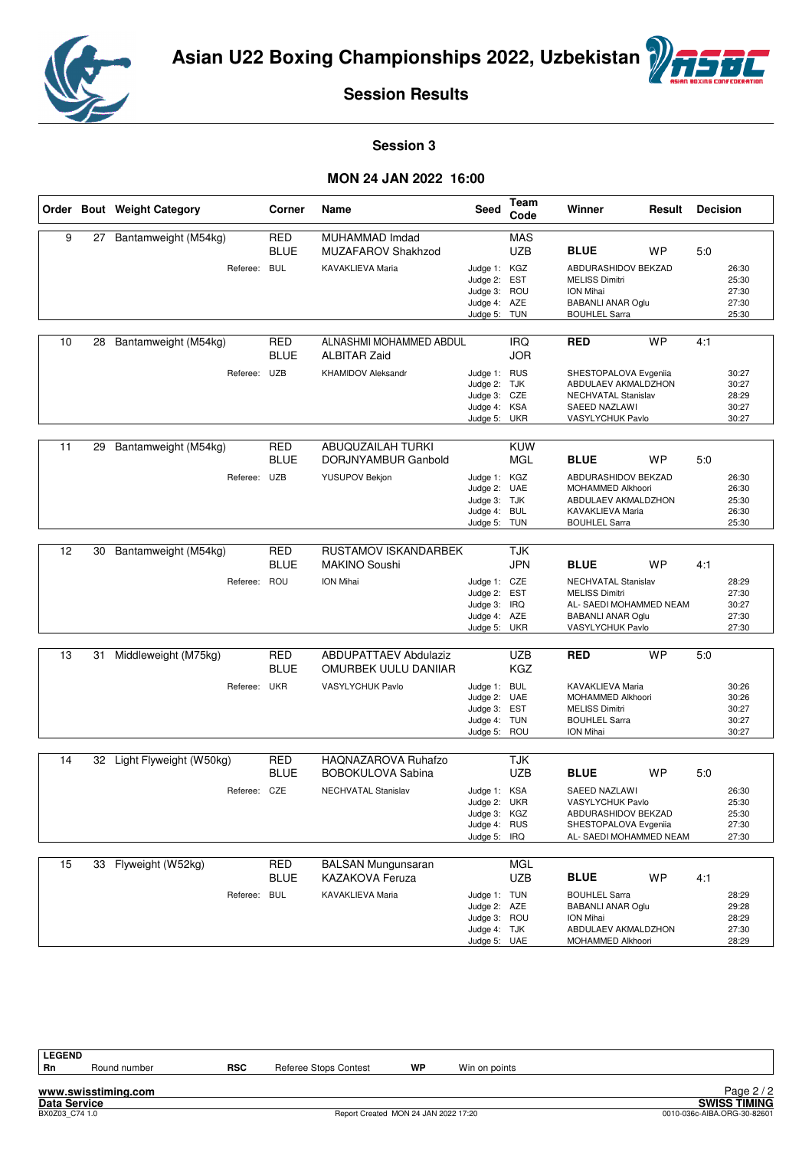



#### **Session 3**

#### **MON 24 JAN 2022 16:00**

|    |    | Order Bout Weight Category                 | Corner                    | Name                                                                        | <b>Seed</b>                                                                  | Team<br>Code                    | Winner                                                                                                                                 | Result    | <b>Decision</b> |                                           |
|----|----|--------------------------------------------|---------------------------|-----------------------------------------------------------------------------|------------------------------------------------------------------------------|---------------------------------|----------------------------------------------------------------------------------------------------------------------------------------|-----------|-----------------|-------------------------------------------|
| 9  | 27 | Bantamweight (M54kg)<br>Referee: BUL       | <b>RED</b><br>BLUE        | MUHAMMAD Imdad<br><b>MUZAFAROV Shakhzod</b><br>KAVAKLIEVA Maria             | Judge 1: KGZ<br>Judge 2: EST<br>Judge 3: ROU<br>Judge 4: AZE<br>Judge 5: TUN | <b>MAS</b><br><b>UZB</b>        | <b>BLUE</b><br>ABDURASHIDOV BEKZAD<br><b>MELISS Dimitri</b><br><b>ION Mihai</b><br><b>BABANLI ANAR Oglu</b><br><b>BOUHLEL Sarra</b>    | <b>WP</b> | 5:0             | 26:30<br>25:30<br>27:30<br>27:30<br>25:30 |
| 10 | 28 | Bantamweight (M54kg)<br>Referee: UZB       | RED<br><b>BLUE</b>        | ALNASHMI MOHAMMED ABDUL<br><b>ALBITAR Zaid</b><br><b>KHAMIDOV Aleksandr</b> | Judge 1: RUS<br>Judge 2: TJK<br>Judge 3: CZE<br>Judge 4: KSA<br>Judge 5: UKR | <b>IRQ</b><br><b>JOR</b>        | <b>RED</b><br>SHESTOPALOVA Evgeniia<br>ABDULAEV AKMALDZHON<br>NECHVATAL Stanislav<br>SAEED NAZLAWI<br>VASYLYCHUK Pavlo                 | <b>WP</b> | 4:1             | 30:27<br>30:27<br>28:29<br>30:27<br>30:27 |
| 11 | 29 | Bantamweight (M54kg)<br>Referee: UZB       | <b>RED</b><br>BLUE        | ABUQUZAILAH TURKI<br>DORJNYAMBUR Ganbold<br>YUSUPOV Bekjon                  | Judge 1: KGZ<br>Judge 2: UAE<br>Judge 3: TJK<br>Judge 4: BUL<br>Judge 5: TUN | <b>KUW</b><br><b>MGL</b>        | <b>BLUE</b><br>ABDURASHIDOV BEKZAD<br>MOHAMMED Alkhoori<br>ABDULAEV AKMALDZHON<br>KAVAKLIEVA Maria<br><b>BOUHLEL Sarra</b>             | WP        | 5:0             | 26:30<br>26:30<br>25:30<br>26:30<br>25:30 |
| 12 | 30 | Bantamweight (M54kg)<br>Referee: ROU       | <b>RED</b><br><b>BLUE</b> | RUSTAMOV ISKANDARBEK<br><b>MAKINO Soushi</b><br>ION Mihai                   | Judge 1: CZE<br>Judge 2: EST<br>Judge 3: IRQ<br>Judge 4: AZE<br>Judge 5: UKR | <b>TJK</b><br><b>JPN</b>        | <b>BLUE</b><br>NECHVATAL Stanislav<br><b>MELISS Dimitri</b><br>AL- SAEDI MOHAMMED NEAM<br><b>BABANLI ANAR Oglu</b><br>VASYLYCHUK Pavlo | <b>WP</b> | 4:1             | 28:29<br>27:30<br>30:27<br>27:30<br>27:30 |
| 13 | 31 | Middleweight (M75kg)<br>Referee: UKR       | <b>RED</b><br>BLUE        | <b>ABDUPATTAEV Abdulaziz</b><br>OMURBEK UULU DANIIAR<br>VASYLYCHUK Pavlo    | Judge 1: BUL<br>Judge 2: UAE<br>Judge 3: EST<br>Judge 4: TUN<br>Judge 5: ROU | <b>UZB</b><br><b>KGZ</b>        | <b>RED</b><br>KAVAKLIEVA Maria<br>MOHAMMED Alkhoori<br><b>MELISS Dimitri</b><br><b>BOUHLEL Sarra</b><br>ION Mihai                      | <b>WP</b> | 5:0             | 30:26<br>30:26<br>30:27<br>30:27<br>30:27 |
| 14 |    | 32 Light Flyweight (W50kg)<br>Referee: CZE | <b>RED</b><br><b>BLUE</b> | HAONAZAROVA Ruhafzo<br><b>BOBOKULOVA Sabina</b><br>NECHVATAL Stanislav      | Judge 1: KSA<br>Judge 2: UKR<br>Judge 3: KGZ<br>Judge 4: RUS<br>Judge 5:     | <b>TJK</b><br><b>UZB</b><br>IRQ | <b>BLUE</b><br><b>SAEED NAZLAWI</b><br>VASYLYCHUK Pavlo<br>ABDURASHIDOV BEKZAD<br>SHESTOPALOVA Evgeniia<br>AL- SAEDI MOHAMMED NEAM     | <b>WP</b> | 5:0             | 26:30<br>25:30<br>25:30<br>27:30<br>27:30 |
| 15 | 33 | Flyweight (W52kg)<br>Referee: BUL          | RED<br>BLUE               | <b>BALSAN Mungunsaran</b><br><b>KAZAKOVA Feruza</b><br>KAVAKLIEVA Maria     | Judge 1: TUN<br>Judge 2: AZE<br>Judge 3: ROU<br>Judge 4: TJK<br>Judge 5: UAE | MGL<br><b>UZB</b>               | <b>BLUE</b><br><b>BOUHLEL Sarra</b><br><b>BABANLI ANAR Oglu</b><br>ION Mihai<br>ABDULAEV AKMALDZHON<br>MOHAMMED Alkhoori               | <b>WP</b> | 4:1             | 28:29<br>29:28<br>28:29<br>27:30<br>28:29 |

**LEGEND**

**www.swisstiming.com**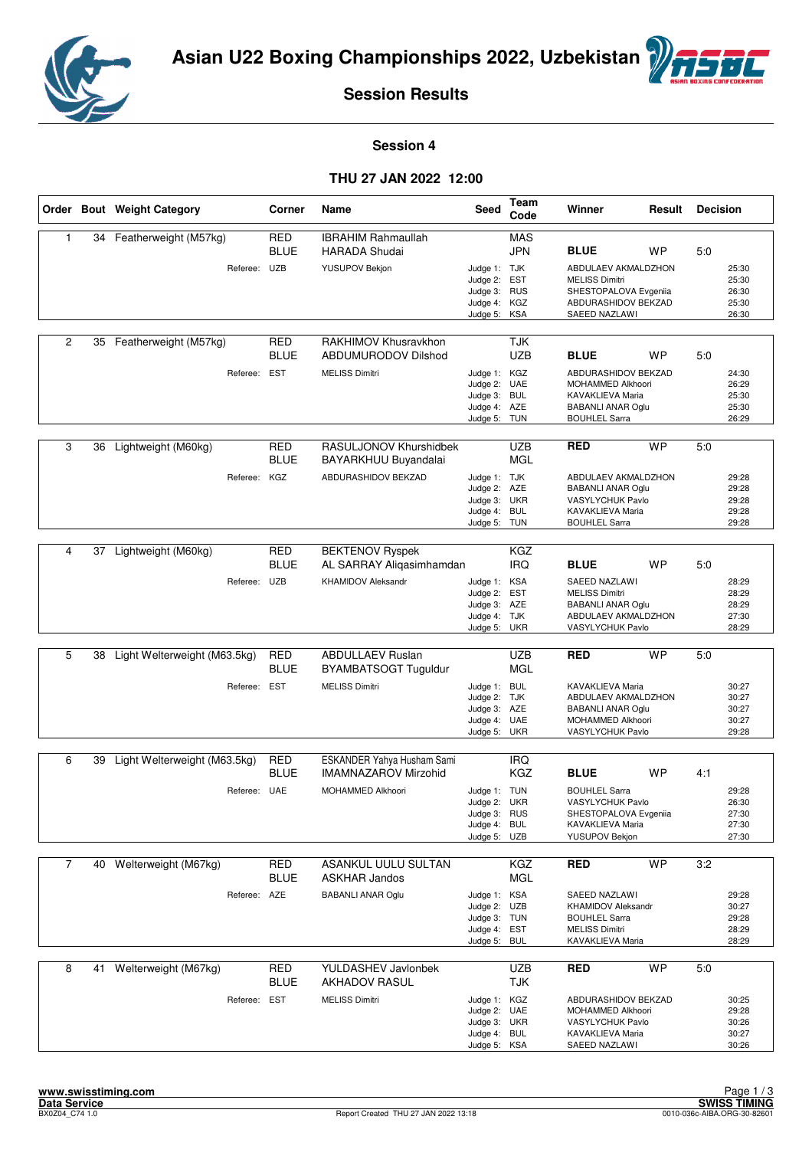



#### **Session 4**

#### **THU 27 JAN 2022 12:00**

|                |    | Order Bout Weight Category   | Corner                    | Name                                               | Seed                                                                         | Team<br>Code             | Winner                                                                                                           | Result    | <b>Decision</b> |                                           |
|----------------|----|------------------------------|---------------------------|----------------------------------------------------|------------------------------------------------------------------------------|--------------------------|------------------------------------------------------------------------------------------------------------------|-----------|-----------------|-------------------------------------------|
| 1              | 34 | Featherweight (M57kg)        | <b>RED</b><br><b>BLUE</b> | <b>IBRAHIM Rahmaullah</b><br><b>HARADA Shudai</b>  |                                                                              | <b>MAS</b><br><b>JPN</b> | <b>BLUE</b>                                                                                                      | WP        | 5:0             |                                           |
|                |    | Referee: UZB                 |                           | <b>YUSUPOV Bekjon</b>                              | Judge 1: TJK<br>Judge 2: EST<br>Judge 3: RUS<br>Judge 4: KGZ<br>Judge 5:     | KSA                      | ABDULAEV AKMALDZHON<br><b>MELISS Dimitri</b><br>SHESTOPALOVA Evgeniia<br>ABDURASHIDOV BEKZAD<br>SAEED NAZLAWI    |           |                 | 25:30<br>25:30<br>26:30<br>25:30<br>26:30 |
| $\overline{2}$ |    | 35 Featherweight (M57kg)     | <b>RED</b><br><b>BLUE</b> | RAKHIMOV Khusravkhon<br><b>ABDUMURODOV Dilshod</b> |                                                                              | TJK<br><b>UZB</b>        | <b>BLUE</b>                                                                                                      | <b>WP</b> | 5:0             |                                           |
|                |    | Referee: EST                 |                           | <b>MELISS Dimitri</b>                              | Judge 1: KGZ<br>Judge 2: UAE<br>Judge 3: BUL<br>Judge 4: AZE<br>Judge 5: TUN |                          | ABDURASHIDOV BEKZAD<br>MOHAMMED Alkhoori<br>KAVAKLIEVA Maria<br><b>BABANLI ANAR Oglu</b><br><b>BOUHLEL Sarra</b> |           |                 | 24:30<br>26:29<br>25:30<br>25:30<br>26:29 |
| 3              | 36 | Lightweight (M60kg)          | RED<br><b>BLUE</b>        | RASULJONOV Khurshidbek<br>BAYARKHUU Buyandalai     |                                                                              | <b>UZB</b><br><b>MGL</b> | <b>RED</b>                                                                                                       | <b>WP</b> | 5:0             |                                           |
|                |    | Referee:                     | KGZ                       | ABDURASHIDOV BEKZAD                                | Judge 1: TJK<br>Judge 2: AZE<br>Judge 3: UKR<br>Judge 4:<br>Judge 5: TUN     | <b>BUL</b>               | ABDULAEV AKMALDZHON<br><b>BABANLI ANAR Oglu</b><br>VASYLYCHUK Pavlo<br>KAVAKLIEVA Maria<br><b>BOUHLEL Sarra</b>  |           |                 | 29:28<br>29:28<br>29:28<br>29:28<br>29:28 |
| 4              | 37 | Lightweight (M60kg)          | <b>RED</b><br><b>BLUE</b> | <b>BEKTENOV Ryspek</b><br>AL SARRAY Aligasimhamdan |                                                                              | <b>KGZ</b><br><b>IRQ</b> | <b>BLUE</b>                                                                                                      | WP        | 5:0             |                                           |
|                |    | Referee: UZB                 |                           | <b>KHAMIDOV Aleksandr</b>                          | Judge 1: KSA<br>Judge 2:<br>Judge 3: AZE<br>Judge 4: TJK<br>Judge 5: UKR     | <b>EST</b>               | SAEED NAZLAWI<br><b>MELISS Dimitri</b><br><b>BABANLI ANAR Oglu</b><br>ABDULAEV AKMALDZHON<br>VASYLYCHUK Pavlo    |           |                 | 28:29<br>28:29<br>28:29<br>27:30<br>28:29 |
| 5              |    | Light Welterweight (M63.5kg) | RED                       | <b>ABDULLAEV Ruslan</b>                            |                                                                              | <b>UZB</b>               | <b>RED</b>                                                                                                       | <b>WP</b> | 5:0             |                                           |
|                | 38 |                              | <b>BLUE</b>               | BYAMBATSOGT Tuguldur                               |                                                                              | <b>MGL</b>               |                                                                                                                  |           |                 |                                           |
|                |    | Referee: EST                 |                           | <b>MELISS Dimitri</b>                              | Judge 1: BUL<br>Judge 2: TJK<br>Judge 3: AZE<br>Judge 4: UAE<br>Judge 5:     | <b>UKR</b>               | KAVAKLIEVA Maria<br>ABDULAEV AKMALDZHON<br><b>BABANLI ANAR Oglu</b><br>MOHAMMED Alkhoori<br>VASYLYCHUK Pavlo     |           |                 | 30:27<br>30:27<br>30:27<br>30:27<br>29:28 |
| 6              | 39 | Light Welterweight (M63.5kg) | RED                       | ESKANDER Yahya Husham Sami                         |                                                                              | <b>IRQ</b>               |                                                                                                                  |           |                 |                                           |
|                |    |                              | <b>BLUE</b>               | IMAMNAZAROV Mirzohid                               |                                                                              | <b>KGZ</b>               | <b>BLUE</b>                                                                                                      | <b>WP</b> | 4:1             |                                           |
|                |    | Referee: UAE                 |                           | MOHAMMED Alkhoori                                  | Judge 1: TUN<br>Judge 2:<br>Judge 3: RUS<br>Judge 4: BUL<br>Judge 5: UZB     | UKR                      | <b>BOUHLEL Sarra</b><br>VASYLYCHUK Pavlo<br>SHESTOPALOVA Evgeniia<br>KAVAKLIEVA Maria<br>YUSUPOV Bekjon          |           |                 | 29:28<br>26:30<br>27:30<br>27:30<br>27:30 |
| $\overline{7}$ | 40 | Welterweight (M67kg)         | RED                       | ASANKUL UULU SULTAN                                |                                                                              | <b>KGZ</b>               | <b>RED</b>                                                                                                       | <b>WP</b> | 3:2             |                                           |
|                |    |                              | <b>BLUE</b>               | <b>ASKHAR Jandos</b>                               |                                                                              | <b>MGL</b>               |                                                                                                                  |           |                 |                                           |
|                |    | Referee: AZE                 |                           | <b>BABANLI ANAR Oglu</b>                           | Judge 1: KSA<br>Judge 2: UZB<br>Judge 3: TUN<br>Judge 4: EST<br>Judge 5:     | <b>BUL</b>               | SAEED NAZLAWI<br><b>KHAMIDOV Aleksandr</b><br><b>BOUHLEL Sarra</b><br><b>MELISS Dimitri</b><br>KAVAKLIEVA Maria  |           |                 | 29:28<br>30:27<br>29:28<br>28:29<br>28:29 |
| 8              | 41 | Welterweight (M67kg)         | <b>RED</b><br><b>BLUE</b> | <b>YULDASHEV Javlonbek</b><br><b>AKHADOV RASUL</b> |                                                                              | <b>UZB</b><br>TJK        | <b>RED</b>                                                                                                       | <b>WP</b> | 5:0             |                                           |
|                |    | Referee: EST                 |                           | <b>MELISS Dimitri</b>                              | Judge 1: KGZ<br>Judge 2: UAE<br>Judge 3: UKR<br>Judge 4: BUL<br>Judge 5: KSA |                          | ABDURASHIDOV BEKZAD<br>MOHAMMED Alkhoori<br>VASYLYCHUK Pavlo<br>KAVAKLIEVA Maria<br>SAEED NAZLAWI                |           |                 | 30:25<br>29:28<br>30:26<br>30:27<br>30:26 |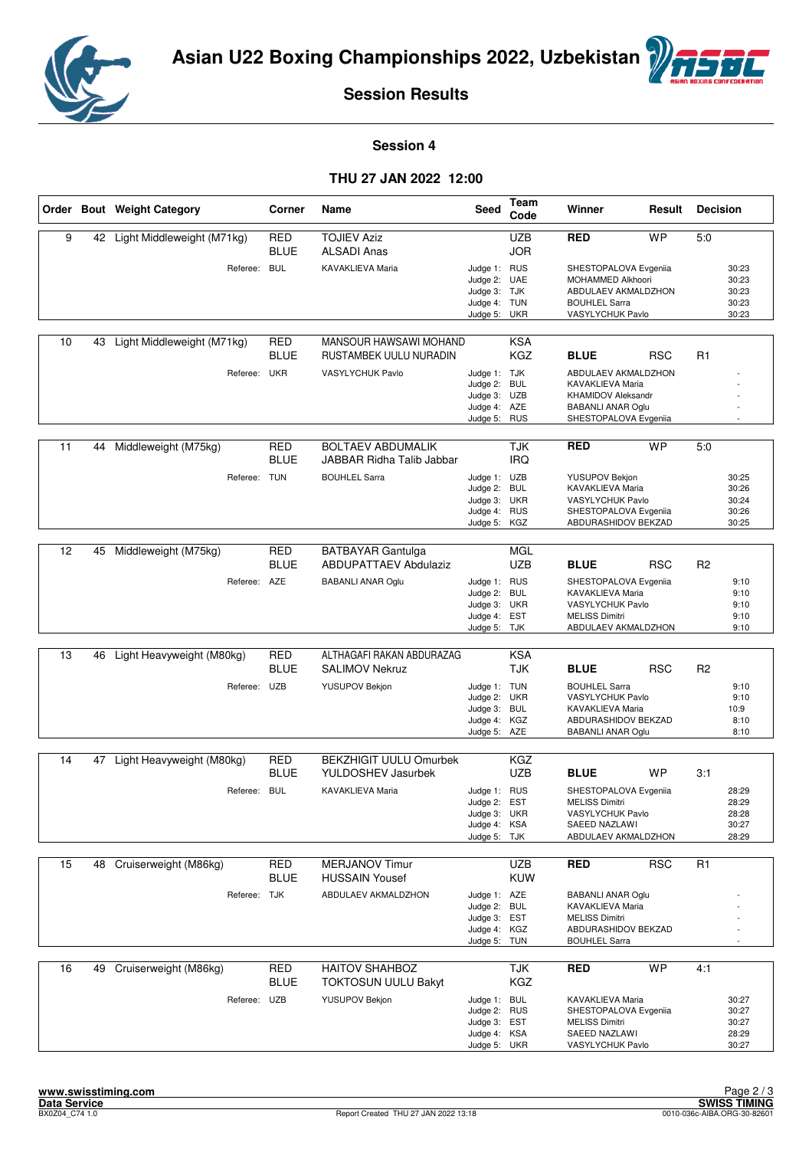



#### **Session 4**

#### **THU 27 JAN 2022 12:00**

|    |    | Order Bout Weight Category | Corner                    | Name                                                     | <b>Seed</b>                                                                  | Team<br>Code             | Winner                                                                                                                    | Result     | <b>Decision</b> |                                           |
|----|----|----------------------------|---------------------------|----------------------------------------------------------|------------------------------------------------------------------------------|--------------------------|---------------------------------------------------------------------------------------------------------------------------|------------|-----------------|-------------------------------------------|
| 9  | 42 | Light Middleweight (M71kg) | <b>RED</b><br><b>BLUE</b> | <b>TOJIEV Aziz</b><br><b>ALSADI Anas</b>                 |                                                                              | <b>UZB</b><br><b>JOR</b> | <b>RED</b>                                                                                                                | <b>WP</b>  | 5:0             |                                           |
|    |    | Referee: BUL               |                           | KAVAKLIEVA Maria                                         | Judge 1: RUS<br>Judge 2: UAE<br>Judge 3: TJK<br>Judge 4: TUN<br>Judge 5: UKR |                          | SHESTOPALOVA Evgeniia<br>MOHAMMED Alkhoori<br>ABDULAEV AKMALDZHON<br><b>BOUHLEL Sarra</b><br>VASYLYCHUK Pavlo             |            |                 | 30:23<br>30:23<br>30:23<br>30:23<br>30:23 |
| 10 | 43 | Light Middleweight (M71kg) | <b>RED</b><br><b>BLUE</b> | MANSOUR HAWSAWI MOHAND<br>RUSTAMBEK UULU NURADIN         |                                                                              | <b>KSA</b><br><b>KGZ</b> | <b>BLUE</b>                                                                                                               | <b>RSC</b> | R <sub>1</sub>  |                                           |
|    |    | Referee: UKR               |                           | VASYLYCHUK Pavlo                                         | Judge 1: TJK<br>Judge 2: BUL<br>Judge 3: UZB<br>Judge 4: AZE<br>Judge 5: RUS |                          | ABDULAEV AKMALDZHON<br>KAVAKLIEVA Maria<br><b>KHAMIDOV Aleksandr</b><br><b>BABANLI ANAR Oglu</b><br>SHESTOPALOVA Evgeniia |            |                 |                                           |
| 11 | 44 | Middleweight (M75kg)       | <b>RED</b><br>BLUE        | <b>BOLTAEV ABDUMALIK</b><br>JABBAR Ridha Talib Jabbar    |                                                                              | <b>TJK</b><br><b>IRQ</b> | <b>RED</b>                                                                                                                | <b>WP</b>  | 5:0             |                                           |
|    |    | Referee: TUN               |                           | <b>BOUHLEL Sarra</b>                                     | Judge 1: UZB<br>Judge 2: BUL<br>Judge 3: UKR<br>Judge 4: RUS<br>Judge 5: KGZ |                          | <b>YUSUPOV Bekjon</b><br>KAVAKLIEVA Maria<br>VASYLYCHUK Pavlo<br>SHESTOPALOVA Evgeniia<br>ABDURASHIDOV BEKZAD             |            |                 | 30:25<br>30:26<br>30:24<br>30:26<br>30:25 |
|    |    |                            |                           |                                                          |                                                                              |                          |                                                                                                                           |            |                 |                                           |
| 12 | 45 | Middleweight (M75kg)       | <b>RED</b><br><b>BLUE</b> | <b>BATBAYAR Gantulga</b><br><b>ABDUPATTAEV Abdulaziz</b> |                                                                              | <b>MGL</b><br><b>UZB</b> | <b>BLUE</b>                                                                                                               | <b>RSC</b> | R <sub>2</sub>  |                                           |
|    |    | Referee: AZE               |                           | <b>BABANLI ANAR Oglu</b>                                 | Judge 1: RUS<br>Judge 2: BUL<br>Judge 3: UKR<br>Judge 4: EST<br>Judge 5: TJK |                          | SHESTOPALOVA Evgeniia<br>KAVAKLIEVA Maria<br>VASYLYCHUK Pavlo<br><b>MELISS Dimitri</b><br>ABDULAEV AKMALDZHON             |            |                 | 9:10<br>9:10<br>9:10<br>9:10<br>9:10      |
|    |    |                            |                           |                                                          |                                                                              |                          |                                                                                                                           |            |                 |                                           |
| 13 | 46 | Light Heavyweight (M80kg)  | <b>RED</b><br>BLUE        | ALTHAGAFI RAKAN ABDURAZAG<br><b>SALIMOV Nekruz</b>       |                                                                              | <b>KSA</b><br><b>TJK</b> | <b>BLUE</b>                                                                                                               | <b>RSC</b> | R <sub>2</sub>  |                                           |
|    |    | Referee: UZB               |                           | YUSUPOV Bekjon                                           | Judge 1: TUN<br>Judge 2: UKR<br>Judge 3: BUL<br>Judge 4: KGZ<br>Judge 5: AZE |                          | <b>BOUHLEL Sarra</b><br>VASYLYCHUK Pavlo<br>KAVAKLIEVA Maria<br>ABDURASHIDOV BEKZAD<br><b>BABANLI ANAR Oglu</b>           |            |                 | 9:10<br>9:10<br>10:9<br>8:10<br>8:10      |
| 14 | 47 | Light Heavyweight (M80kg)  | <b>RED</b>                | <b>BEKZHIGIT UULU Omurbek</b>                            |                                                                              | KGZ                      |                                                                                                                           |            |                 |                                           |
|    |    |                            | <b>BLUE</b>               | <b>YULDOSHEV Jasurbek</b>                                |                                                                              | <b>UZB</b>               | <b>BLUE</b>                                                                                                               | <b>WP</b>  | 3:1             |                                           |
|    |    | Referee: BUL               |                           | <b>KAVAKLIEVA Maria</b>                                  | Judge 1: RUS<br>Judge 2: EST<br>Judge 3: UKR<br>Judge 4: KSA<br>Judge 5: TJK |                          | SHESTOPALOVA Evgeniia<br><b>MELISS Dimitri</b><br>VASYLYCHUK Pavlo<br>SAEED NAZLAWI<br>ABDULAEV AKMALDZHON                |            |                 | 28:29<br>28:29<br>28:28<br>30:27<br>28:29 |
| 15 | 48 | Cruiserweight (M86kg)      | <b>RED</b><br>BLUE        | <b>MERJANOV Timur</b><br><b>HUSSAIN Yousef</b>           |                                                                              | <b>UZB</b><br>KUW        | <b>RED</b>                                                                                                                | <b>RSC</b> | R1              |                                           |
|    |    | Referee: TJK               |                           | ABDULAEV AKMALDZHON                                      | Judge 1: AZE<br>Judge 2: BUL<br>Judge 3: EST<br>Judge 4: KGZ<br>Judge 5: TUN |                          | <b>BABANLI ANAR Oglu</b><br>KAVAKLIEVA Maria<br><b>MELISS Dimitri</b><br>ABDURASHIDOV BEKZAD<br><b>BOUHLEL Sarra</b>      |            |                 |                                           |
| 16 | 49 | Cruiserweight (M86kg)      | <b>RED</b><br><b>BLUE</b> | HAITOV SHAHBOZ<br><b>TOKTOSUN UULU Bakyt</b>             |                                                                              | <b>TJK</b><br>KGZ        | <b>RED</b>                                                                                                                | <b>WP</b>  | 4:1             |                                           |
|    |    | Referee: UZB               |                           | YUSUPOV Bekjon                                           | Judge 1: BUL<br>Judge 2: RUS<br>Judge 3: EST<br>Judge 4: KSA<br>Judge 5: UKR |                          | KAVAKLIEVA Maria<br>SHESTOPALOVA Evgeniia<br><b>MELISS Dimitri</b><br>SAEED NAZLAWI<br>VASYLYCHUK Pavlo                   |            |                 | 30:27<br>30:27<br>30:27<br>28:29<br>30:27 |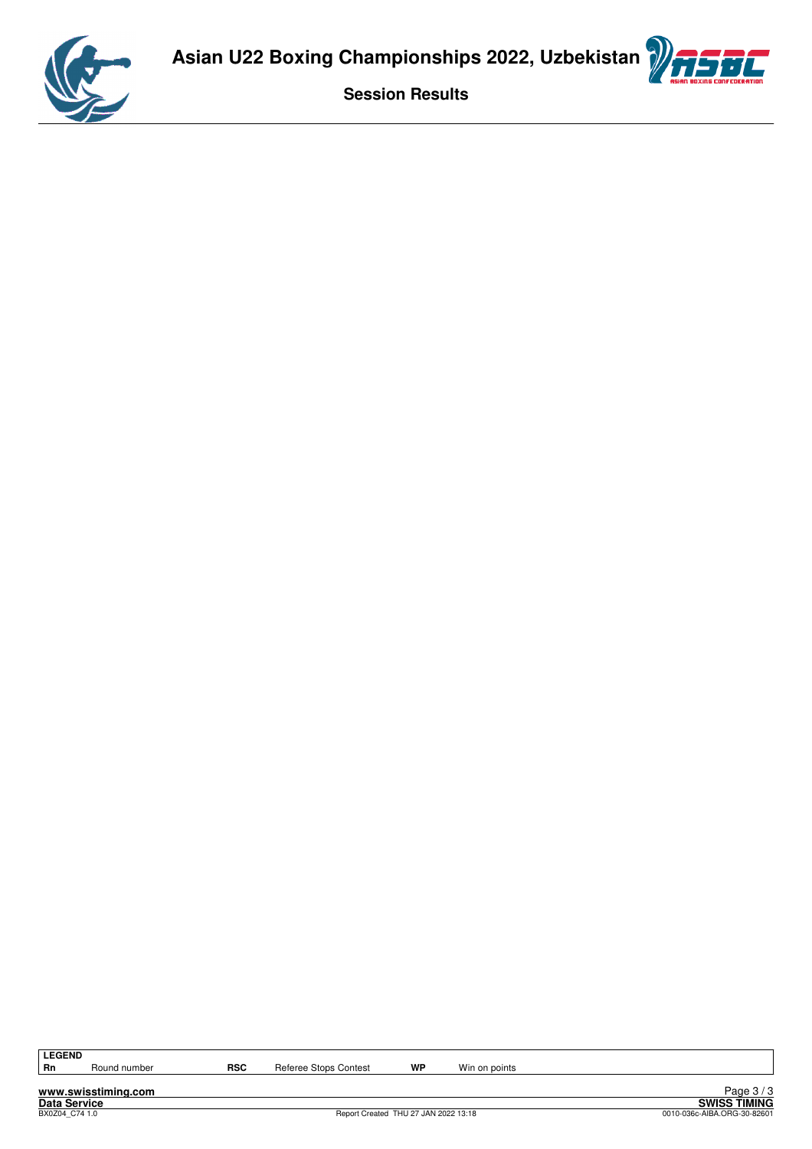



**www.swisstiming.com**

Round number **RSC** Referee Stops Contest **WP** Win on points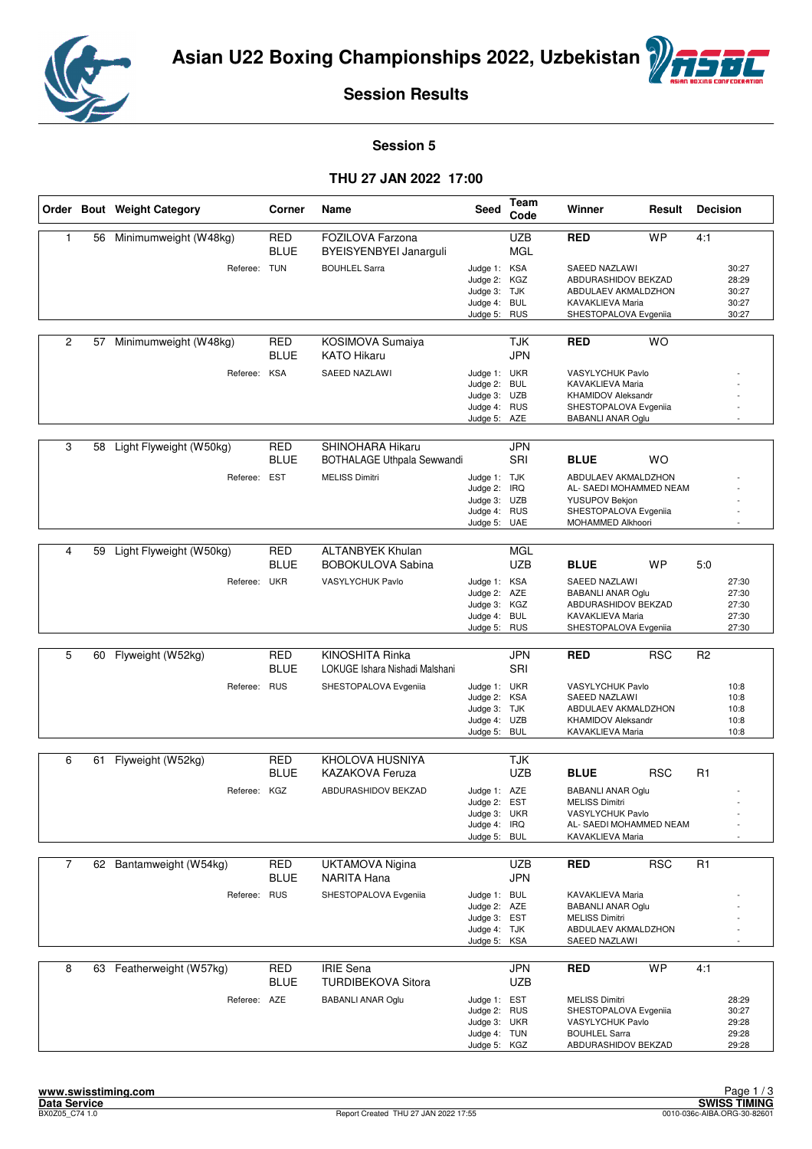



#### **Session 5**

#### **THU 27 JAN 2022 17:00**

|                |    | Order Bout Weight Category | Corner                    | Name                                                    | Seed                                                                         | Team<br>Code             | Winner                                                                                                                              | Result     | <b>Decision</b> |                                           |
|----------------|----|----------------------------|---------------------------|---------------------------------------------------------|------------------------------------------------------------------------------|--------------------------|-------------------------------------------------------------------------------------------------------------------------------------|------------|-----------------|-------------------------------------------|
| 1              | 56 | Minimumweight (W48kg)      | <b>RED</b><br><b>BLUE</b> | FOZILOVA Farzona<br>BYEISYENBYEI Janarguli              |                                                                              | <b>UZB</b><br><b>MGL</b> | <b>RED</b>                                                                                                                          | <b>WP</b>  | 4:1             |                                           |
|                |    | Referee: TUN               |                           | <b>BOUHLEL Sarra</b>                                    | Judge 1: KSA<br>Judge 2: KGZ<br>Judge 3: TJK<br>Judge 4: BUL<br>Judge 5: RUS |                          | <b>SAEED NAZLAWI</b><br>ABDURASHIDOV BEKZAD<br>ABDULAEV AKMALDZHON<br>KAVAKLIEVA Maria<br>SHESTOPALOVA Evgeniia                     |            |                 | 30:27<br>28:29<br>30:27<br>30:27<br>30:27 |
| $\overline{2}$ | 57 | Minimumweight (W48kg)      | <b>RED</b><br><b>BLUE</b> | KOSIMOVA Sumaiya<br><b>KATO Hikaru</b>                  |                                                                              | TJK<br><b>JPN</b>        | <b>RED</b>                                                                                                                          | <b>WO</b>  |                 |                                           |
|                |    | Referee: KSA               |                           | SAEED NAZLAWI                                           | Judge 1: UKR<br>Judge 2:<br>Judge 3: UZB<br>Judge 4: RUS<br>Judge 5: AZE     | <b>BUL</b>               | VASYLYCHUK Pavlo<br>KAVAKLIEVA Maria<br><b>KHAMIDOV Aleksandr</b><br>SHESTOPALOVA Evgeniia<br><b>BABANLI ANAR Oglu</b>              |            |                 |                                           |
| 3              | 58 | Light Flyweight (W50kg)    | RED<br><b>BLUE</b>        | SHINOHARA Hikaru<br><b>BOTHALAGE Uthpala Sewwandi</b>   |                                                                              | <b>JPN</b><br>SRI        | <b>BLUE</b>                                                                                                                         | <b>WO</b>  |                 |                                           |
|                |    | Referee:                   | <b>EST</b>                | <b>MELISS Dimitri</b>                                   | Judge 1: TJK<br>Judge 2:<br>Judge 3: UZB<br>Judge 4: RUS<br>Judge 5: UAE     | IRQ                      | ABDULAEV AKMALDZHON<br>AL- SAEDI MOHAMMED NEAM<br>YUSUPOV Bekjon<br>SHESTOPALOVA Evgeniia<br>MOHAMMED Alkhoori                      |            |                 |                                           |
| 4              | 59 | Light Flyweight (W50kg)    | <b>RED</b>                | <b>ALTANBYEK Khulan</b>                                 |                                                                              | <b>MGL</b>               |                                                                                                                                     |            |                 |                                           |
|                |    | Referee: UKR               | BLUE                      | <b>BOBOKULOVA Sabina</b><br><b>VASYLYCHUK Pavlo</b>     | Judge 1: KSA<br>Judge 2:<br>Judge 3: KGZ<br>Judge 4: BUL<br>Judge 5: RUS     | <b>UZB</b><br>AZE        | <b>BLUE</b><br>SAEED NAZLAWI<br><b>BABANLI ANAR Oglu</b><br>ABDURASHIDOV BEKZAD<br>KAVAKLIEVA Maria<br>SHESTOPALOVA Evgeniia        | WP         | 5:0             | 27:30<br>27:30<br>27:30<br>27:30<br>27:30 |
| 5              | 60 | Flyweight (W52kg)          | <b>RED</b>                | KINOSHITA Rinka                                         |                                                                              | <b>JPN</b>               | <b>RED</b>                                                                                                                          | <b>RSC</b> | R <sub>2</sub>  |                                           |
|                |    | Referee:                   | <b>BLUE</b><br><b>RUS</b> | LOKUGE Ishara Nishadi Malshani<br>SHESTOPALOVA Evgeniia | Judge 1: UKR<br>Judge 2: KSA<br>Judge 3: TJK<br>Judge 4: UZB<br>Judge 5:     | SRI<br><b>BUL</b>        | VASYLYCHUK Pavlo<br>SAEED NAZLAWI<br>ABDULAEV AKMALDZHON<br><b>KHAMIDOV Aleksandr</b><br>KAVAKLIEVA Maria                           |            |                 | 10:8<br>10:8<br>10:8<br>10:8<br>10:8      |
| 6              | 61 | Flyweight (W52kg)          | RED                       | KHOLOVA HUSNIYA                                         |                                                                              | TJK                      |                                                                                                                                     |            |                 |                                           |
|                |    | Referee: KGZ               | <b>BLUE</b>               | <b>KAZAKOVA Feruza</b><br>ABDURASHIDOV BEKZAD           | Judge 1: AZE<br>Judge 2:<br>Judge 3: UKR<br>Judge 4: IRQ<br>Judge 5: BUL     | <b>UZB</b><br>EST        | <b>BLUE</b><br><b>BABANLI ANAR Oglu</b><br><b>MELISS Dimitri</b><br>VASYLYCHUK Pavlo<br>AL- SAEDI MOHAMMED NEAM<br>KAVAKLIEVA Maria | <b>RSC</b> | R <sub>1</sub>  |                                           |
|                |    |                            |                           |                                                         |                                                                              |                          |                                                                                                                                     |            |                 |                                           |
| $\overline{7}$ |    | 62 Bantamweight (W54kg)    | RED<br><b>BLUE</b>        | <b>UKTAMOVA Nigina</b><br>NARITA Hana                   |                                                                              | UZB<br><b>JPN</b>        | <b>RED</b>                                                                                                                          | <b>RSC</b> | R <sub>1</sub>  |                                           |
|                |    | Referee: RUS               |                           | SHESTOPALOVA Evgeniia                                   | Judge 1: BUL<br>Judge 2: AZE<br>Judge 3: EST<br>Judge 4: TJK<br>Judge 5: KSA |                          | KAVAKLIEVA Maria<br><b>BABANLI ANAR Oglu</b><br><b>MELISS Dimitri</b><br>ABDULAEV AKMALDZHON<br>SAEED NAZLAWI                       |            |                 |                                           |
| 8              | 63 | Featherweight (W57kg)      | RED<br><b>BLUE</b>        | <b>IRIE</b> Sena<br>TURDIBEKOVA Sitora                  |                                                                              | JPN<br><b>UZB</b>        | <b>RED</b>                                                                                                                          | <b>WP</b>  | 4:1             |                                           |
|                |    | Referee: AZE               |                           | <b>BABANLI ANAR Oglu</b>                                | Judge 1: EST<br>Judge 2: RUS<br>Judge 3: UKR<br>Judge 4: TUN<br>Judge 5: KGZ |                          | <b>MELISS Dimitri</b><br>SHESTOPALOVA Evgeniia<br>VASYLYCHUK Pavlo<br><b>BOUHLEL Sarra</b><br>ABDURASHIDOV BEKZAD                   |            |                 | 28:29<br>30:27<br>29:28<br>29:28<br>29:28 |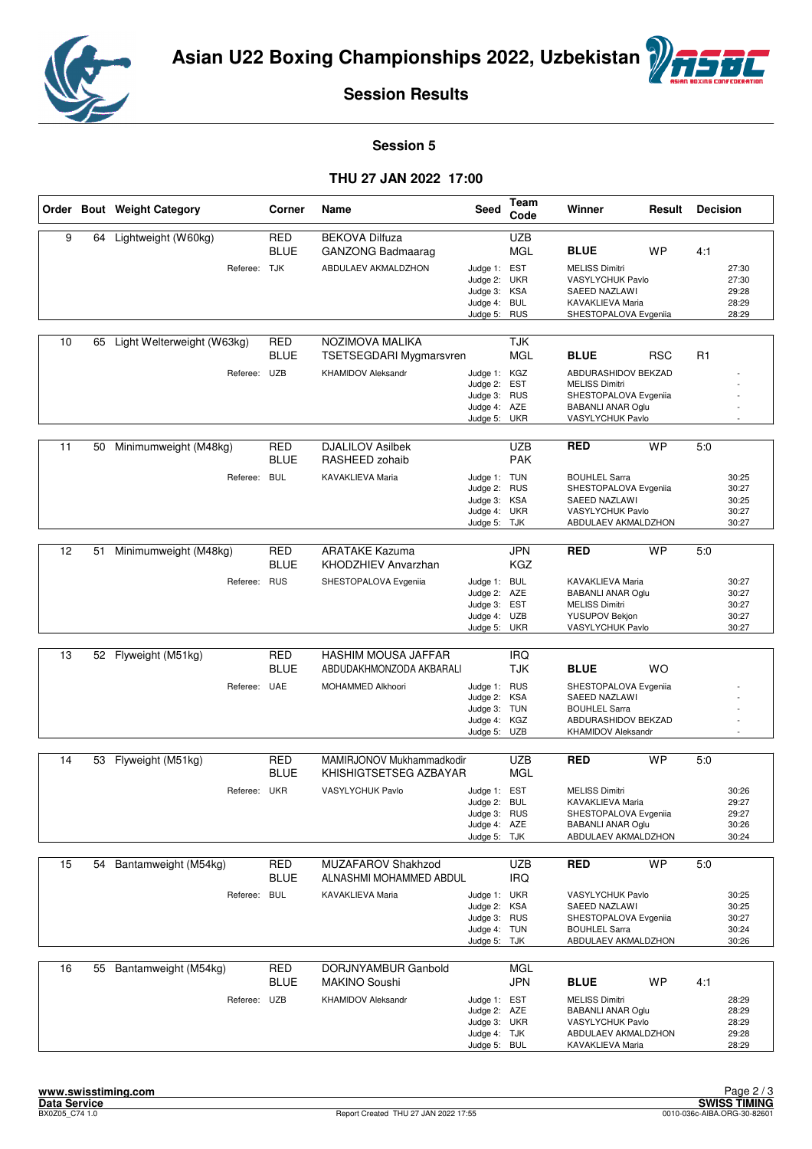



#### **Session 5**

#### **THU 27 JAN 2022 17:00**

|    |    | Order Bout Weight Category | Corner      | Name                           | Seed                         | Team<br>Code | Winner                                            | Result     | <b>Decision</b> |                |
|----|----|----------------------------|-------------|--------------------------------|------------------------------|--------------|---------------------------------------------------|------------|-----------------|----------------|
| 9  | 64 | Lightweight (W60kg)        | <b>RED</b>  | <b>BEKOVA Dilfuza</b>          |                              | <b>UZB</b>   |                                                   |            |                 |                |
|    |    |                            | <b>BLUE</b> | <b>GANZONG Badmaarag</b>       |                              | <b>MGL</b>   | <b>BLUE</b>                                       | <b>WP</b>  | 4:1             |                |
|    |    | Referee: TJK               |             | ABDULAEV AKMALDZHON            | Judge 1: EST                 |              | <b>MELISS Dimitri</b>                             |            |                 | 27:30          |
|    |    |                            |             |                                | Judge 2: UKR                 |              | VASYLYCHUK Pavlo                                  |            |                 | 27:30          |
|    |    |                            |             |                                | Judge 3: KSA<br>Judge 4: BUL |              | SAEED NAZLAWI<br>KAVAKLIEVA Maria                 |            |                 | 29:28<br>28:29 |
|    |    |                            |             |                                | Judge 5:                     | RUS          | SHESTOPALOVA Evgeniia                             |            |                 | 28:29          |
|    |    |                            |             |                                |                              |              |                                                   |            |                 |                |
| 10 | 65 | Light Welterweight (W63kg) | <b>RED</b>  | NOZIMOVA MALIKA                |                              | <b>TJK</b>   |                                                   |            |                 |                |
|    |    |                            | <b>BLUE</b> | <b>TSETSEGDARI Mygmarsvren</b> |                              | <b>MGL</b>   | <b>BLUE</b>                                       | <b>RSC</b> | R <sub>1</sub>  |                |
|    |    | Referee: UZB               |             | <b>KHAMIDOV Aleksandr</b>      | Judge 1: KGZ                 |              | ABDURASHIDOV BEKZAD                               |            |                 |                |
|    |    |                            |             |                                | Judge 2:                     | <b>EST</b>   | <b>MELISS Dimitri</b>                             |            |                 |                |
|    |    |                            |             |                                | Judge 3: RUS                 |              | SHESTOPALOVA Evgeniia                             |            |                 |                |
|    |    |                            |             |                                | Judge 4: AZE<br>Judge 5: UKR |              | <b>BABANLI ANAR Oglu</b><br>VASYLYCHUK Pavlo      |            |                 |                |
|    |    |                            |             |                                |                              |              |                                                   |            |                 |                |
| 11 | 50 | Minimumweight (M48kg)      | RED         | <b>DJALILOV Asilbek</b>        |                              | UZB          | <b>RED</b>                                        | <b>WP</b>  | 5:0             |                |
|    |    |                            | <b>BLUE</b> | RASHEED zohaib                 |                              | <b>PAK</b>   |                                                   |            |                 |                |
|    |    | Referee:                   | <b>BUL</b>  | KAVAKLIEVA Maria               | Judge 1: TUN                 |              | <b>BOUHLEL Sarra</b>                              |            |                 | 30:25          |
|    |    |                            |             |                                | Judge 2: RUS                 |              | SHESTOPALOVA Evgeniia                             |            |                 | 30:27          |
|    |    |                            |             |                                | Judge 3: KSA<br>Judge 4: UKR |              | <b>SAEED NAZLAWI</b><br>VASYLYCHUK Pavlo          |            |                 | 30:25<br>30:27 |
|    |    |                            |             |                                | Judge 5: TJK                 |              | ABDULAEV AKMALDZHON                               |            |                 | 30:27          |
|    |    |                            |             |                                |                              |              |                                                   |            |                 |                |
| 12 | 51 | Minimumweight (M48kg)      | <b>RED</b>  | <b>ARATAKE Kazuma</b>          |                              | <b>JPN</b>   | <b>RED</b>                                        | <b>WP</b>  | 5:0             |                |
|    |    |                            | <b>BLUE</b> | KHODZHIEV Anvarzhan            |                              | <b>KGZ</b>   |                                                   |            |                 |                |
|    |    | Referee: RUS               |             | SHESTOPALOVA Evgeniia          | Judge 1: BUL                 |              | KAVAKLIEVA Maria                                  |            |                 | 30:27          |
|    |    |                            |             |                                | Judge 2: AZE                 |              | <b>BABANLI ANAR Oglu</b>                          |            |                 | 30:27          |
|    |    |                            |             |                                | Judge 3: EST                 |              | <b>MELISS Dimitri</b>                             |            |                 | 30:27          |
|    |    |                            |             |                                | Judge 4: UZB<br>Judge 5: UKR |              | YUSUPOV Bekjon<br>VASYLYCHUK Pavlo                |            |                 | 30:27<br>30:27 |
|    |    |                            |             |                                |                              |              |                                                   |            |                 |                |
| 13 | 52 | Flyweight (M51kg)          | RED         | HASHIM MOUSA JAFFAR            |                              | <b>IRQ</b>   |                                                   |            |                 |                |
|    |    |                            | <b>BLUE</b> | ABDUDAKHMONZODA AKBARALI       |                              | TJK          | <b>BLUE</b>                                       | <b>WO</b>  |                 |                |
|    |    | Referee: UAE               |             | MOHAMMED Alkhoori              | Judge 1: RUS                 |              | SHESTOPALOVA Evgeniia                             |            |                 |                |
|    |    |                            |             |                                | Judge 2: KSA                 |              | SAEED NAZLAWI                                     |            |                 |                |
|    |    |                            |             |                                | Judge 3: TUN<br>Judge 4: KGZ |              | <b>BOUHLEL Sarra</b><br>ABDURASHIDOV BEKZAD       |            |                 |                |
|    |    |                            |             |                                | Judge 5:                     | <b>UZB</b>   | <b>KHAMIDOV Aleksandr</b>                         |            |                 |                |
|    |    |                            |             |                                |                              |              |                                                   |            |                 |                |
| 14 |    | 53 Flyweight (M51kg)       | RED         | MAMIRJONOV Mukhammadkodir      |                              | UZB          | <b>RED</b>                                        | <b>WP</b>  | 5.0             |                |
|    |    |                            | <b>BLUE</b> | KHISHIGTSETSEG AZBAYAR         |                              | <b>MGL</b>   |                                                   |            |                 |                |
|    |    | Referee: UKR               |             | VASYLYCHUK Pavlo               | Judge 1: EST                 |              | <b>MELISS Dimitri</b>                             |            |                 | 30:26          |
|    |    |                            |             |                                | Judge 2:                     | <b>BUL</b>   | KAVAKLIEVA Maria                                  |            |                 | 29:27          |
|    |    |                            |             |                                | Judge 3: RUS<br>Judge 4: AZE |              | SHESTOPALOVA Evgeniia<br><b>BABANLI ANAR Oglu</b> |            |                 | 29:27<br>30:26 |
|    |    |                            |             |                                | Judge 5: TJK                 |              | ABDULAEV AKMALDZHON                               |            |                 | 30:24          |
|    |    |                            |             |                                |                              |              |                                                   |            |                 |                |
| 15 | 54 | Bantamweight (M54kg)       | RED         | MUZAFAROV Shakhzod             |                              | <b>UZB</b>   | <b>RED</b>                                        | <b>WP</b>  | 5:0             |                |
|    |    |                            | <b>BLUE</b> | ALNASHMI MOHAMMED ABDUL        |                              | <b>IRQ</b>   |                                                   |            |                 |                |
|    |    | Referee:                   | <b>BUL</b>  | KAVAKLIEVA Maria               | Judge 1: UKR                 |              | VASYLYCHUK Pavlo                                  |            |                 | 30:25          |
|    |    |                            |             |                                | Judge 2: KSA                 |              | SAEED NAZLAWI                                     |            |                 | 30:25          |
|    |    |                            |             |                                | Judge 3: RUS<br>Judge 4: TUN |              | SHESTOPALOVA Evgeniia<br><b>BOUHLEL Sarra</b>     |            |                 | 30:27<br>30:24 |
|    |    |                            |             |                                | Judge 5: TJK                 |              | ABDULAEV AKMALDZHON                               |            |                 | 30:26          |
|    |    |                            |             |                                |                              |              |                                                   |            |                 |                |
| 16 | 55 | Bantamweight (M54kg)       | RED         | DORJNYAMBUR Ganbold            |                              | MGL          |                                                   |            |                 |                |
|    |    |                            | <b>BLUE</b> | <b>MAKINO Soushi</b>           |                              | <b>JPN</b>   | <b>BLUE</b>                                       | WP         | 4:1             |                |
|    |    | Referee: UZB               |             | <b>KHAMIDOV Aleksandr</b>      | Judge 1: EST                 |              | <b>MELISS Dimitri</b>                             |            |                 | 28:29          |
|    |    |                            |             |                                | Judge 2: AZE                 |              | <b>BABANLI ANAR Oglu</b>                          |            |                 | 28:29          |
|    |    |                            |             |                                | Judge 3: UKR<br>Judge 4: TJK |              | VASYLYCHUK Pavlo<br>ABDULAEV AKMALDZHON           |            |                 | 28:29<br>29:28 |
|    |    |                            |             |                                | Judge 5: BUL                 |              | KAVAKLIEVA Maria                                  |            |                 | 28:29          |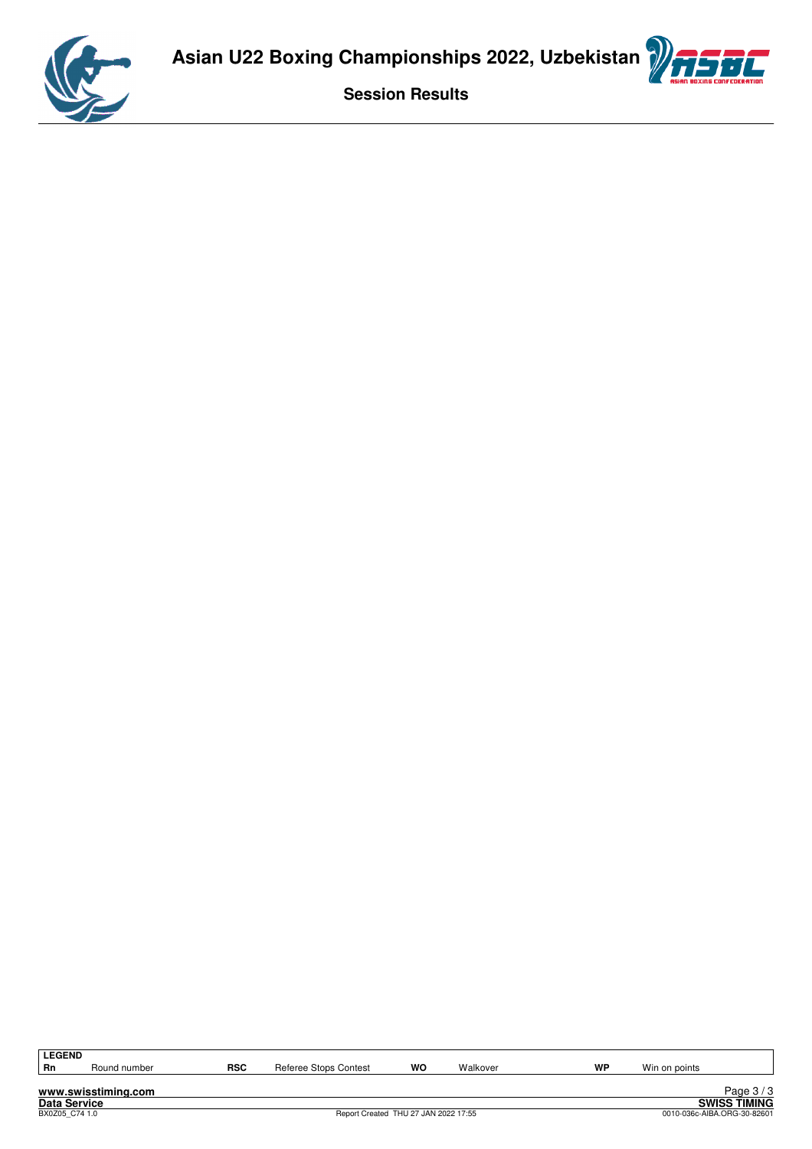



| <b>LEGEND</b>       |                     |     |                                      |    |          |    |               |                             |
|---------------------|---------------------|-----|--------------------------------------|----|----------|----|---------------|-----------------------------|
| <b>Rn</b>           | Round number        | RSC | Referee Stops Contest                | wo | Walkover | WP | Win on points |                             |
|                     |                     |     |                                      |    |          |    |               |                             |
|                     | www.swisstiming.com |     |                                      |    |          |    |               | Page $3/3$                  |
| <b>Data Service</b> |                     |     |                                      |    |          |    |               | <b>SWISS TIMING</b>         |
| BX0Z05 C74 1.0      |                     |     | Report Created THU 27 JAN 2022 17:55 |    |          |    |               | 0010-036c-AIBA.ORG-30-82601 |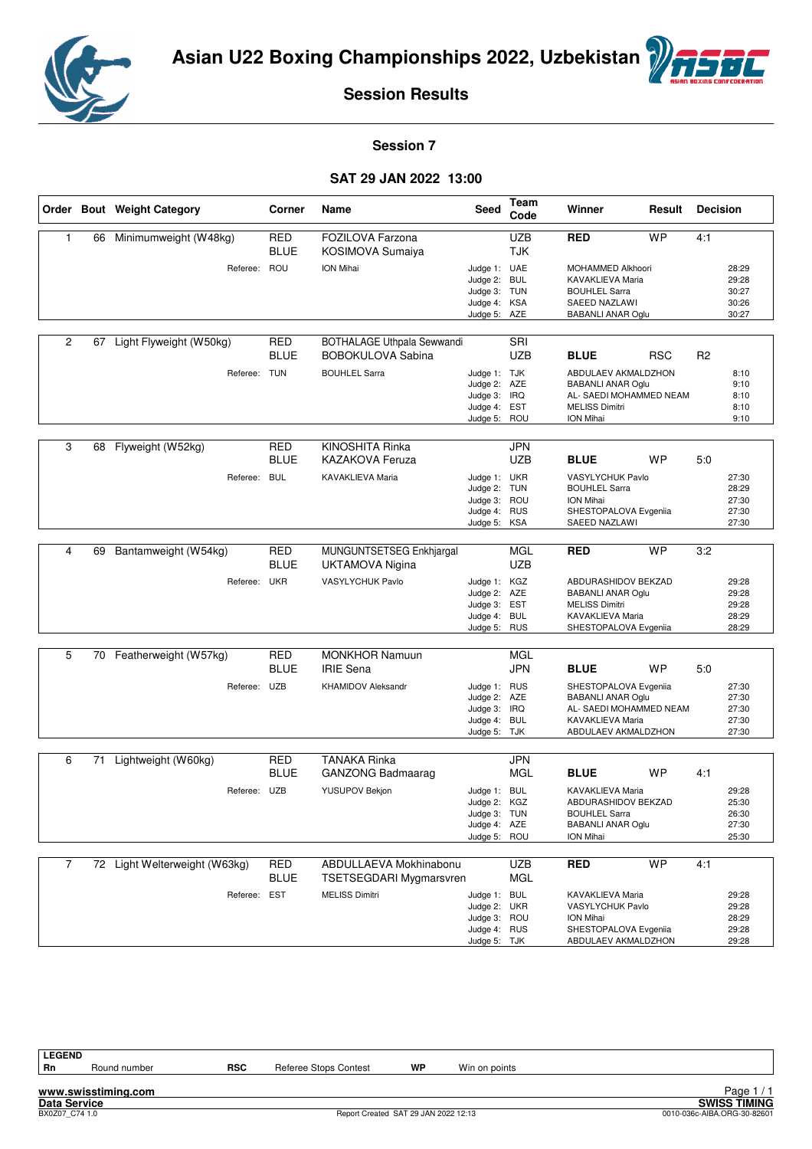



#### **Session 7**

#### **SAT 29 JAN 2022 13:00**

|                |    | Order Bout Weight Category    | Corner                    | Name                                                          | <b>Seed</b>                                                                  | Team<br>Code             | Winner                                                                                                                  | Result     | <b>Decision</b> |                                           |
|----------------|----|-------------------------------|---------------------------|---------------------------------------------------------------|------------------------------------------------------------------------------|--------------------------|-------------------------------------------------------------------------------------------------------------------------|------------|-----------------|-------------------------------------------|
| 1              | 66 | Minimumweight (W48kg)         | RED<br><b>BLUE</b>        | FOZILOVA Farzona<br>KOSIMOVA Sumaiya                          |                                                                              | <b>UZB</b><br><b>TJK</b> | <b>RED</b>                                                                                                              | <b>WP</b>  | 4:1             |                                           |
|                |    | Referee: ROU                  |                           | <b>ION Mihai</b>                                              | Judge 1: UAE<br>Judge 2: BUL<br>Judge 3: TUN<br>Judge 4: KSA<br>Judge 5: AZE |                          | MOHAMMED Alkhoori<br>KAVAKLIEVA Maria<br><b>BOUHLEL Sarra</b><br>SAEED NAZLAWI<br><b>BABANLI ANAR Oglu</b>              |            |                 | 28:29<br>29:28<br>30:27<br>30:26<br>30:27 |
| 2              |    | 67 Light Flyweight (W50kg)    | <b>RED</b><br><b>BLUE</b> | <b>BOTHALAGE Uthpala Sewwandi</b><br><b>BOBOKULOVA Sabina</b> |                                                                              | SRI<br><b>UZB</b>        | <b>BLUE</b>                                                                                                             | <b>RSC</b> | R <sub>2</sub>  |                                           |
|                |    | Referee: TUN                  |                           | <b>BOUHLEL Sarra</b>                                          | Judge 1: TJK<br>Judge 2: AZE<br>Judge 3: IRQ<br>Judge 4:<br>Judge 5: ROU     | <b>EST</b>               | ABDULAEV AKMALDZHON<br><b>BABANLI ANAR Oglu</b><br>AL- SAEDI MOHAMMED NEAM<br><b>MELISS Dimitri</b><br>ION Mihai        |            |                 | 8:10<br>9:10<br>8:10<br>8:10<br>9:10      |
| 3              | 68 | Flyweight (W52kg)             | <b>RED</b><br>BLUE        | KINOSHITA Rinka<br><b>KAZAKOVA Feruza</b>                     |                                                                              | <b>JPN</b><br><b>UZB</b> | <b>BLUE</b>                                                                                                             | <b>WP</b>  | 5:0             |                                           |
|                |    | Referee: BUL                  |                           | <b>KAVAKLIEVA Maria</b>                                       | Judge 1: UKR<br>Judge 2: TUN<br>Judge 3: ROU<br>Judge 4: RUS<br>Judge 5: KSA |                          | VASYLYCHUK Pavlo<br><b>BOUHLEL Sarra</b><br>ION Mihai<br>SHESTOPALOVA Evgeniia<br>SAEED NAZLAWI                         |            |                 | 27:30<br>28:29<br>27:30<br>27:30<br>27:30 |
| 4              | 69 | Bantamweight (W54kg)          | <b>RED</b><br><b>BLUE</b> | MUNGUNTSETSEG Enkhjargal<br><b>UKTAMOVA Nigina</b>            |                                                                              | <b>MGL</b><br><b>UZB</b> | <b>RED</b>                                                                                                              | <b>WP</b>  | 3:2             |                                           |
|                |    | Referee: UKR                  |                           | VASYLYCHUK Pavlo                                              | Judge 1: KGZ<br>Judge 2: AZE<br>Judge 3: EST<br>Judge 4: BUL<br>Judge 5: RUS |                          | ABDURASHIDOV BEKZAD<br><b>BABANLI ANAR Oglu</b><br><b>MELISS Dimitri</b><br>KAVAKLIEVA Maria<br>SHESTOPALOVA Evgeniia   |            |                 | 29:28<br>29:28<br>29:28<br>28:29<br>28:29 |
| 5              |    | 70 Featherweight (W57kg)      | <b>RED</b><br>BLUE        | <b>MONKHOR Namuun</b><br><b>IRIE Sena</b>                     |                                                                              | <b>MGL</b><br><b>JPN</b> | <b>BLUE</b>                                                                                                             | <b>WP</b>  | 5:0             |                                           |
|                |    | Referee: UZB                  |                           | <b>KHAMIDOV Aleksandr</b>                                     | Judge 1: RUS<br>Judge 2: AZE<br>Judge 3: IRQ<br>Judge 4: BUL<br>Judge 5: TJK |                          | SHESTOPALOVA Evgeniia<br><b>BABANLI ANAR Oglu</b><br>AL- SAEDI MOHAMMED NEAM<br>KAVAKLIEVA Maria<br>ABDULAEV AKMALDZHON |            |                 | 27:30<br>27:30<br>27:30<br>27:30<br>27:30 |
| 6              | 71 | Lightweight (W60kg)           | <b>RED</b>                | <b>TANAKA Rinka</b>                                           |                                                                              | <b>JPN</b>               |                                                                                                                         |            |                 |                                           |
|                |    |                               | <b>BLUE</b>               | <b>GANZONG Badmaarag</b>                                      |                                                                              | <b>MGL</b>               | <b>BLUE</b>                                                                                                             | <b>WP</b>  | 4:1             |                                           |
|                |    | Referee: UZB                  |                           | YUSUPOV Bekjon                                                | Judge 1: BUL<br>Judge 2: KGZ<br>Judge 3: TUN<br>Judge 4: AZE<br>Judge 5: ROU |                          | <b>KAVAKLIEVA Maria</b><br>ABDURASHIDOV BEKZAD<br><b>BOUHLEL Sarra</b><br><b>BABANLI ANAR Oglu</b><br>ION Mihai         |            |                 | 29:28<br>25:30<br>26:30<br>27:30<br>25:30 |
| $\overline{7}$ |    | 72 Light Welterweight (W63kg) | RED<br><b>BLUE</b>        | ABDULLAEVA Mokhinabonu<br>TSETSEGDARI Mygmarsvren             |                                                                              | <b>UZB</b><br><b>MGL</b> | <b>RED</b>                                                                                                              | <b>WP</b>  | 4:1             |                                           |
|                |    | Referee: EST                  |                           | <b>MELISS Dimitri</b>                                         | Judge 1: BUL<br>Judge 2: UKR<br>Judge 3: ROU<br>Judge 4: RUS<br>Judge 5: TJK |                          | KAVAKLIEVA Maria<br>VASYLYCHUK Pavlo<br>ION Mihai<br>SHESTOPALOVA Evgeniia<br>ABDULAEV AKMALDZHON                       |            |                 | 29:28<br>29:28<br>28:29<br>29:28<br>29:28 |

**LEGEND**

**www.swisstiming.com**

Round number **RSC** Referee Stops Contest **WP** Win on points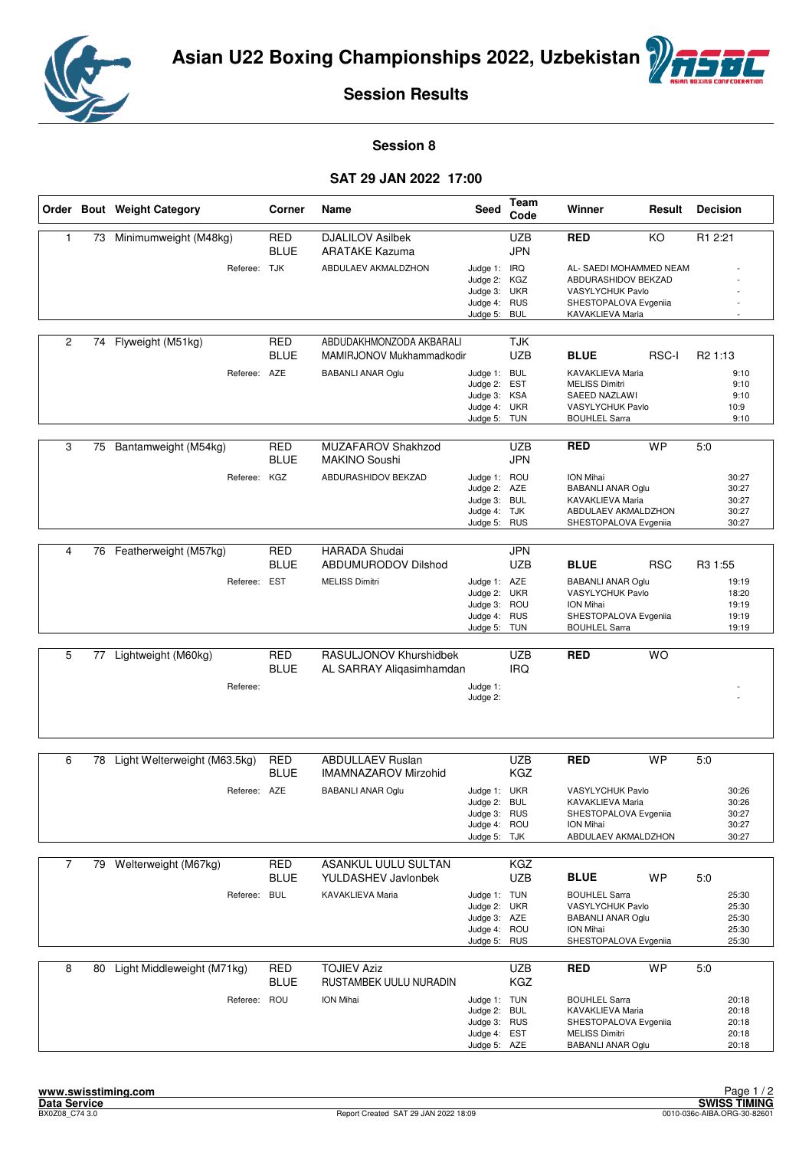



#### **Session 8**

#### **SAT 29 JAN 2022 17:00**

|                |    | Order Bout Weight Category   | Corner                    | Name                                                  | Seed                                                                         | Team<br>Code             | Winner                                                                                                                           | Result     | <b>Decision</b>                                                  |
|----------------|----|------------------------------|---------------------------|-------------------------------------------------------|------------------------------------------------------------------------------|--------------------------|----------------------------------------------------------------------------------------------------------------------------------|------------|------------------------------------------------------------------|
| 1              |    | 73 Minimumweight (M48kg)     | <b>RED</b><br><b>BLUE</b> | <b>DJALILOV Asilbek</b><br><b>ARATAKE Kazuma</b>      |                                                                              | <b>UZB</b><br><b>JPN</b> | <b>RED</b>                                                                                                                       | KO         | R1 2:21                                                          |
|                |    | Referee: TJK                 |                           | ABDULAEV AKMALDZHON                                   | Judge 1: IRQ<br>Judge 2: KGZ<br>Judge 3: UKR<br>Judge 4: RUS<br>Judge 5:     | <b>BUL</b>               | AL- SAEDI MOHAMMED NEAM<br>ABDURASHIDOV BEKZAD<br>VASYLYCHUK Pavlo<br>SHESTOPALOVA Evgeniia<br>KAVAKLIEVA Maria                  |            |                                                                  |
| $\overline{2}$ | 74 | Flyweight (M51kg)            | <b>RED</b><br><b>BLUE</b> | ABDUDAKHMONZODA AKBARALI<br>MAMIRJONOV Mukhammadkodir |                                                                              | TJK<br><b>UZB</b>        | <b>BLUE</b>                                                                                                                      | RSC-I      | R <sub>2</sub> 1:13                                              |
|                |    | Referee: AZE                 |                           | <b>BABANLI ANAR Oglu</b>                              | Judge 1: BUL<br>Judge 2: EST<br>Judge 3: KSA<br>Judge 4: UKR<br>Judge 5: TUN |                          | <b>KAVAKLIEVA Maria</b><br><b>MELISS Dimitri</b><br>SAEED NAZLAWI<br>VASYLYCHUK Pavlo<br><b>BOUHLEL Sarra</b>                    |            | 9:10<br>9:10<br>9:10<br>10:9<br>9:10                             |
| 3              | 75 | Bantamweight (M54kg)         | <b>RED</b><br><b>BLUE</b> | MUZAFAROV Shakhzod<br><b>MAKINO Soushi</b>            |                                                                              | <b>UZB</b><br><b>JPN</b> | <b>RED</b>                                                                                                                       | <b>WP</b>  | 5:0                                                              |
|                |    | Referee:                     | KGZ                       | ABDURASHIDOV BEKZAD                                   | Judge 1: ROU<br>Judge 2: AZE<br>Judge 3: BUL<br>Judge 4: TJK<br>Judge 5: RUS |                          | <b>ION Mihai</b><br><b>BABANLI ANAR Oglu</b><br>KAVAKLIEVA Maria<br>ABDULAEV AKMALDZHON<br>SHESTOPALOVA Evgeniia                 |            | 30:27<br>30:27<br>30:27<br>30:27<br>30:27                        |
| 4              | 76 | Featherweight (M57kg)        | <b>RED</b>                | <b>HARADA Shudai</b>                                  |                                                                              | <b>JPN</b>               |                                                                                                                                  |            |                                                                  |
|                |    | Referee: EST                 | <b>BLUE</b>               | <b>ABDUMURODOV Dilshod</b><br><b>MELISS Dimitri</b>   | Judge 1: AZE<br>Judge 2: UKR<br>Judge 3: ROU<br>Judge 4: RUS<br>Judge 5: TUN | <b>UZB</b>               | <b>BLUE</b><br><b>BABANLI ANAR Oglu</b><br>VASYLYCHUK Pavlo<br><b>ION Mihai</b><br>SHESTOPALOVA Evgeniia<br><b>BOUHLEL Sarra</b> | <b>RSC</b> | R <sub>3</sub> 1:55<br>19:19<br>18:20<br>19:19<br>19:19<br>19:19 |
| 5              | 77 | Lightweight (M60kg)          | <b>RED</b>                | RASULJONOV Khurshidbek                                |                                                                              | <b>UZB</b>               | <b>RED</b>                                                                                                                       | <b>WO</b>  |                                                                  |
|                |    | Referee:                     | <b>BLUE</b>               | AL SARRAY Aliqasimhamdan                              | Judge 1:<br>Judge 2:                                                         | <b>IRQ</b>               |                                                                                                                                  |            |                                                                  |
| 6              |    | Light Welterweight (M63.5kg) | <b>RED</b>                | <b>ABDULLAEV Ruslan</b>                               |                                                                              | <b>UZB</b>               | <b>RED</b>                                                                                                                       | <b>WP</b>  | 5:0                                                              |
|                | 78 |                              | <b>BLUE</b>               | <b>IMAMNAZAROV Mirzohid</b>                           |                                                                              | <b>KGZ</b>               |                                                                                                                                  |            |                                                                  |
|                |    | Referee: AZE                 |                           | <b>BABANLI ANAR Oglu</b>                              | Judge 1: UKR<br>Judge 2:<br>Judge 3: RUS<br>Judge 4: ROU<br>Judge 5: TJK     | <b>BUL</b>               | <b>VASYLYCHUK Pavlo</b><br>KAVAKLIEVA Maria<br>SHESTOPALOVA Evgeniia<br>ION Mihai<br>ABDULAEV AKMALDZHON                         |            | 30:26<br>30:26<br>30:27<br>30:27<br>30:27                        |
| $\overline{7}$ |    | 79 Welterweight (M67kg)      | RED                       | <b>ASANKUL UULU SULTAN</b>                            |                                                                              | KGZ                      |                                                                                                                                  |            |                                                                  |
|                |    | Referee: BUL                 | <b>BLUE</b>               | <b>YULDASHEV Javlonbek</b><br>KAVAKLIEVA Maria        | Judge 1: TUN<br>Judge 2: UKR<br>Judge 3: AZE<br>Judge 4: ROU<br>Judge 5: RUS | <b>UZB</b>               | <b>BLUE</b><br><b>BOUHLEL Sarra</b><br>VASYLYCHUK Pavlo<br><b>BABANLI ANAR Oglu</b><br>ION Mihai<br>SHESTOPALOVA Evgeniia        | <b>WP</b>  | 5:0<br>25:30<br>25:30<br>25:30<br>25:30<br>25:30                 |
| 8              | 80 | Light Middleweight (M71kg)   | <b>RED</b><br><b>BLUE</b> | <b>TOJIEV Aziz</b><br>RUSTAMBEK UULU NURADIN          |                                                                              | <b>UZB</b><br>KGZ        | <b>RED</b>                                                                                                                       | <b>WP</b>  | 5:0                                                              |
|                |    | Referee: ROU                 |                           | ION Mihai                                             | Judge 1: TUN<br>Judge 2: BUL<br>Judge 3: RUS<br>Judge 4: EST<br>Judge 5: AZE |                          | <b>BOUHLEL Sarra</b><br>KAVAKLIEVA Maria<br>SHESTOPALOVA Evgeniia<br><b>MELISS Dimitri</b><br><b>BABANLI ANAR Oglu</b>           |            | 20:18<br>20:18<br>20:18<br>20:18<br>20:18                        |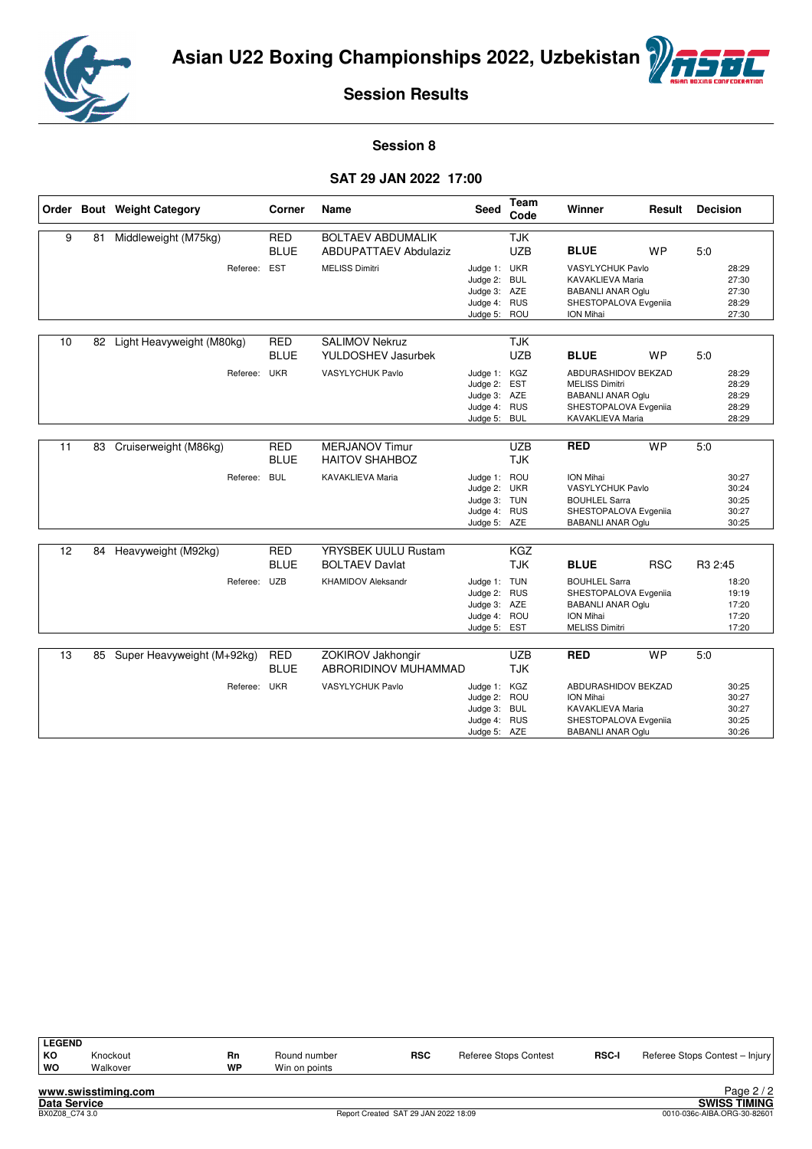



#### **Session 8**

#### **SAT 29 JAN 2022 17:00**

|    |    | Order Bout Weight Category | Corner                    | <b>Name</b>                                              | Seed                                                                         | <b>Team</b><br>Code      | Winner                                                                                                                       | Result     | <b>Decision</b>                           |
|----|----|----------------------------|---------------------------|----------------------------------------------------------|------------------------------------------------------------------------------|--------------------------|------------------------------------------------------------------------------------------------------------------------------|------------|-------------------------------------------|
| 9  | 81 | Middleweight (M75kg)       | <b>RED</b><br><b>BLUE</b> | <b>BOLTAEV ABDUMALIK</b><br><b>ABDUPATTAEV Abdulaziz</b> |                                                                              | <b>TJK</b><br><b>UZB</b> | <b>BLUE</b>                                                                                                                  | <b>WP</b>  | 5:0                                       |
|    |    | Referee:                   | <b>EST</b>                | <b>MELISS Dimitri</b>                                    | Judge 1: UKR<br>Judge 2: BUL<br>Judge 3: AZE<br>Judge 4: RUS<br>Judge 5: ROU |                          | VASYLYCHUK Pavlo<br>KAVAKLIEVA Maria<br><b>BABANLI ANAR Oglu</b><br>SHESTOPALOVA Evgeniia<br>ION Mihai                       |            | 28:29<br>27:30<br>27:30<br>28:29<br>27:30 |
| 10 | 82 | Light Heavyweight (M80kg)  | <b>RED</b><br><b>BLUE</b> | <b>SALIMOV Nekruz</b><br>YULDOSHEV Jasurbek              |                                                                              | <b>TJK</b><br><b>UZB</b> | <b>BLUE</b>                                                                                                                  | <b>WP</b>  | 5:0                                       |
|    |    | Referee:                   | <b>UKR</b>                | <b>VASYLYCHUK Pavlo</b>                                  | Judge 1: KGZ<br>Judge 2: EST<br>Judge 3: AZE<br>Judge 4: RUS<br>Judge 5:     | <b>BUL</b>               | ABDURASHIDOV BEKZAD<br><b>MELISS Dimitri</b><br><b>BABANLI ANAR Oglu</b><br>SHESTOPALOVA Evgeniia<br><b>KAVAKLIEVA Maria</b> |            | 28:29<br>28:29<br>28:29<br>28:29<br>28:29 |
| 11 | 83 | Cruiserweight (M86kg)      | <b>RED</b><br><b>BLUE</b> | <b>MERJANOV Timur</b><br><b>HAITOV SHAHBOZ</b>           |                                                                              | <b>UZB</b><br><b>TJK</b> | <b>RED</b>                                                                                                                   | <b>WP</b>  | 5:0                                       |
|    |    | Referee:                   | <b>BUL</b>                | <b>KAVAKLIEVA Maria</b>                                  | Judge 1: ROU<br>Judge 2: UKR<br>Judge 3: TUN<br>Judge 4: RUS<br>Judge 5: AZE |                          | ION Mihai<br><b>VASYLYCHUK Pavlo</b><br><b>BOUHLEL Sarra</b><br>SHESTOPALOVA Evgeniia<br><b>BABANLI ANAR Oglu</b>            |            | 30:27<br>30:24<br>30:25<br>30:27<br>30:25 |
| 12 | 84 | Heavyweight (M92kg)        | <b>RED</b><br><b>BLUE</b> | YRYSBEK UULU Rustam<br><b>BOLTAEV Davlat</b>             |                                                                              | <b>KGZ</b><br><b>TJK</b> | <b>BLUE</b>                                                                                                                  | <b>RSC</b> | R <sub>3</sub> 2:45                       |
|    |    | Referee:                   | <b>UZB</b>                | <b>KHAMIDOV Aleksandr</b>                                | Judge 1: TUN<br>Judge 2: RUS<br>Judge 3: AZE<br>Judge 4: ROU<br>Judge 5:     | <b>EST</b>               | <b>BOUHLEL Sarra</b><br>SHESTOPALOVA Evgeniia<br><b>BABANLI ANAR Oglu</b><br>ION Mihai<br><b>MELISS Dimitri</b>              |            | 18:20<br>19:19<br>17:20<br>17:20<br>17:20 |
| 13 | 85 | Super Heavyweight (M+92kg) | <b>RED</b><br><b>BLUE</b> | ZOKIROV Jakhongir<br>ABRORIDINOV MUHAMMAD                |                                                                              | <b>UZB</b><br><b>TJK</b> | <b>RED</b>                                                                                                                   | <b>WP</b>  | 5.0                                       |
|    |    | Referee:                   | <b>UKR</b>                | <b>VASYLYCHUK Pavlo</b>                                  | Judge 1:<br>Judge 2: ROU<br>Judge 3: BUL<br>Judge 4: RUS<br>Judge 5: AZE     | KGZ                      | ABDURASHIDOV BEKZAD<br>ION Mihai<br>KAVAKLIEVA Maria<br>SHESTOPALOVA Evgeniia<br><b>BABANLI ANAR Oglu</b>                    |            | 30:25<br>30:27<br>30:27<br>30:25<br>30:26 |

| <b>LEGEND</b> |                     |           |               |            |                              |              |                                |
|---------------|---------------------|-----------|---------------|------------|------------------------------|--------------|--------------------------------|
| КO            | Knockout            | Rn        | Round number  | <b>RSC</b> | <b>Referee Stops Contest</b> | <b>RSC-I</b> | Referee Stops Contest - Injury |
| WO            | Walkover            | <b>WP</b> | Win on points |            |                              |              |                                |
|               | www.swisstiming.com |           |               |            |                              |              | Page $2/2$                     |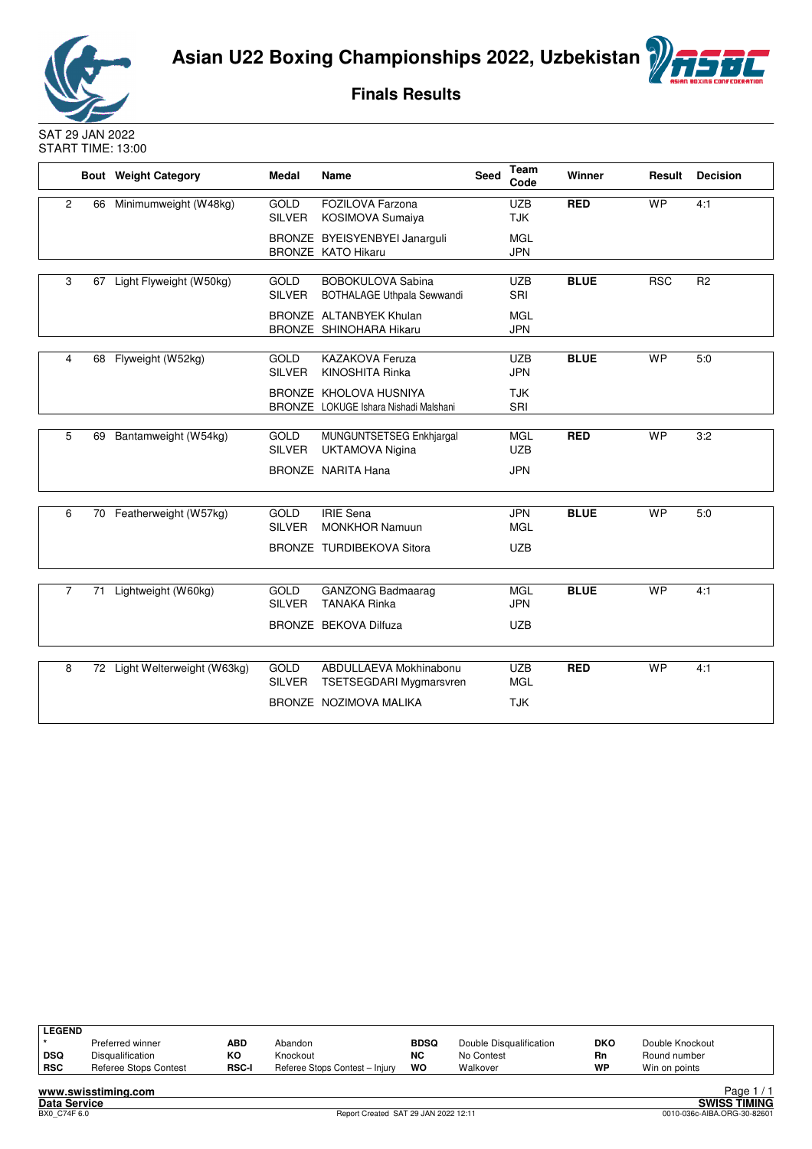



**Finals Results**

SAT 29 JAN 2022 START TIME: 13:00

|                |    | <b>Bout</b> Weight Category   | <b>Medal</b>                 | <b>Name</b>                                                     | Seed | <b>Team</b><br>Code      | Winner      | Result     | <b>Decision</b> |
|----------------|----|-------------------------------|------------------------------|-----------------------------------------------------------------|------|--------------------------|-------------|------------|-----------------|
| $\overline{2}$ |    | 66 Minimumweight (W48kg)      | <b>GOLD</b><br><b>SILVER</b> | FOZILOVA Farzona<br>KOSIMOVA Sumaiya                            |      | <b>UZB</b><br><b>TJK</b> | <b>RED</b>  | <b>WP</b>  | 4:1             |
|                |    |                               |                              | BRONZE BYEISYENBYEI Janarguli<br><b>BRONZE KATO Hikaru</b>      |      | <b>MGL</b><br><b>JPN</b> |             |            |                 |
| 3              | 67 | Light Flyweight (W50kg)       | <b>GOLD</b><br><b>SILVER</b> | <b>BOBOKULOVA Sabina</b><br>BOTHALAGE Uthpala Sewwandi          |      | UZB<br>SRI               | <b>BLUE</b> | <b>RSC</b> | R <sub>2</sub>  |
|                |    |                               |                              | BRONZE ALTANBYEK Khulan<br>BRONZE SHINOHARA Hikaru              |      | <b>MGL</b><br><b>JPN</b> |             |            |                 |
| 4              | 68 | Flyweight (W52kg)             | GOLD<br><b>SILVER</b>        | <b>KAZAKOVA Feruza</b><br><b>KINOSHITA Rinka</b>                |      | <b>UZB</b><br><b>JPN</b> | <b>BLUE</b> | <b>WP</b>  | 5.0             |
|                |    |                               |                              | BRONZE KHOLOVA HUSNIYA<br>BRONZE LOKUGE Ishara Nishadi Malshani |      | <b>TJK</b><br>SRI        |             |            |                 |
| 5              | 69 | Bantamweight (W54kg)          | <b>GOLD</b><br><b>SILVER</b> | MUNGUNTSETSEG Enkhjargal<br><b>UKTAMOVA Nigina</b>              |      | <b>MGL</b><br><b>UZB</b> | <b>RED</b>  | <b>WP</b>  | 3:2             |
|                |    |                               |                              | <b>BRONZE NARITA Hana</b>                                       |      | <b>JPN</b>               |             |            |                 |
| 6              |    | 70 Featherweight (W57kg)      | <b>GOLD</b><br><b>SILVER</b> | <b>IRIE Sena</b><br><b>MONKHOR Namuun</b>                       |      | <b>JPN</b><br><b>MGL</b> | <b>BLUE</b> | <b>WP</b>  | 5.0             |
|                |    |                               |                              | BRONZE TURDIBEKOVA Sitora                                       |      | <b>UZB</b>               |             |            |                 |
| $\overline{7}$ | 71 | Lightweight (W60kg)           | <b>GOLD</b><br><b>SILVER</b> | <b>GANZONG Badmaarag</b><br><b>TANAKA Rinka</b>                 |      | <b>MGL</b><br><b>JPN</b> | <b>BLUE</b> | <b>WP</b>  | 4:1             |
|                |    |                               |                              | <b>BRONZE BEKOVA Dilfuza</b>                                    |      | <b>UZB</b>               |             |            |                 |
| 8              |    | 72 Light Welterweight (W63kg) | <b>GOLD</b><br><b>SILVER</b> | ABDULLAEVA Mokhinabonu<br><b>TSETSEGDARI Mygmarsvren</b>        |      | <b>UZB</b><br><b>MGL</b> | <b>RED</b>  | <b>WP</b>  | 4:1             |
|                |    |                               |                              | BRONZE NOZIMOVA MALIKA                                          |      | <b>TJK</b>               |             |            |                 |

| LEGEND |                       |              |                                |             |                         |            |                 |               |
|--------|-----------------------|--------------|--------------------------------|-------------|-------------------------|------------|-----------------|---------------|
|        | Preferred winner      | ABD          | Abandon                        | <b>BDSQ</b> | Double Disqualification | <b>DKO</b> | Double Knockout |               |
| ∣ DSQ  | Disqualification      | КO           | Knockout                       | <b>NC</b>   | No Contest              | Rn         | Round number    |               |
| RSC    | Referee Stops Contest | <b>RSC-I</b> | Referee Stops Contest - Injury | wo          | Walkover                | WP         | Win on points   |               |
|        | .                     |              |                                |             |                         |            |                 | <b>PO 272</b> |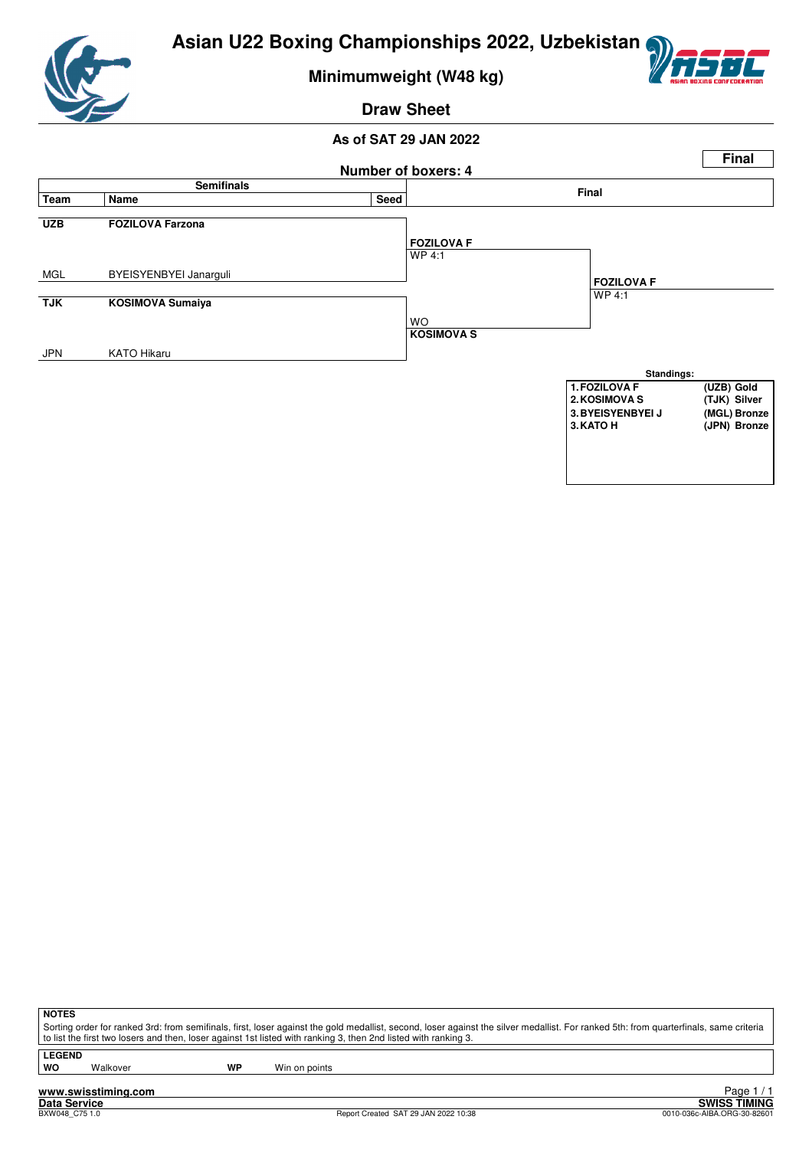

**Minimumweight (W48 kg)**

### **Draw Sheet**

#### **As of SAT 29 JAN 2022**



**NOTES**

Sorting order for ranked 3rd: from semifinals, first, loser against the gold medallist, second, loser against the silver medallist. For ranked 5th: from quarterfinals, same criteria to list the first two losers and then, loser against 1st listed with ranking 3, then 2nd listed with ranking 3.

**LEGEND**

Walkover **WP** Win on points

**www.swisstiming.com**

Report Created SAT 29 JAN 2022 10:38

Tage 1/1<br>Data Service<br>BXW048\_C75 1.0 **SWISS TIMING**<br>BXW048\_C75 1.0 **SWISS TIMING** Page 1 / 1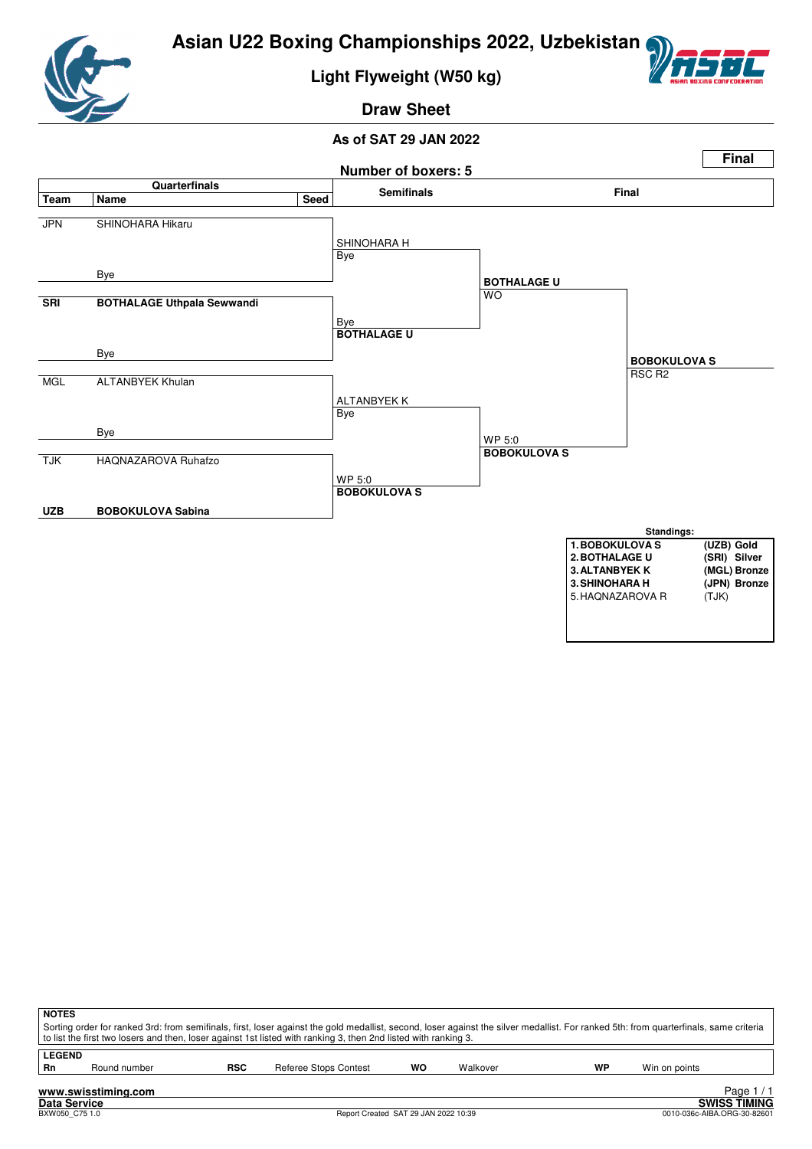

# **Light Flyweight (W50 kg)**



# **Draw Sheet**



| <b>NOTES</b>        |                     |            | Sorting order for ranked 3rd: from semifinals, first, loser against the gold medallist, second, loser against the silver medallist. For ranked 5th: from quarterfinals, same criteria<br>to list the first two losers and then, loser against 1st listed with ranking 3, then 2nd listed with ranking 3. |    |          |    |               |                                     |
|---------------------|---------------------|------------|----------------------------------------------------------------------------------------------------------------------------------------------------------------------------------------------------------------------------------------------------------------------------------------------------------|----|----------|----|---------------|-------------------------------------|
| <b>LEGEND</b><br>Rn | Round number        | <b>RSC</b> | Referee Stops Contest                                                                                                                                                                                                                                                                                    | WO | Walkover | WP | Win on points |                                     |
| Dota Condoo         | www.swisstiming.com |            |                                                                                                                                                                                                                                                                                                          |    |          |    |               | Page $1/1$<br><b>CIMICC TIMINIC</b> |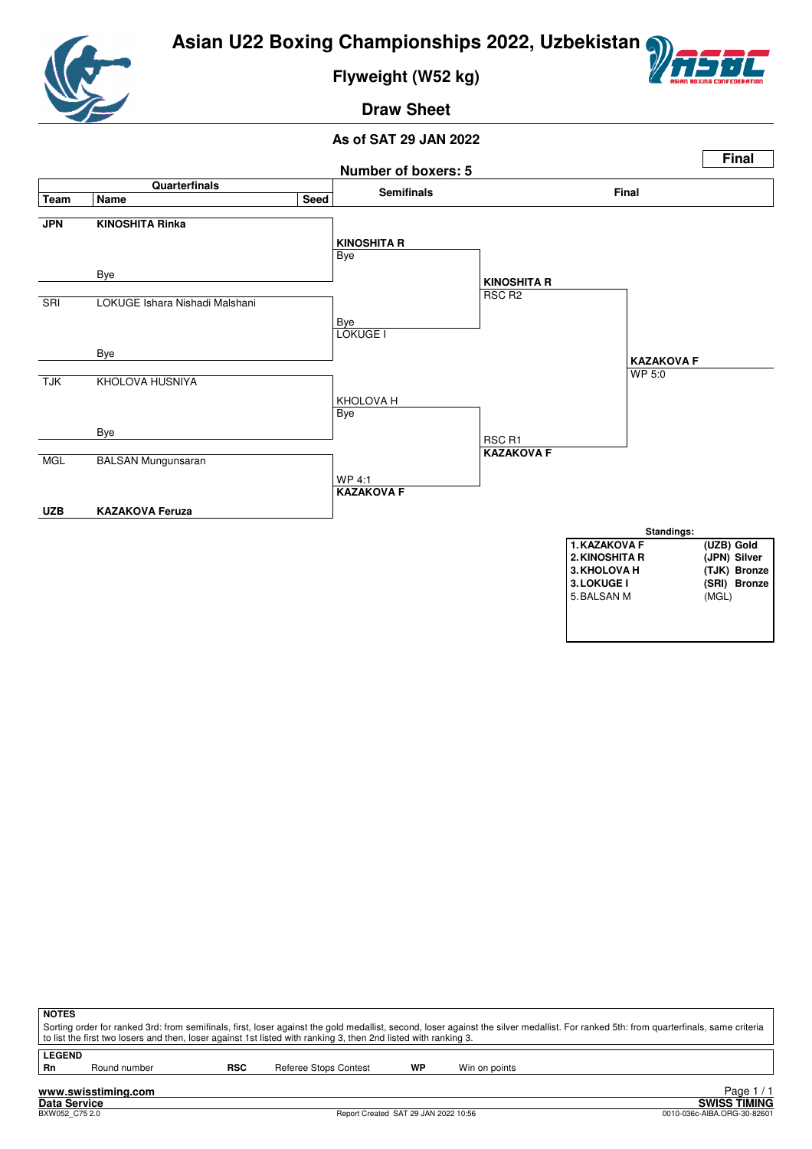

**Flyweight (W52 kg)**



**Draw Sheet**



| <b>NOTES</b>  |                                                                                                                                                                                                                                                                                                          |            |                       |    |               |  |  |  |
|---------------|----------------------------------------------------------------------------------------------------------------------------------------------------------------------------------------------------------------------------------------------------------------------------------------------------------|------------|-----------------------|----|---------------|--|--|--|
|               | Sorting order for ranked 3rd: from semifinals, first, loser against the gold medallist, second, loser against the silver medallist. For ranked 5th: from quarterfinals, same criteria<br>to list the first two losers and then, loser against 1st listed with ranking 3, then 2nd listed with ranking 3. |            |                       |    |               |  |  |  |
|               |                                                                                                                                                                                                                                                                                                          |            |                       |    |               |  |  |  |
| <b>LEGEND</b> |                                                                                                                                                                                                                                                                                                          |            |                       |    |               |  |  |  |
| <b>Rn</b>     | Round number                                                                                                                                                                                                                                                                                             | <b>RSC</b> | Referee Stops Contest | WP | Win on points |  |  |  |
|               | www.swisstiming.com                                                                                                                                                                                                                                                                                      |            |                       |    | Page 1        |  |  |  |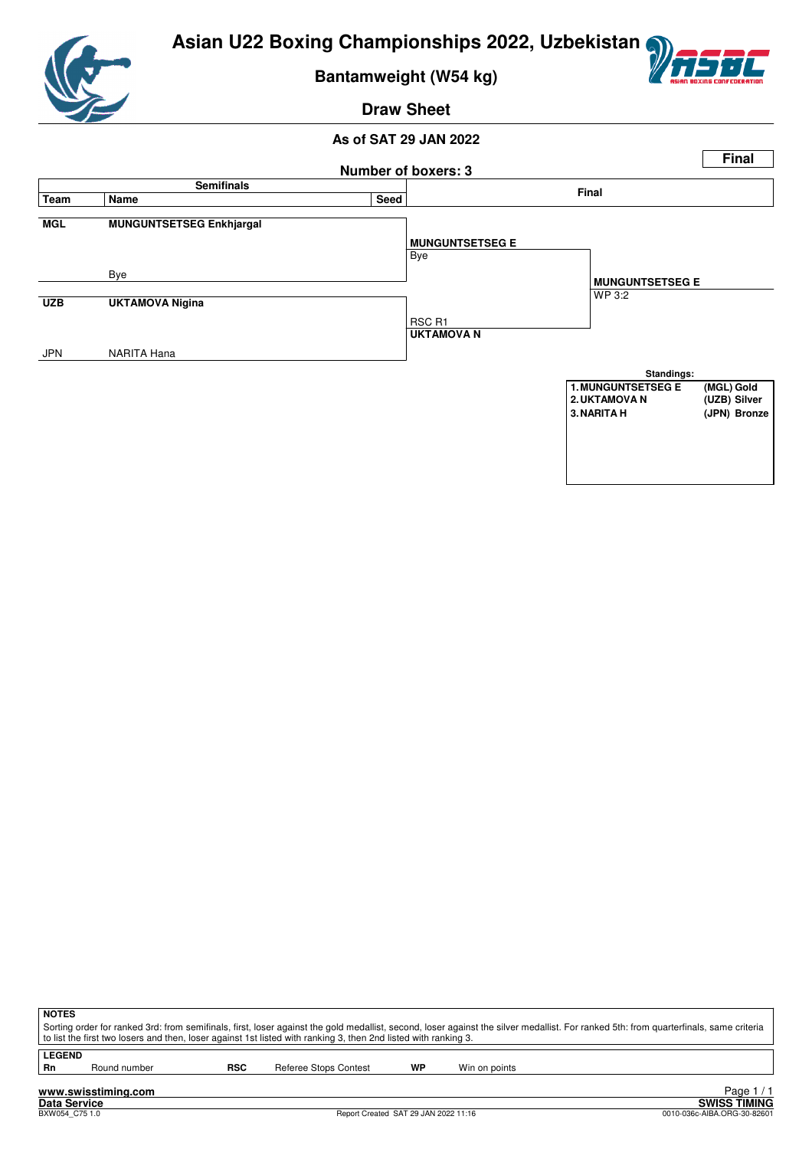

**Bantamweight (W54 kg)**



**Draw Sheet**

#### **As of SAT 29 JAN 2022**



**NOTES** Sorting order for ranked 3rd: from semifinals, first, loser against the gold medallist, second, loser against the silver medallist. For ranked 5th: from quarterfinals, same criteria to list the first two losers and then, loser against 1st listed with ranking 3, then 2nd listed with ranking 3. **LEGEND**<br>Rn Round number **RSC** Referee Stops Contest **WP** Win on points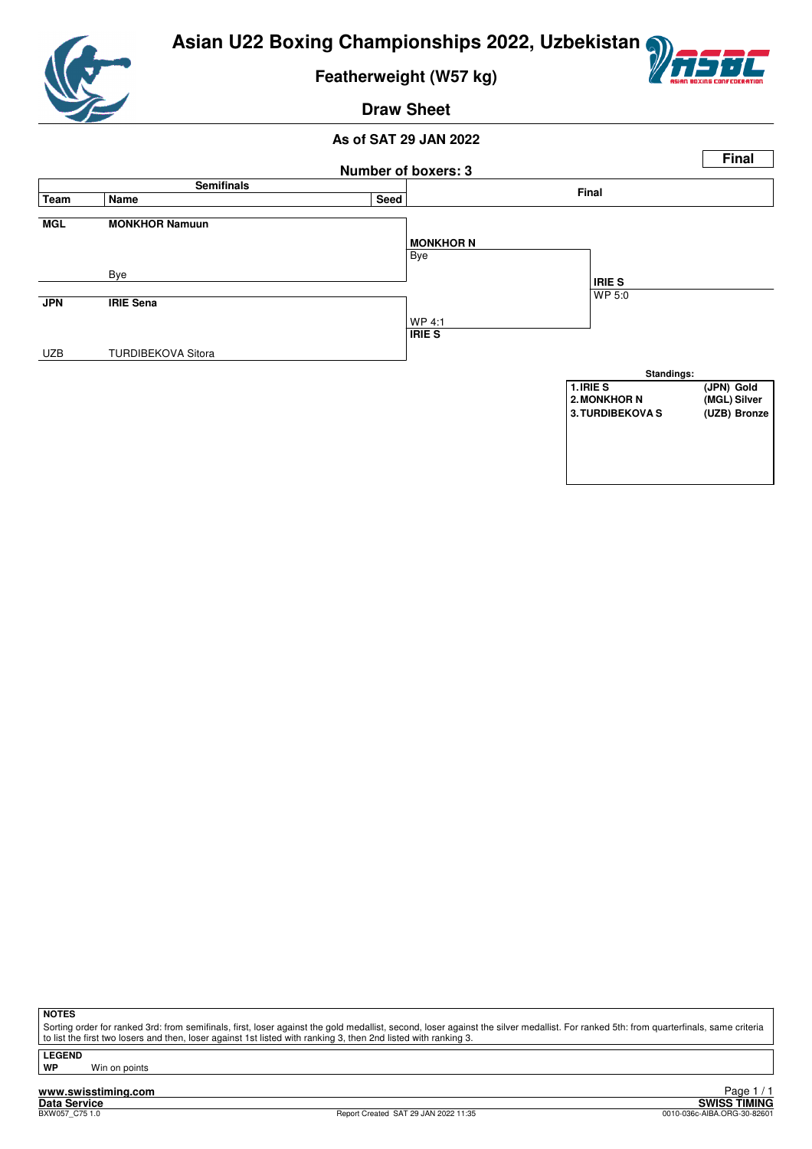

**Featherweight (W57 kg)**



#### **Draw Sheet**

#### **As of SAT 29 JAN 2022**



**NOTES**

Sorting order for ranked 3rd: from semifinals, first, loser against the gold medallist, second, loser against the silver medallist. For ranked 5th: from quarterfinals, same criteria to list the first two losers and then, loser against 1st listed with ranking 3, then 2nd listed with ranking 3.

**LEGEND**

**Win on points** 

**www.swisstiming.com Data Service SWISS TIMING**

1 / 1 Edge<br>SWISS TIMING<br>0010-036c-AIBA.ORG-30-82601 0010-036c-AIBA.ORG-30-82601 0010-036c-AIBA.ORG-30-82601 Page 1 / 1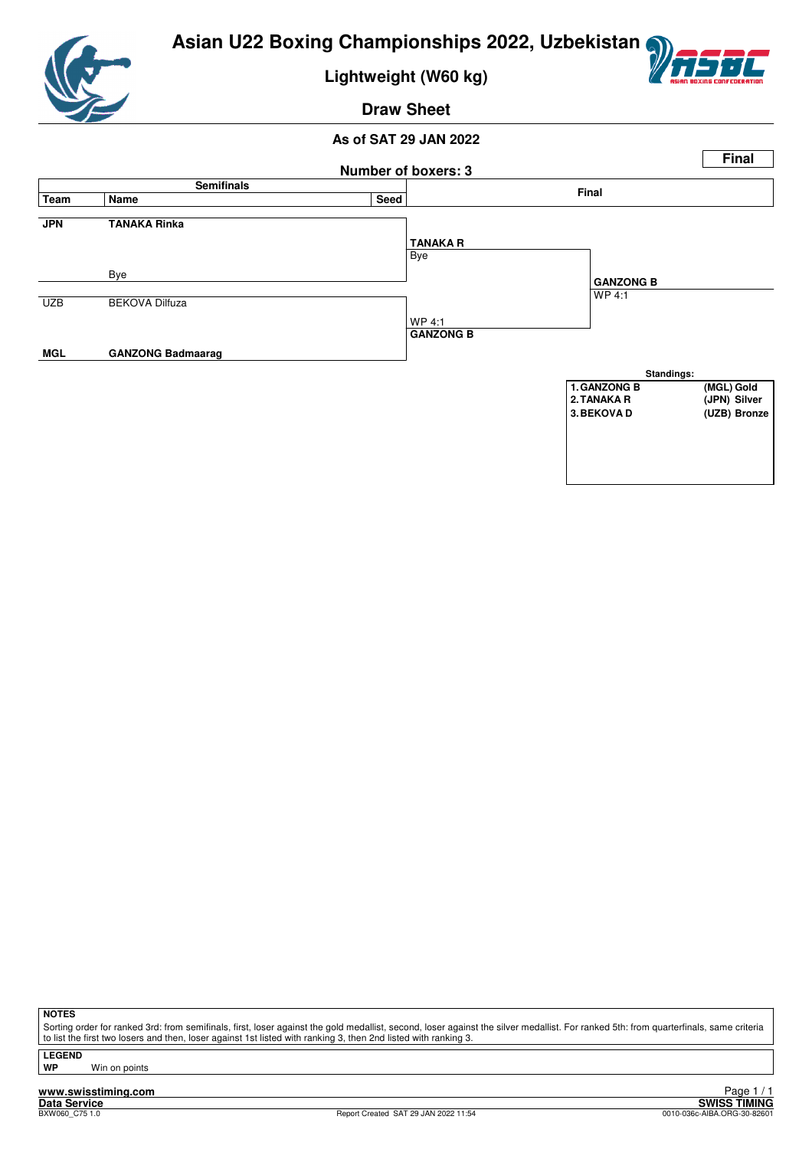

**Lightweight (W60 kg)**



#### **Draw Sheet**

#### **As of SAT 29 JAN 2022**



**NOTES**

Sorting order for ranked 3rd: from semifinals, first, loser against the gold medallist, second, loser against the silver medallist. For ranked 5th: from quarterfinals, same criteria to list the first two losers and then, loser against 1st listed with ranking 3, then 2nd listed with ranking 3.

**LEGEND**

**Win on points**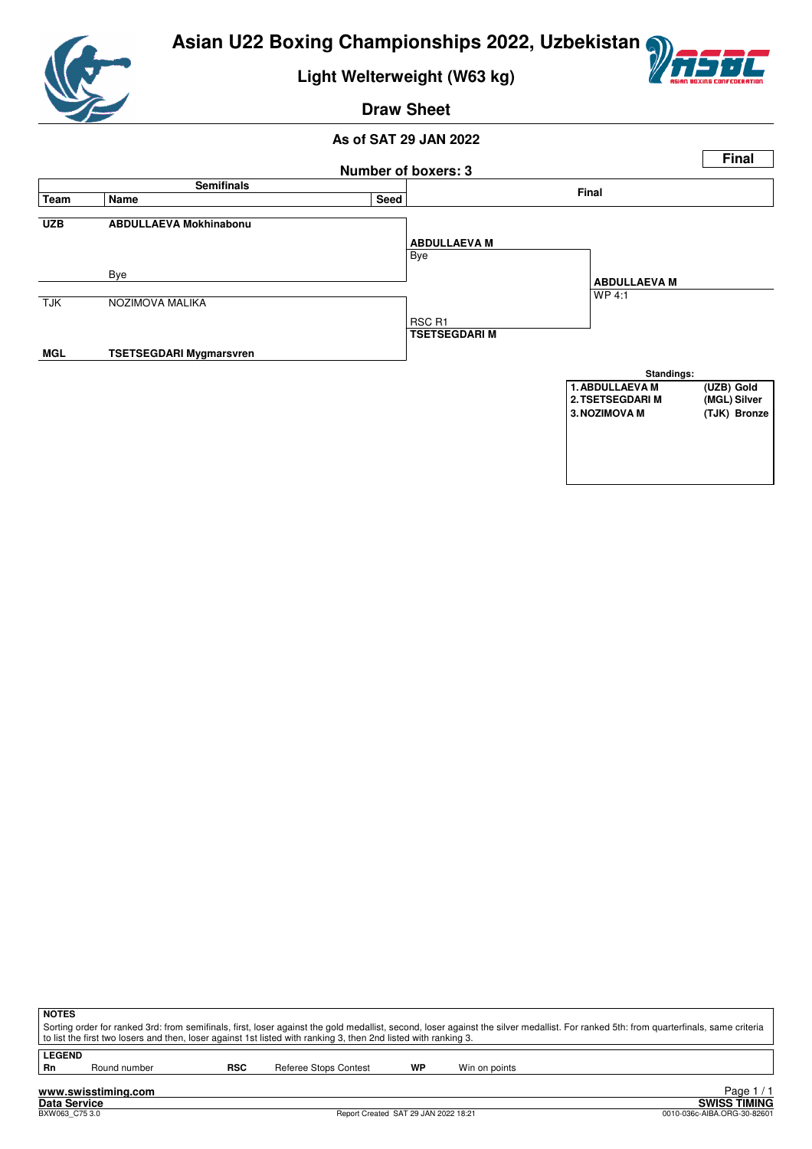

**Light Welterweight (W63 kg)**



**Draw Sheet**



| <b>NOTES</b>  |              |     |                                                                                                                 |    |                                                                                                                                                                                       |  |
|---------------|--------------|-----|-----------------------------------------------------------------------------------------------------------------|----|---------------------------------------------------------------------------------------------------------------------------------------------------------------------------------------|--|
|               |              |     |                                                                                                                 |    | Sorting order for ranked 3rd: from semifinals, first, loser against the gold medallist, second, loser against the silver medallist. For ranked 5th: from quarterfinals, same criteria |  |
|               |              |     | to list the first two losers and then, loser against 1st listed with ranking 3, then 2nd listed with ranking 3. |    |                                                                                                                                                                                       |  |
| <b>LEGEND</b> |              |     |                                                                                                                 |    |                                                                                                                                                                                       |  |
|               |              |     |                                                                                                                 |    |                                                                                                                                                                                       |  |
| Rn            | Round number | RSC | Referee Stops Contest                                                                                           | WP | Win on points                                                                                                                                                                         |  |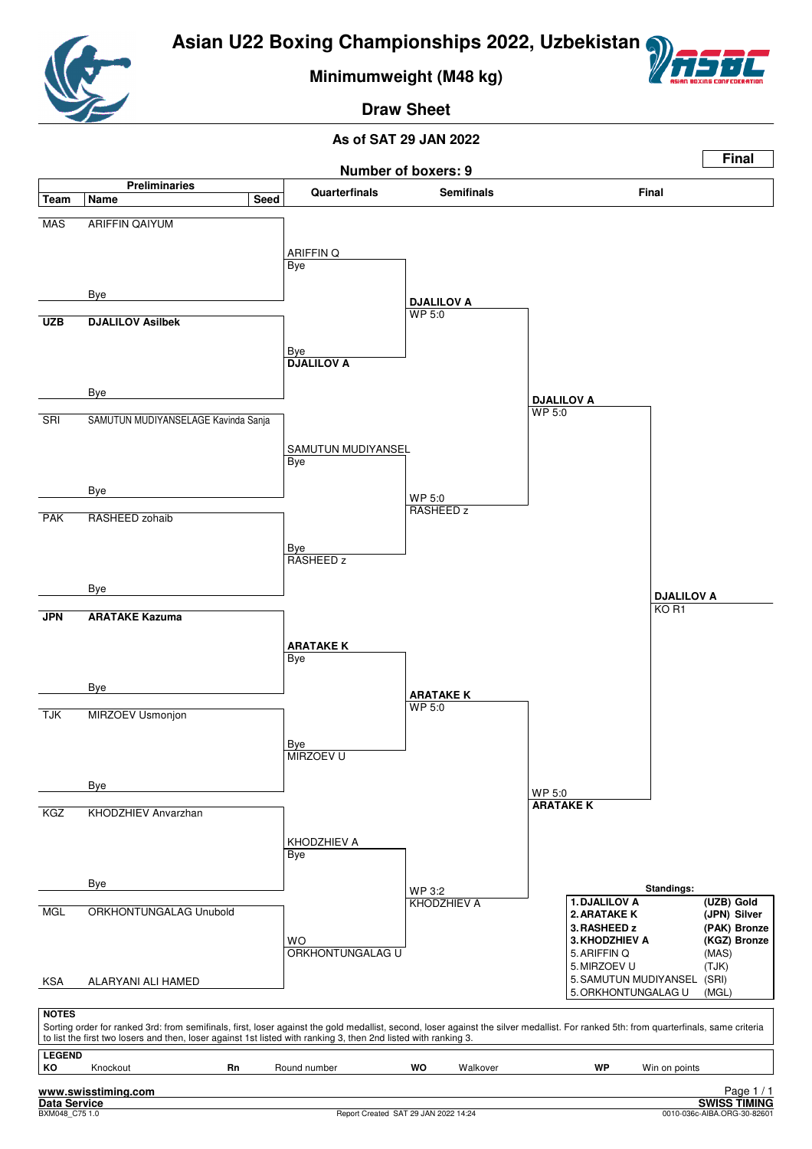

**Minimumweight (M48 kg)**



**Draw Sheet**

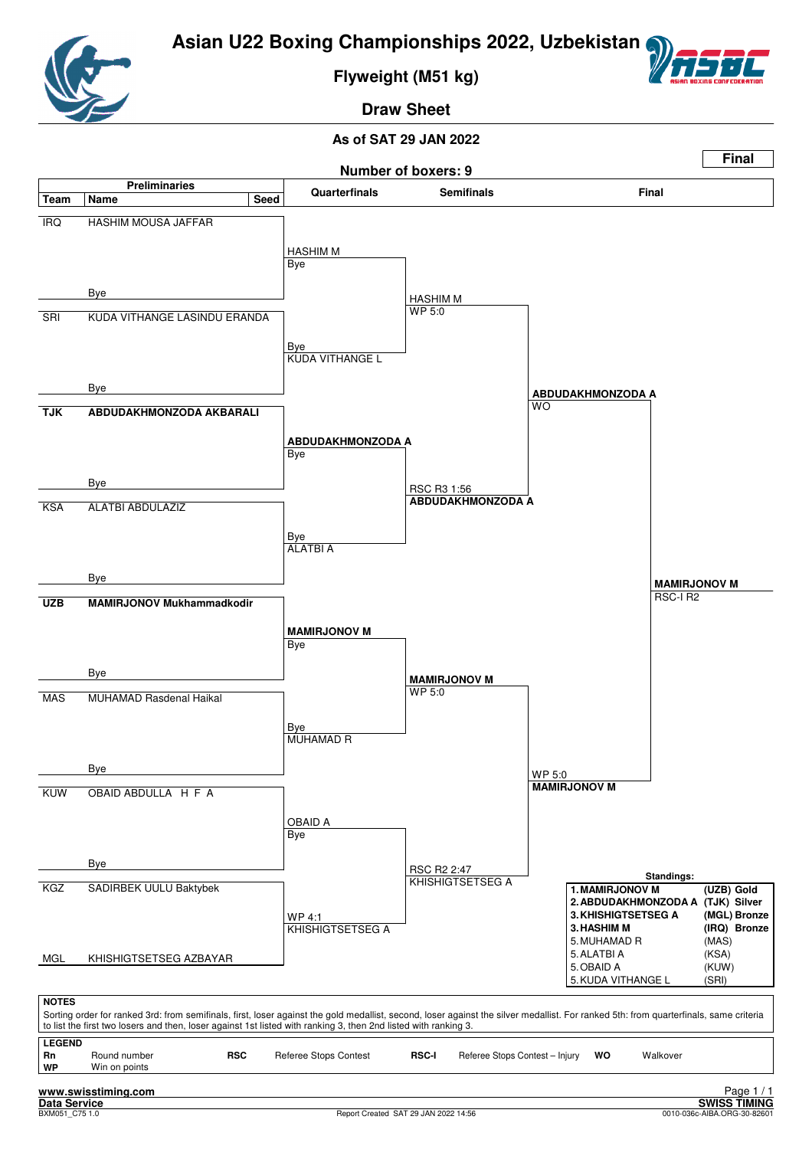

**Flyweight (M51 kg)**



**Draw Sheet**

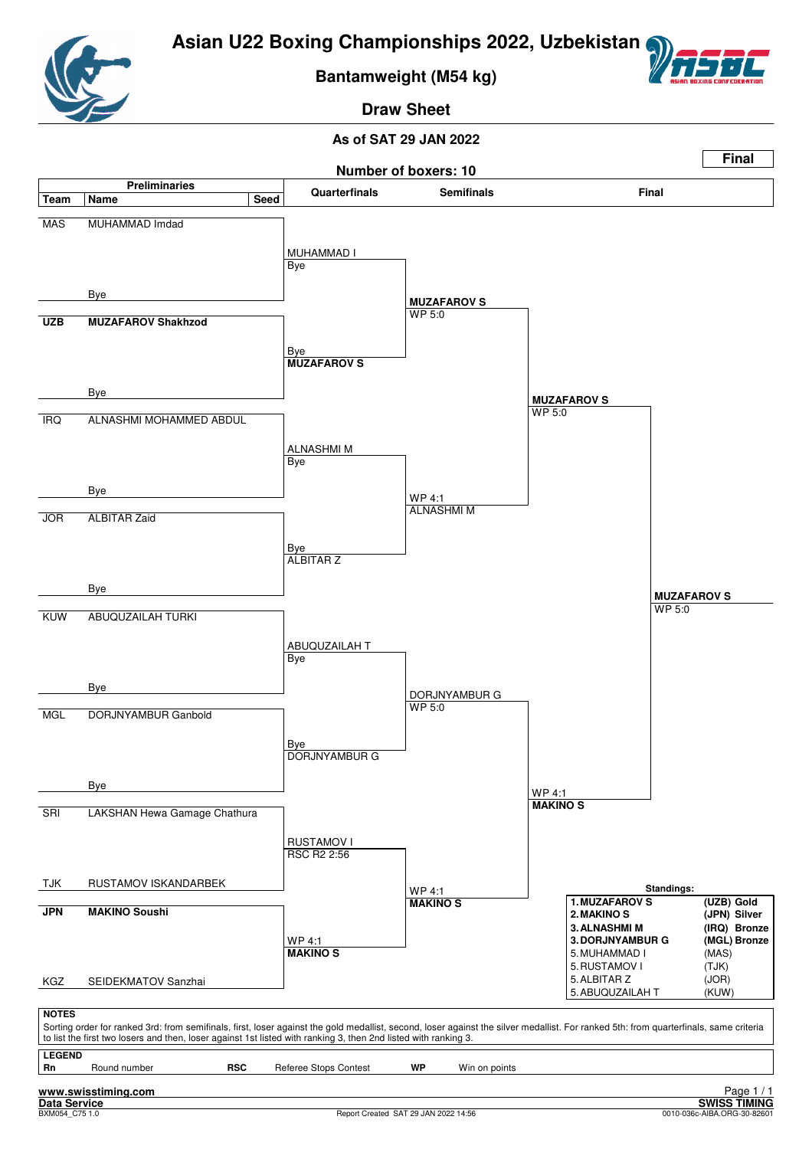

**Bantamweight (M54 kg)**



**Draw Sheet**

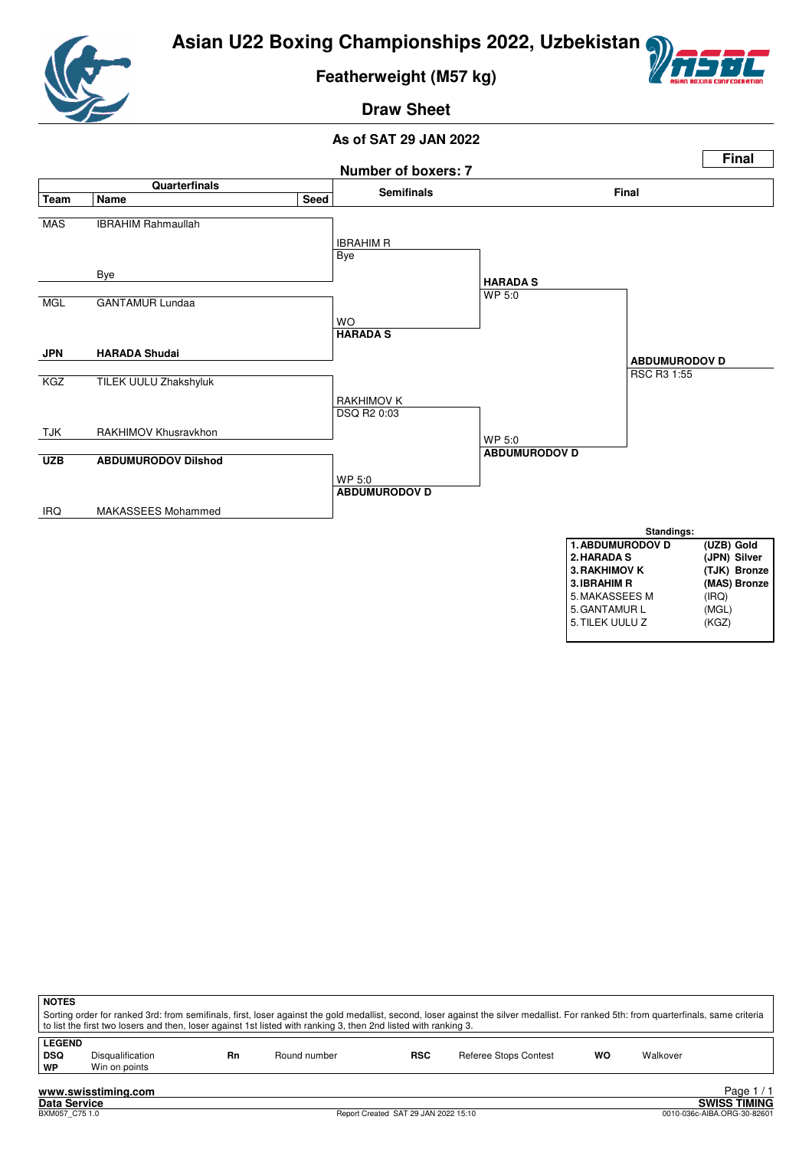



**Featherweight (M57 kg)**



**Draw Sheet**



| <b>NOTES</b>                      | to list the first two losers and then, loser against 1st listed with ranking 3, then 2nd listed with ranking 3. |    |              |            | Sorting order for ranked 3rd: from semifinals, first, loser against the gold medallist, second, loser against the silver medallist. For ranked 5th: from quarterfinals, same criteria |    |          |          |
|-----------------------------------|-----------------------------------------------------------------------------------------------------------------|----|--------------|------------|---------------------------------------------------------------------------------------------------------------------------------------------------------------------------------------|----|----------|----------|
| <b>LEGEND</b><br><b>DSQ</b><br>WP | <b>Disqualification</b><br>Win on points                                                                        | Rn | Round number | <b>RSC</b> | Referee Stops Contest                                                                                                                                                                 | wo | Walkover |          |
|                                   | www.swisstiming.com                                                                                             |    |              |            |                                                                                                                                                                                       |    |          | Page 1/1 |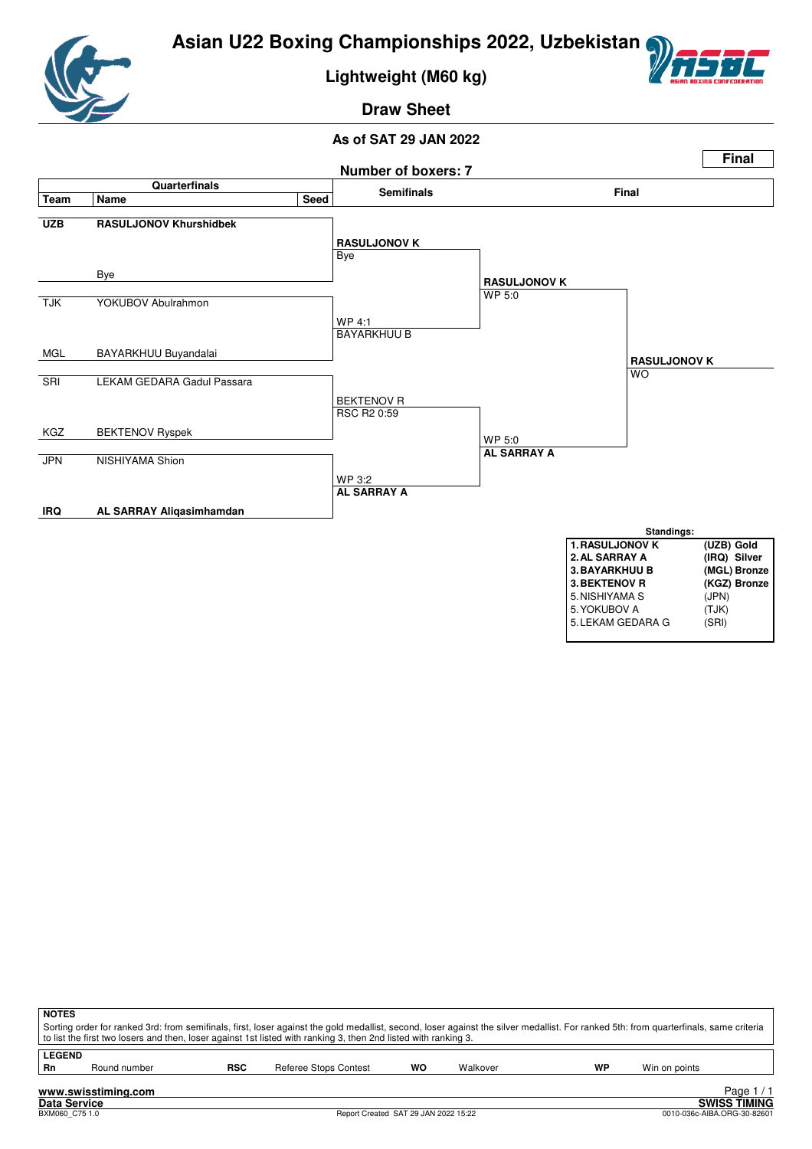

**Lightweight (M60 kg)**



**Draw Sheet**



| <b>NOTES</b>        |                     |            | Sorting order for ranked 3rd: from semifinals, first, loser against the gold medallist, second, loser against the silver medallist. For ranked 5th: from quarterfinals, same criteria<br>to list the first two losers and then, loser against 1st listed with ranking 3, then 2nd listed with ranking 3. |    |          |    |               |      |
|---------------------|---------------------|------------|----------------------------------------------------------------------------------------------------------------------------------------------------------------------------------------------------------------------------------------------------------------------------------------------------------|----|----------|----|---------------|------|
| <b>LEGEND</b><br>Rn | Round number        | <b>RSC</b> | Referee Stops Contest                                                                                                                                                                                                                                                                                    | WO | Walkover | WP | Win on points |      |
|                     | www.swisstiming.com |            |                                                                                                                                                                                                                                                                                                          |    |          |    |               | Page |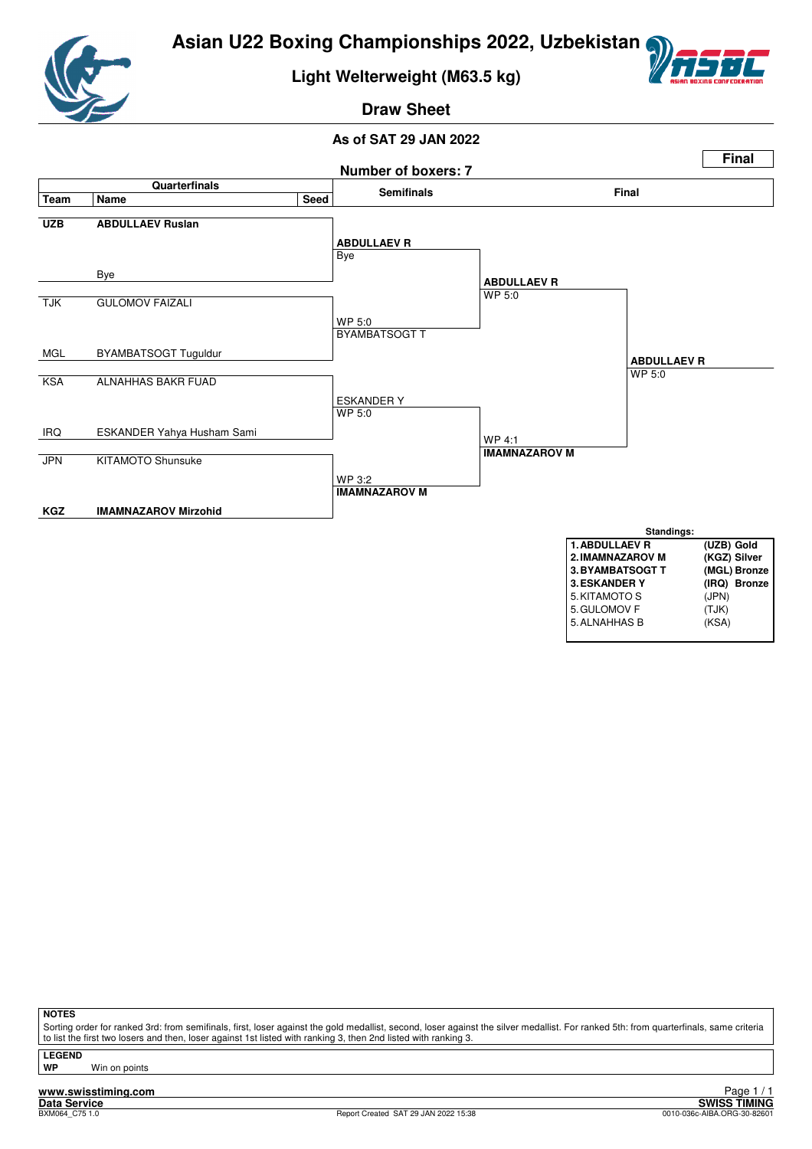

## **Light Welterweight (M63.5 kg)**



# **Draw Sheet**

#### **As of SAT 29 JAN 2022**



| 3. ESKANDER Y |       | (IRQ) Bronze |
|---------------|-------|--------------|
| 5. KITAMOTO S | (JPN) |              |
| 5. GULOMOV F  | (TJK) |              |
| 5. ALNAHHAS B | (KSA) |              |
|               |       |              |

**NOTES**

Sorting order for ranked 3rd: from semifinals, first, loser against the gold medallist, second, loser against the silver medallist. For ranked 5th: from quarterfinals, same criteria to list the first two losers and then, loser against 1st listed with ranking 3, then 2nd listed with ranking 3

**LEGEND**

**Win on points**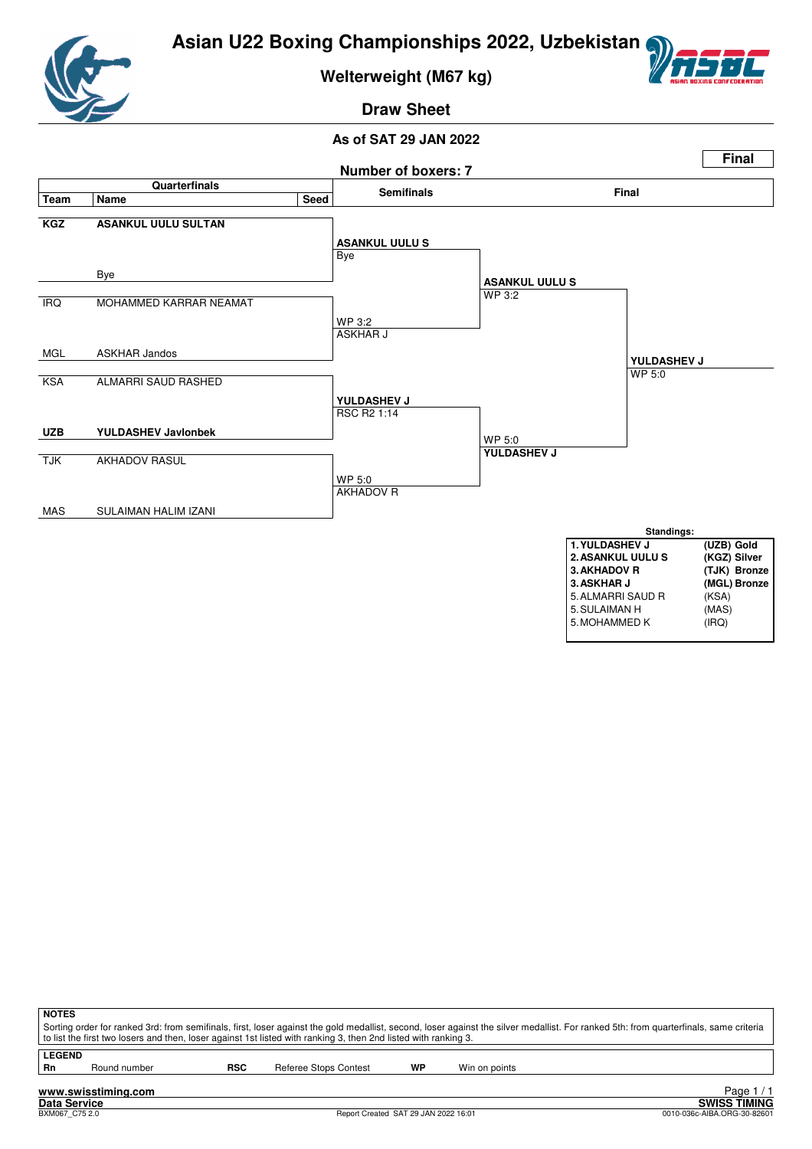



**Welterweight (M67 kg)**

# **Draw Sheet**



| <b>NOTES</b>        |                     |            | to list the first two losers and then, loser against 1st listed with ranking 3, then 2nd listed with ranking 3. |    | Sorting order for ranked 3rd: from semifinals, first, loser against the gold medallist, second, loser against the silver medallist. For ranked 5th: from quarterfinals, same criteria |            |
|---------------------|---------------------|------------|-----------------------------------------------------------------------------------------------------------------|----|---------------------------------------------------------------------------------------------------------------------------------------------------------------------------------------|------------|
| <b>LEGEND</b><br>Rn | Round number        | <b>RSC</b> | Referee Stops Contest                                                                                           | WP | Win on points                                                                                                                                                                         |            |
|                     | www.swisstiming.com |            |                                                                                                                 |    |                                                                                                                                                                                       | Page $1/1$ |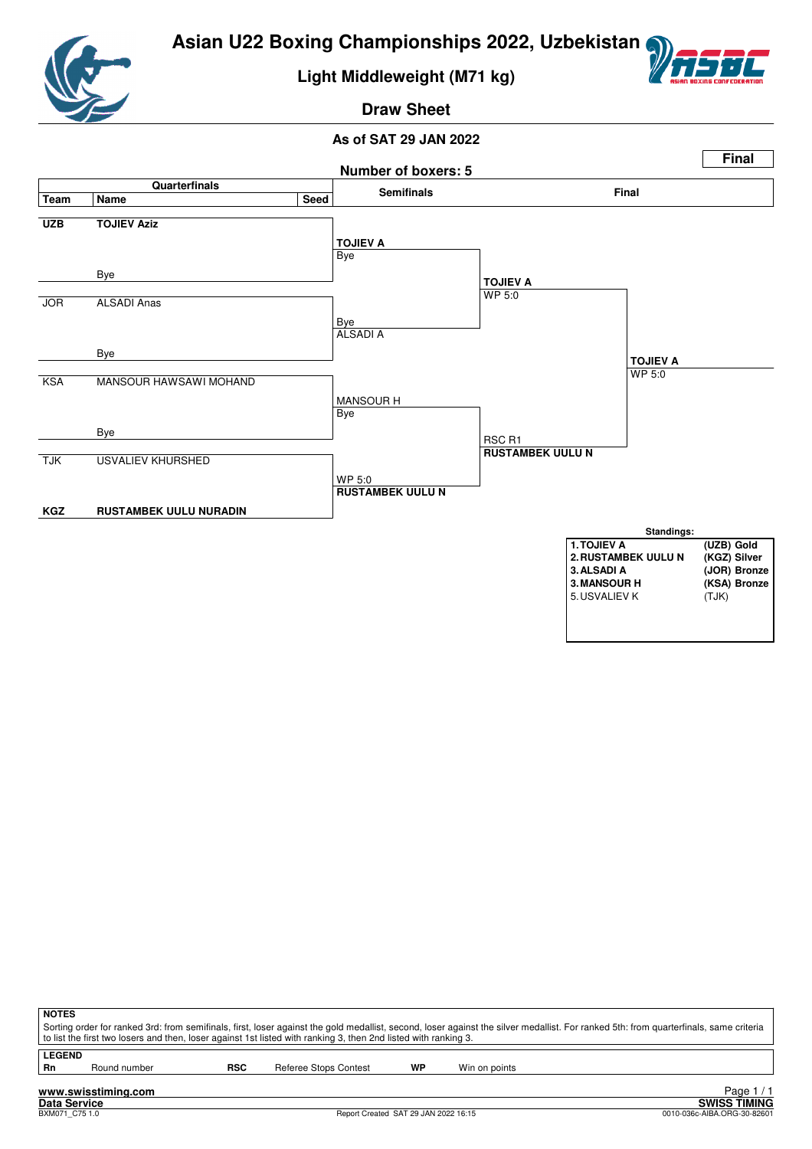

# **Light Middleweight (M71 kg)**



# **Draw Sheet**



| <b>NOTES</b>        |                     |            | to list the first two losers and then, loser against 1st listed with ranking 3, then 2nd listed with ranking 3. |    | Sorting order for ranked 3rd: from semifinals, first, loser against the gold medallist, second, loser against the silver medallist. For ranked 5th: from quarterfinals, same criteria |            |
|---------------------|---------------------|------------|-----------------------------------------------------------------------------------------------------------------|----|---------------------------------------------------------------------------------------------------------------------------------------------------------------------------------------|------------|
| <b>LEGEND</b><br>Rn | Round number        | <b>RSC</b> | Referee Stops Contest                                                                                           | WP | Win on points                                                                                                                                                                         |            |
|                     | www.swisstiming.com |            |                                                                                                                 |    |                                                                                                                                                                                       | Page $1/1$ |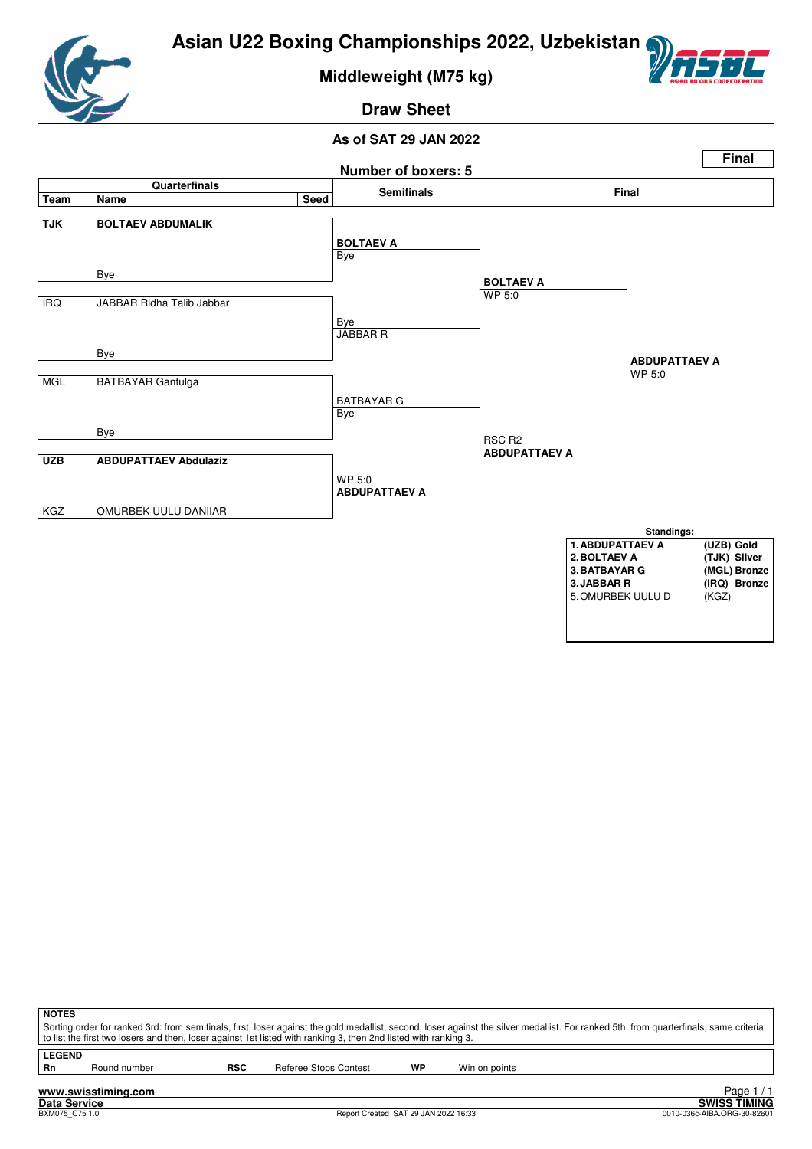

**Middleweight (M75 kg)**



**Draw Sheet**



| <b>NOTES</b>               |                     |            | to list the first two losers and then, loser against 1st listed with ranking 3, then 2nd listed with ranking 3. |    | Sorting order for ranked 3rd: from semifinals, first, loser against the gold medallist, second, loser against the silver medallist. For ranked 5th: from quarterfinals, same criteria |  |
|----------------------------|---------------------|------------|-----------------------------------------------------------------------------------------------------------------|----|---------------------------------------------------------------------------------------------------------------------------------------------------------------------------------------|--|
| <b>LEGEND</b><br><b>Rn</b> | Round number        | <b>RSC</b> | Referee Stops Contest                                                                                           | WP | Win on points                                                                                                                                                                         |  |
|                            | www.swisstiming.com |            |                                                                                                                 |    | Page                                                                                                                                                                                  |  |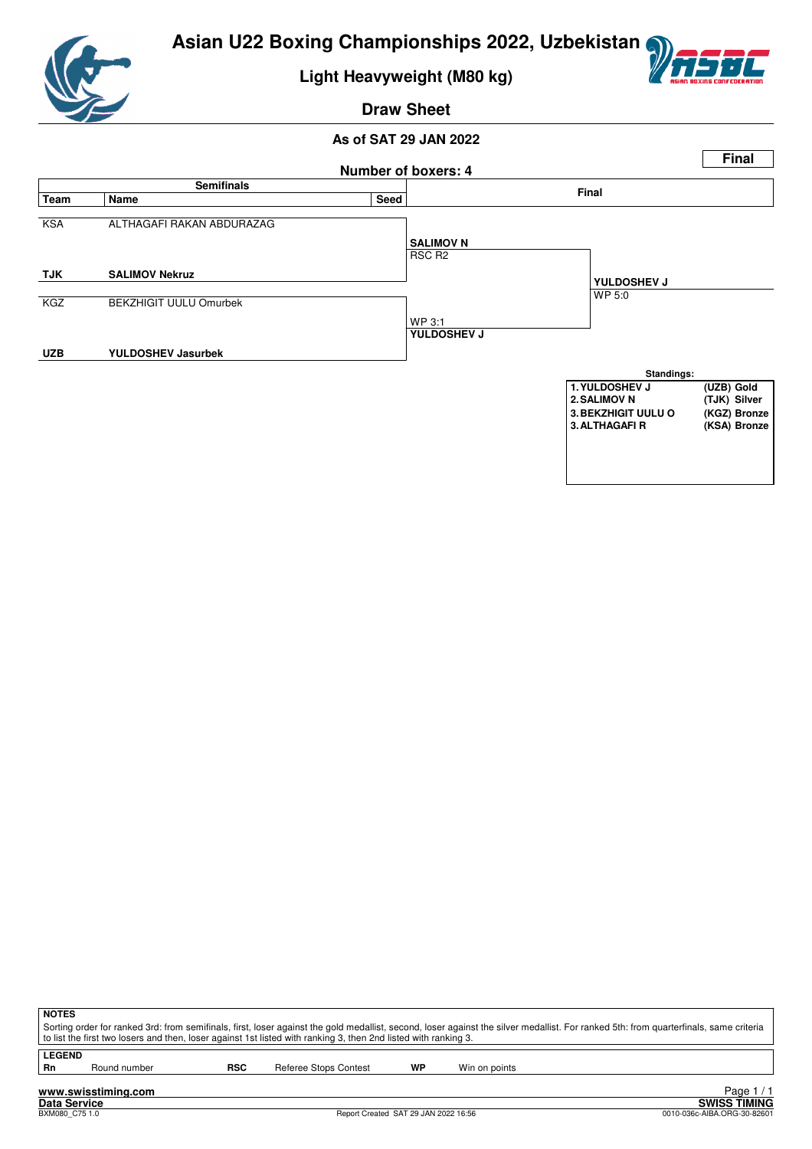

**Light Heavyweight (M80 kg)**



**Draw Sheet**

#### **As of SAT 29 JAN 2022**



| <b>NOTES</b>                                                                                                                                                                                                                                                                                             |
|----------------------------------------------------------------------------------------------------------------------------------------------------------------------------------------------------------------------------------------------------------------------------------------------------------|
| Sorting order for ranked 3rd: from semifinals, first, loser against the gold medallist, second, loser against the silver medallist. For ranked 5th: from quarterfinals, same criteria<br>to list the first two losers and then, loser against 1st listed with ranking 3, then 2nd listed with ranking 3. |
|                                                                                                                                                                                                                                                                                                          |
| <b>LEGEND</b>                                                                                                                                                                                                                                                                                            |

**Rn** Round number **RSC** Referee Stops Contest **WP** Win on points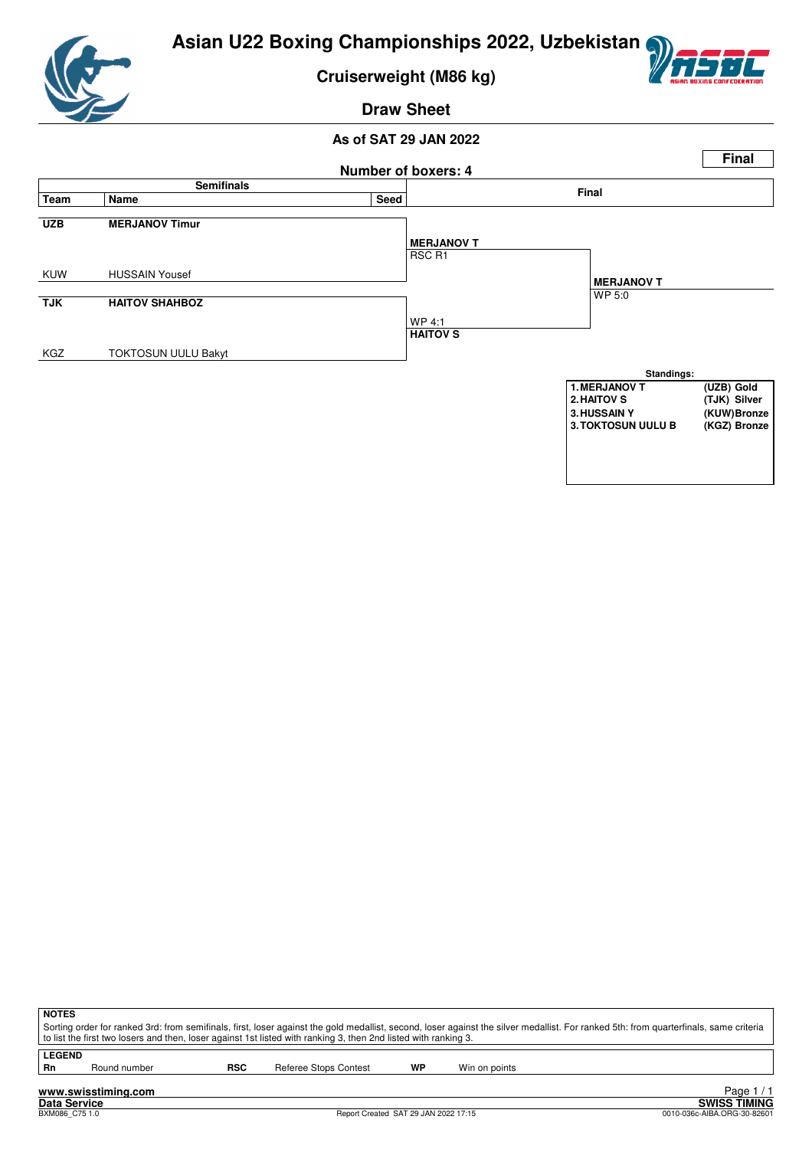

**Cruiserweight (M86 kg)**



**Draw Sheet**



| <b>NOTES</b>  |                                                                                                                                                                                       |            |                       |    |               |  |  |  |  |  |  |
|---------------|---------------------------------------------------------------------------------------------------------------------------------------------------------------------------------------|------------|-----------------------|----|---------------|--|--|--|--|--|--|
|               | Sorting order for ranked 3rd: from semifinals, first, loser against the gold medallist, second, loser against the silver medallist. For ranked 5th: from quarterfinals, same criteria |            |                       |    |               |  |  |  |  |  |  |
|               | to list the first two losers and then, loser against 1st listed with ranking 3, then 2nd listed with ranking 3.                                                                       |            |                       |    |               |  |  |  |  |  |  |
|               |                                                                                                                                                                                       |            |                       |    |               |  |  |  |  |  |  |
| <b>LEGEND</b> |                                                                                                                                                                                       |            |                       |    |               |  |  |  |  |  |  |
| Rn            | Round number                                                                                                                                                                          | <b>RSC</b> | Referee Stops Contest | WP | Win on points |  |  |  |  |  |  |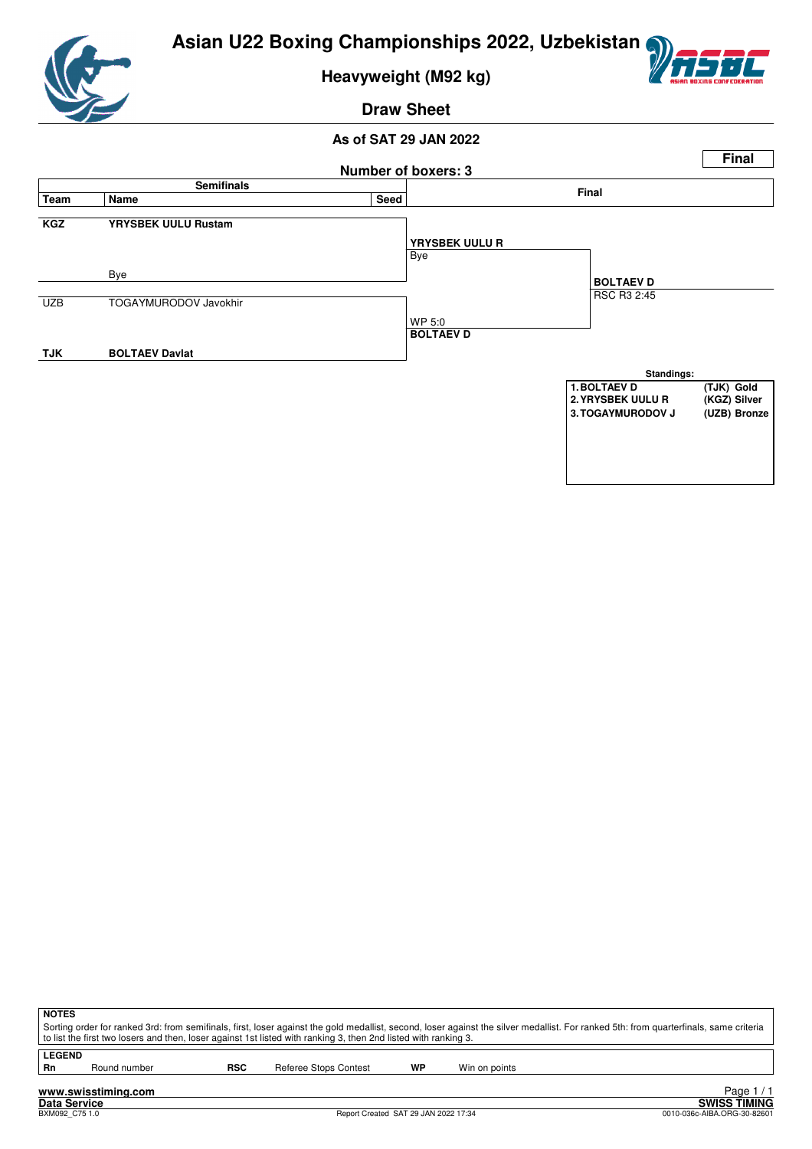

**Heavyweight (M92 kg)**



**Draw Sheet**



| <b>NOTES</b>                                                                                                                                                                          |                                                                                                                 |            |                       |    |               |  |  |  |  |  |
|---------------------------------------------------------------------------------------------------------------------------------------------------------------------------------------|-----------------------------------------------------------------------------------------------------------------|------------|-----------------------|----|---------------|--|--|--|--|--|
| Sorting order for ranked 3rd: from semifinals, first, loser against the gold medallist, second, loser against the silver medallist. For ranked 5th: from quarterfinals, same criteria |                                                                                                                 |            |                       |    |               |  |  |  |  |  |
|                                                                                                                                                                                       | to list the first two losers and then, loser against 1st listed with ranking 3, then 2nd listed with ranking 3. |            |                       |    |               |  |  |  |  |  |
| <b>LEGEND</b>                                                                                                                                                                         |                                                                                                                 |            |                       |    |               |  |  |  |  |  |
| <b>Rn</b>                                                                                                                                                                             | Round number                                                                                                    | <b>RSC</b> | Referee Stops Contest | WP | Win on points |  |  |  |  |  |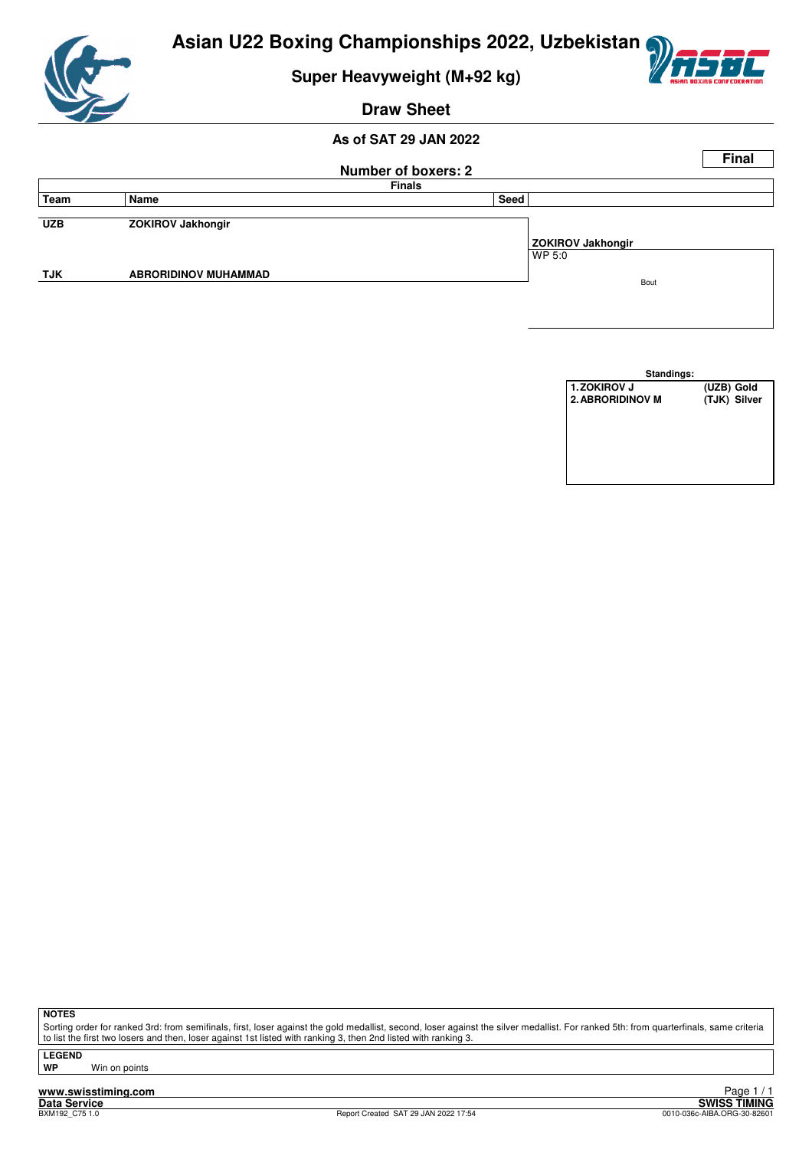

# **Super Heavyweight (M+92 kg)**



#### **Draw Sheet**

#### **As of SAT 29 JAN 2022**

|            |                             |                            |                          | <b>Final</b> |
|------------|-----------------------------|----------------------------|--------------------------|--------------|
|            |                             | <b>Number of boxers: 2</b> |                          |              |
|            |                             | <b>Finals</b>              |                          |              |
| Team       | Name                        | Seed                       |                          |              |
|            |                             |                            |                          |              |
| <b>UZB</b> | <b>ZOKIROV Jakhongir</b>    |                            |                          |              |
|            |                             |                            | <b>ZOKIROV Jakhongir</b> |              |
|            |                             |                            | WP 5:0                   |              |
| <b>TJK</b> | <b>ABRORIDINOV MUHAMMAD</b> |                            | Bout                     |              |
|            |                             |                            |                          |              |
|            |                             |                            |                          |              |
|            |                             |                            |                          |              |

| Standings:              |              |
|-------------------------|--------------|
| <b>1. ZOKIROV J</b>     | (UZB) Gold   |
| <b>2. ABRORIDINOV M</b> | (TJK) Silver |
|                         |              |
|                         |              |
|                         |              |
|                         |              |
|                         |              |
|                         |              |

**NOTES**

Sorting order for ranked 3rd: from semifinals, first, loser against the gold medallist, second, loser against the silver medallist. For ranked 5th: from quarterfinals, same criteria to list the first two losers and then, loser against 1st listed with ranking 3, then 2nd listed with ranking 3.

**LEGEND**

**Win on points**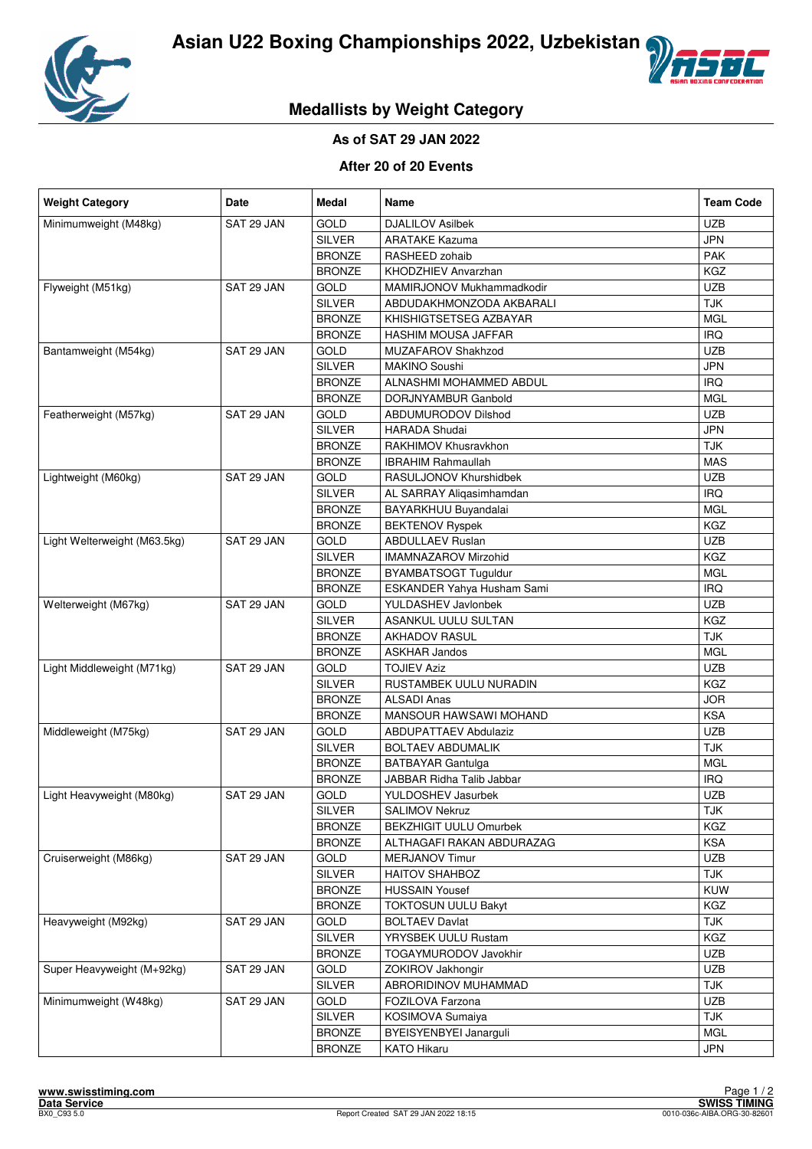



# **Medallists by Weight Category**

#### **As of SAT 29 JAN 2022**

#### **After 20 of 20 Events**

| <b>Weight Category</b>       | <b>Date</b> | Medal         | <b>Name</b>                   | <b>Team Code</b> |
|------------------------------|-------------|---------------|-------------------------------|------------------|
| Minimumweight (M48kg)        | SAT 29 JAN  | GOLD          | <b>DJALILOV Asilbek</b>       | <b>UZB</b>       |
|                              |             | <b>SILVER</b> | <b>ARATAKE Kazuma</b>         | <b>JPN</b>       |
|                              |             | <b>BRONZE</b> | RASHEED zohaib                | <b>PAK</b>       |
|                              |             | <b>BRONZE</b> | KHODZHIEV Anvarzhan           | KGZ              |
| Flyweight (M51kg)            | SAT 29 JAN  | GOLD          | MAMIRJONOV Mukhammadkodir     | <b>UZB</b>       |
|                              |             | <b>SILVER</b> | ABDUDAKHMONZODA AKBARALI      | <b>TJK</b>       |
|                              |             | <b>BRONZE</b> | KHISHIGTSETSEG AZBAYAR        | <b>MGL</b>       |
|                              |             | <b>BRONZE</b> | HASHIM MOUSA JAFFAR           | <b>IRQ</b>       |
| Bantamweight (M54kg)         | SAT 29 JAN  | GOLD          | MUZAFAROV Shakhzod            | <b>UZB</b>       |
|                              |             | <b>SILVER</b> | <b>MAKINO Soushi</b>          | <b>JPN</b>       |
|                              |             | <b>BRONZE</b> | ALNASHMI MOHAMMED ABDUL       | <b>IRQ</b>       |
|                              |             | <b>BRONZE</b> | DORJNYAMBUR Ganbold           | <b>MGL</b>       |
| Featherweight (M57kg)        | SAT 29 JAN  | GOLD          | ABDUMURODOV Dilshod           | <b>UZB</b>       |
|                              |             | <b>SILVER</b> | <b>HARADA Shudai</b>          | <b>JPN</b>       |
|                              |             | <b>BRONZE</b> | RAKHIMOV Khusravkhon          | <b>TJK</b>       |
|                              |             | <b>BRONZE</b> | <b>IBRAHIM Rahmaullah</b>     | <b>MAS</b>       |
| Lightweight (M60kg)          | SAT 29 JAN  | GOLD          | RASULJONOV Khurshidbek        | <b>UZB</b>       |
|                              |             | <b>SILVER</b> | AL SARRAY Aliqasimhamdan      | <b>IRQ</b>       |
|                              |             | <b>BRONZE</b> | BAYARKHUU Buyandalai          | <b>MGL</b>       |
|                              |             | <b>BRONZE</b> | <b>BEKTENOV Ryspek</b>        | KGZ              |
| Light Welterweight (M63.5kg) | SAT 29 JAN  | GOLD          | <b>ABDULLAEV Ruslan</b>       | <b>UZB</b>       |
|                              |             | <b>SILVER</b> | <b>IMAMNAZAROV Mirzohid</b>   | KGZ              |
|                              |             | <b>BRONZE</b> | <b>BYAMBATSOGT Tuguldur</b>   | <b>MGL</b>       |
|                              |             | <b>BRONZE</b> | ESKANDER Yahya Husham Sami    | <b>IRQ</b>       |
| Welterweight (M67kg)         | SAT 29 JAN  | GOLD          | YULDASHEV Javlonbek           | <b>UZB</b>       |
|                              |             | <b>SILVER</b> | ASANKUL UULU SULTAN           | KGZ              |
|                              |             | <b>BRONZE</b> | <b>AKHADOV RASUL</b>          | <b>TJK</b>       |
|                              |             | <b>BRONZE</b> | <b>ASKHAR Jandos</b>          | <b>MGL</b>       |
| Light Middleweight (M71kg)   | SAT 29 JAN  | GOLD          | <b>TOJIEV Aziz</b>            | <b>UZB</b>       |
|                              |             | <b>SILVER</b> | RUSTAMBEK UULU NURADIN        | KGZ              |
|                              |             | <b>BRONZE</b> | <b>ALSADI Anas</b>            | <b>JOR</b>       |
|                              |             | <b>BRONZE</b> | MANSOUR HAWSAWI MOHAND        | <b>KSA</b>       |
| Middleweight (M75kg)         | SAT 29 JAN  | GOLD          | <b>ABDUPATTAEV Abdulaziz</b>  | <b>UZB</b>       |
|                              |             | <b>SILVER</b> | <b>BOLTAEV ABDUMALIK</b>      | <b>TJK</b>       |
|                              |             | <b>BRONZE</b> | <b>BATBAYAR Gantulga</b>      | <b>MGL</b>       |
|                              |             | <b>BRONZE</b> | JABBAR Ridha Talib Jabbar     | <b>IRQ</b>       |
| Light Heavyweight (M80kg)    | SAT 29 JAN  | GOLD          | YULDOSHEV Jasurbek            | <b>UZB</b>       |
|                              |             | <b>SILVER</b> | <b>SALIMOV Nekruz</b>         | <b>TJK</b>       |
|                              |             | <b>BRONZE</b> | <b>BEKZHIGIT UULU Omurbek</b> | KGZ              |
|                              |             | <b>BRONZE</b> | ALTHAGAFI RAKAN ABDURAZAG     | <b>KSA</b>       |
| Cruiserweight (M86kg)        | SAT 29 JAN  | GOLD          | <b>MERJANOV Timur</b>         | <b>UZB</b>       |
|                              |             | <b>SILVER</b> | HAITOV SHAHBOZ                | <b>TJK</b>       |
|                              |             | <b>BRONZE</b> | <b>HUSSAIN Yousef</b>         | <b>KUW</b>       |
|                              |             | <b>BRONZE</b> | <b>TOKTOSUN UULU Bakyt</b>    | KGZ              |
| Heavyweight (M92kg)          | SAT 29 JAN  | <b>GOLD</b>   | <b>BOLTAEV Davlat</b>         | TJK              |
|                              |             | <b>SILVER</b> | YRYSBEK UULU Rustam           | KGZ              |
|                              |             | <b>BRONZE</b> | <b>TOGAYMURODOV Javokhir</b>  | UZB              |
| Super Heavyweight (M+92kg)   | SAT 29 JAN  | GOLD          | ZOKIROV Jakhongir             | <b>UZB</b>       |
|                              |             | <b>SILVER</b> | ABRORIDINOV MUHAMMAD          | <b>TJK</b>       |
| Minimumweight (W48kg)        | SAT 29 JAN  | GOLD          | FOZILOVA Farzona              | <b>UZB</b>       |
|                              |             | <b>SILVER</b> | KOSIMOVA Sumaiya              | <b>TJK</b>       |
|                              |             | <b>BRONZE</b> | BYEISYENBYEI Janarguli        | <b>MGL</b>       |
|                              |             | <b>BRONZE</b> | <b>KATO Hikaru</b>            | <b>JPN</b>       |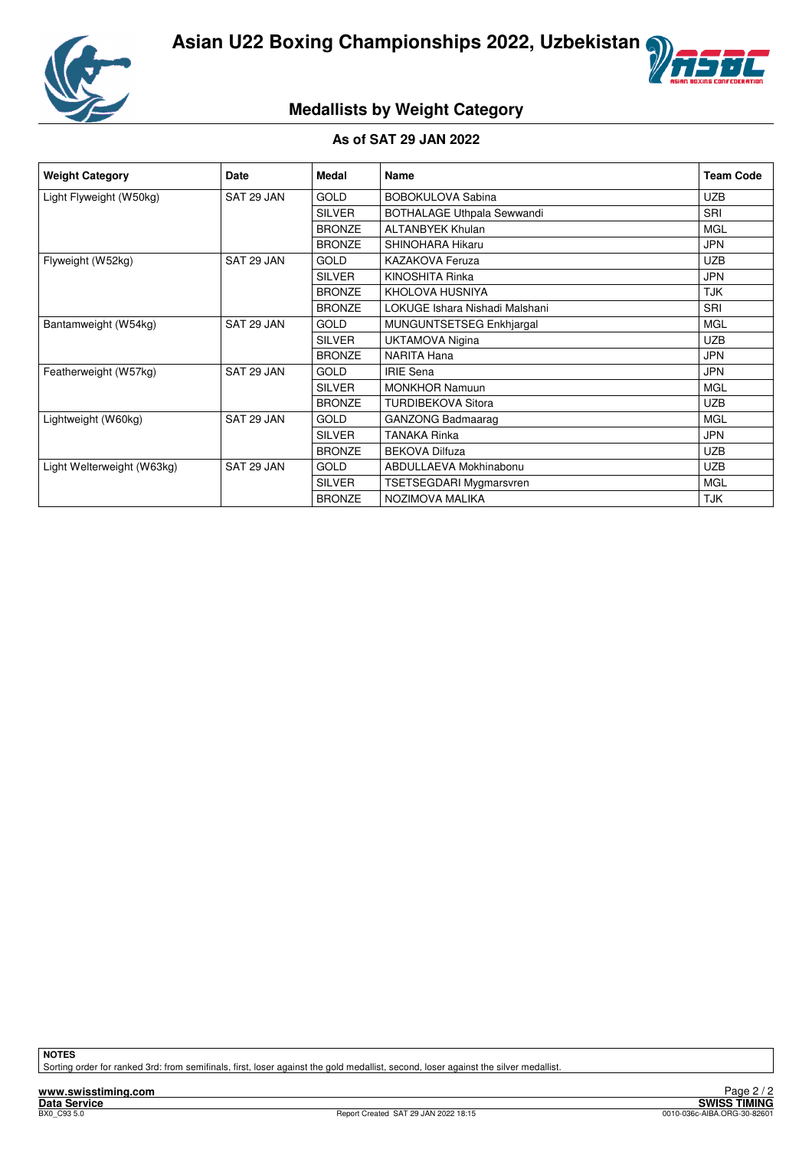



# **Medallists by Weight Category**

#### **As of SAT 29 JAN 2022**

| <b>Weight Category</b>     | Date       | Medal         | Name                           | <b>Team Code</b> |
|----------------------------|------------|---------------|--------------------------------|------------------|
| Light Flyweight (W50kg)    | SAT 29 JAN | <b>GOLD</b>   | <b>BOBOKULOVA Sabina</b>       | <b>UZB</b>       |
|                            |            | <b>SILVER</b> | BOTHALAGE Uthpala Sewwandi     | SRI              |
|                            |            | <b>BRONZE</b> | <b>ALTANBYEK Khulan</b>        | <b>MGL</b>       |
|                            |            | <b>BRONZE</b> | SHINOHARA Hikaru               | <b>JPN</b>       |
| Flyweight (W52kg)          | SAT 29 JAN | <b>GOLD</b>   | <b>KAZAKOVA Feruza</b>         | <b>UZB</b>       |
|                            |            | <b>SILVER</b> | KINOSHITA Rinka                | <b>JPN</b>       |
|                            |            | <b>BRONZE</b> | KHOLOVA HUSNIYA                | <b>TJK</b>       |
|                            |            | <b>BRONZE</b> | LOKUGE Ishara Nishadi Malshani | SRI              |
| Bantamweight (W54kg)       | SAT 29 JAN | <b>GOLD</b>   | MUNGUNTSETSEG Enkhjargal       | <b>MGL</b>       |
|                            |            | <b>SILVER</b> | <b>UKTAMOVA Nigina</b>         | <b>UZB</b>       |
|                            |            | <b>BRONZE</b> | <b>NARITA Hana</b>             | <b>JPN</b>       |
| Featherweight (W57kg)      | SAT 29 JAN | <b>GOLD</b>   | <b>IRIE Sena</b>               | <b>JPN</b>       |
|                            |            | <b>SILVER</b> | <b>MONKHOR Namuun</b>          | <b>MGL</b>       |
|                            |            | <b>BRONZE</b> | <b>TURDIBEKOVA Sitora</b>      | <b>UZB</b>       |
| Lightweight (W60kg)        | SAT 29 JAN | <b>GOLD</b>   | <b>GANZONG Badmaarag</b>       | <b>MGL</b>       |
|                            |            | <b>SILVER</b> | <b>TANAKA Rinka</b>            | <b>JPN</b>       |
|                            |            | <b>BRONZE</b> | <b>BEKOVA Dilfuza</b>          | <b>UZB</b>       |
| Light Welterweight (W63kg) | SAT 29 JAN | <b>GOLD</b>   | ABDULLAEVA Mokhinabonu         | <b>UZB</b>       |
|                            |            | <b>SILVER</b> | <b>TSETSEGDARI Mygmarsvren</b> | <b>MGL</b>       |
|                            |            | <b>BRONZE</b> | NOZIMOVA MALIKA                | <b>TJK</b>       |

**NOTES**

Sorting order for ranked 3rd: from semifinals, first, loser against the gold medallist, second, loser against the silver medallist.

**www.swisstiming.com**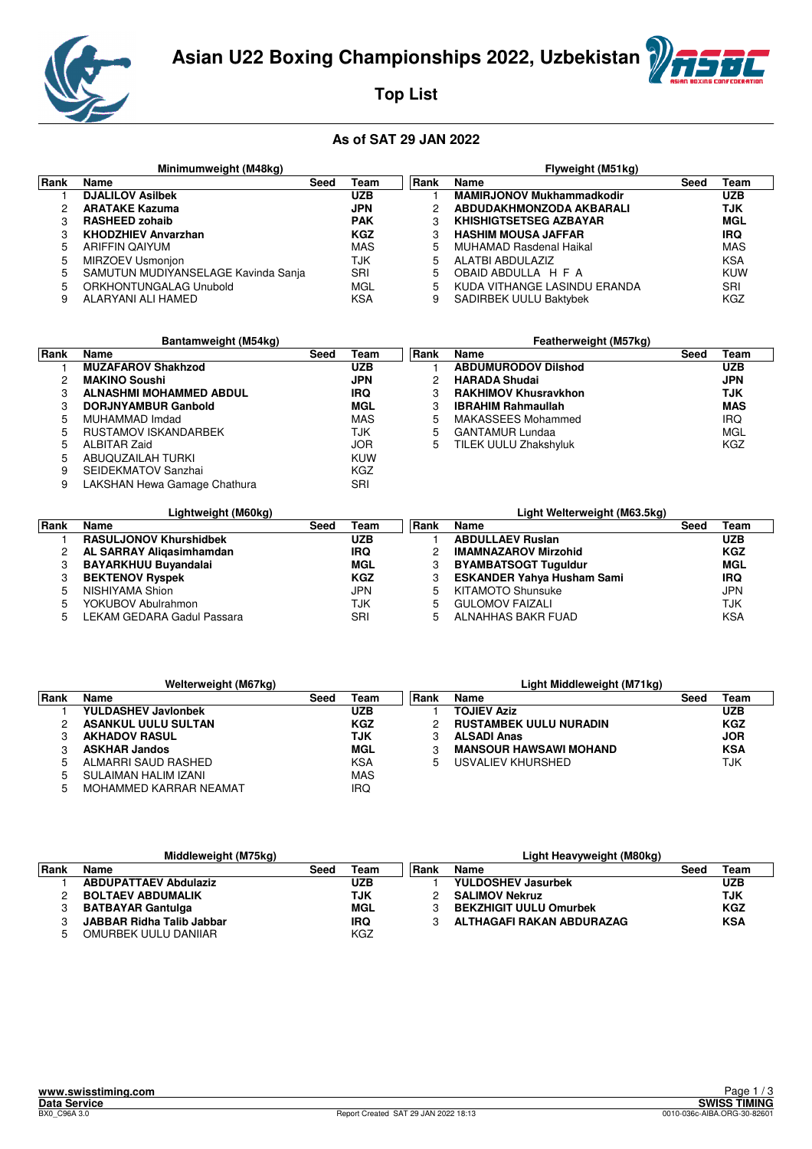

**Top List**

|      | Minimumweight (M48kg)               |      |            |      | Flyweight (M51kg)                |      |            |  |  |
|------|-------------------------------------|------|------------|------|----------------------------------|------|------------|--|--|
| Rank | Name                                | Seed | Team       | Rank | Name                             | Seed | Team       |  |  |
|      | <b>DJALILOV Asilbek</b>             |      | <b>UZB</b> |      | <b>MAMIRJONOV Mukhammadkodir</b> |      | <b>UZB</b> |  |  |
|      | <b>ARATAKE Kazuma</b>               |      | <b>JPN</b> |      | ABDUDAKHMONZODA AKBARALI         |      | TJK        |  |  |
|      | <b>RASHEED zohaib</b>               |      | <b>PAK</b> |      | <b>KHISHIGTSETSEG AZBAYAR</b>    |      | MGL        |  |  |
|      | <b>KHODZHIEV Anvarzhan</b>          |      | <b>KGZ</b> |      | <b>HASHIM MOUSA JAFFAR</b>       |      | <b>IRQ</b> |  |  |
|      | ARIFFIN QAIYUM                      |      | MAS        | 5    | <b>MUHAMAD Rasdenal Haikal</b>   |      | MAS        |  |  |
| 5    | MIRZOEV Usmonjon                    |      | TJK        | 5    | ALATBI ABDULAZIZ                 |      | <b>KSA</b> |  |  |
| 5    | SAMUTUN MUDIYANSELAGE Kavinda Sanja |      | SRI        | 5.   | OBAID ABDULLA H F A              |      | KUW        |  |  |
| 5    | ORKHONTUNGALAG Unubold              |      | MGL        | 5    | KUDA VITHANGE LASINDU ERANDA     |      | SRI        |  |  |
|      | ALARYANI ALI HAMED                  |      | KSA        | 9    | <b>SADIRBEK UULU Baktybek</b>    |      | KGZ        |  |  |

|      | Bantamweight (M54kg)         |      |            |      | Featherweight (M57kg)       |      |            |
|------|------------------------------|------|------------|------|-----------------------------|------|------------|
| Rank | Name                         | Seed | Team       | Rank | Name                        | Seed | Team       |
|      | <b>MUZAFAROV Shakhzod</b>    |      | <b>UZB</b> |      | <b>ABDUMURODOV Dilshod</b>  |      | <b>UZB</b> |
| 2    | <b>MAKINO Soushi</b>         |      | <b>JPN</b> | 2    | <b>HARADA Shudai</b>        |      | <b>JPN</b> |
| 3    | ALNASHMI MOHAMMED ABDUL      |      | <b>IRQ</b> |      | <b>RAKHIMOV Khusravkhon</b> |      | TJK        |
| З    | <b>DORJNYAMBUR Ganbold</b>   |      | MGL        |      | <b>IBRAHIM Rahmaullah</b>   |      | <b>MAS</b> |
| 5    | MUHAMMAD Imdad               |      | MAS        | 5    | MAKASSEES Mohammed          |      | <b>IRQ</b> |
| 5    | RUSTAMOV ISKANDARBEK         |      | TJK        | 5    | <b>GANTAMUR Lundaa</b>      |      | MGL        |
| 5    | ALBITAR Zaid                 |      | <b>JOR</b> | 5    | TILEK UULU Zhakshyluk       |      | KGZ        |
| 5    | ABUQUZAILAH TURKI            |      | <b>KUW</b> |      |                             |      |            |
| 9    | SEIDEKMATOV Sanzhai          |      | KGZ        |      |                             |      |            |
| 9    | LAKSHAN Hewa Gamage Chathura |      | SRI        |      |                             |      |            |

|      | Lightweight (M60kg)           |      |            |      | Light Welterweight (M63.5kg)      |      |            |
|------|-------------------------------|------|------------|------|-----------------------------------|------|------------|
| Rank | <b>Name</b>                   | Seed | Team       | Rank | Name                              | Seed | Team       |
|      | <b>RASULJONOV Khurshidbek</b> |      | <b>UZB</b> |      | <b>ABDULLAEV Ruslan</b>           |      | <b>UZB</b> |
|      | AL SARRAY Aligasimhamdan      |      | <b>IRQ</b> |      | <b>IMAMNAZAROV Mirzohid</b>       |      | <b>KGZ</b> |
|      | <b>BAYARKHUU Buyandalai</b>   |      | MGL        | 3    | <b>BYAMBATSOGT Tuguldur</b>       |      | MGL        |
|      | <b>BEKTENOV Ryspek</b>        |      | <b>KGZ</b> |      | <b>ESKANDER Yahya Husham Sami</b> |      | <b>IRQ</b> |
| 5    | NISHIYAMA Shion               |      | <b>JPN</b> | 5.   | <b>KITAMOTO Shunsuke</b>          |      | <b>JPN</b> |
| 5    | YOKUBOV Abulrahmon            |      | TJK        | 5    | <b>GULOMOV FAIZALI</b>            |      | <b>TJK</b> |
|      | LEKAM GEDARA Gadul Passara    |      | SRI        | 5.   | ALNAHHAS BAKR FUAD                |      | <b>KSA</b> |

|       | Welterweight (M67kg)       |      |            |             | Light Middleweight (M71kg)    |      |            |
|-------|----------------------------|------|------------|-------------|-------------------------------|------|------------|
| ∣Rank | <b>Name</b>                | Seed | Team       | <b>Rank</b> | Name                          | Seed | Team       |
|       | <b>YULDASHEV Javlonbek</b> |      | UZB        |             | <b>TOJIEV Aziz</b>            |      | <b>UZB</b> |
|       | <b>ASANKUL UULU SULTAN</b> |      | <b>KGZ</b> |             | <b>RUSTAMBEK UULU NURADIN</b> |      | <b>KGZ</b> |
|       | <b>AKHADOV RASUL</b>       |      | TJK        |             | <b>ALSADI Anas</b>            |      | <b>JOR</b> |
|       | <b>ASKHAR Jandos</b>       |      | MGL        |             | <b>MANSOUR HAWSAWI MOHAND</b> |      | <b>KSA</b> |
|       | ALMARRI SAUD RASHED        |      | KSA        | 5           | USVALIEV KHURSHED             |      | TJK        |
|       | SULAIMAN HALIM IZANI       |      | <b>MAS</b> |             |                               |      |            |
|       | MOHAMMED KARRAR NEAMAT     |      | IRQ        |             |                               |      |            |

|       | Middleweight (M75kg)             |      |            |       | Light Heavyweight (M80kg)     |      |            |
|-------|----------------------------------|------|------------|-------|-------------------------------|------|------------|
| ∣Rank | Name                             | Seed | Team       | ∣Rank | Name                          | Seed | Team       |
|       | <b>ABDUPATTAEV Abdulaziz</b>     |      | <b>UZB</b> |       | <b>YULDOSHEV Jasurbek</b>     |      | <b>UZB</b> |
|       | <b>BOLTAEV ABDUMALIK</b>         |      | TJK        |       | <b>SALIMOV Nekruz</b>         |      | <b>TJK</b> |
|       | <b>BATBAYAR Gantulga</b>         |      | MGL        |       | <b>BEKZHIGIT UULU Omurbek</b> |      | <b>KGZ</b> |
|       | <b>JABBAR Ridha Talib Jabbar</b> |      | <b>IRQ</b> |       | ALTHAGAFI RAKAN ABDURAZAG     |      | <b>KSA</b> |
|       | OMURBEK UULU DANIIAR             |      | KGZ        |       |                               |      |            |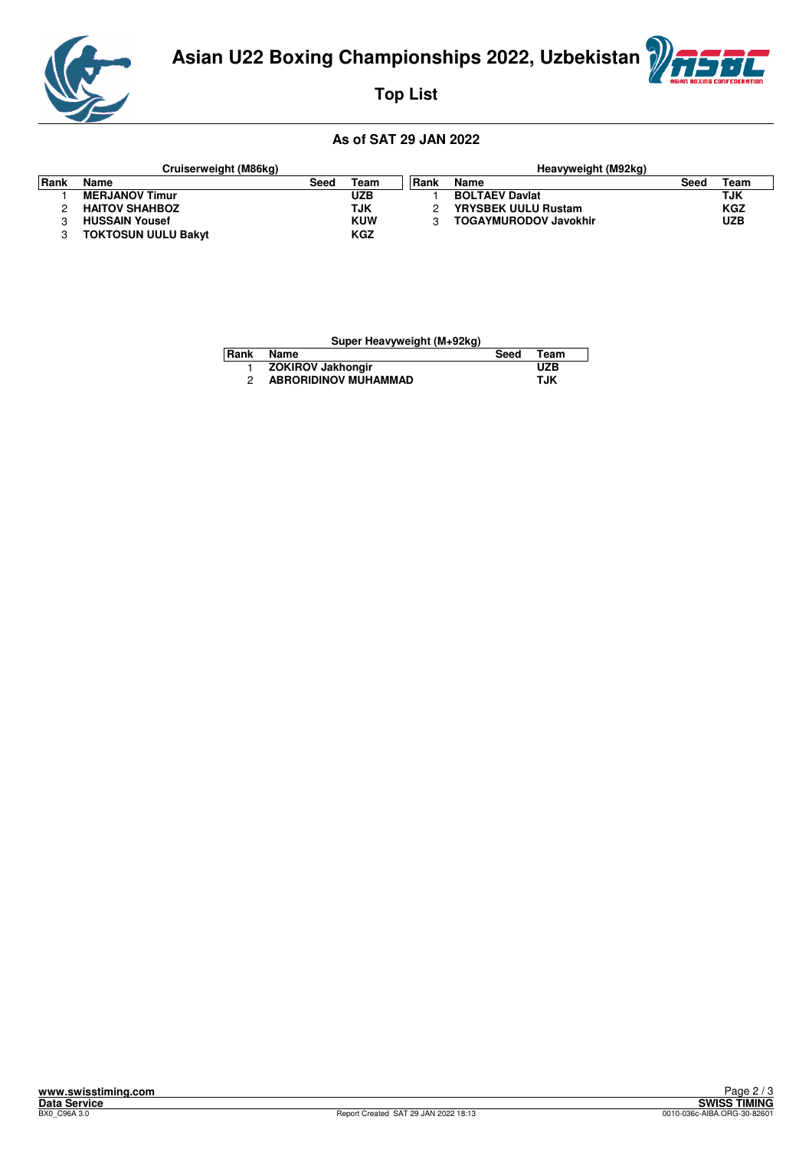

**Top List**

#### **As of SAT 29 JAN 2022**

|      | Cruiserweight (M86kg)      |      |            |       | Heavyweight (M92kg)          |      |            |
|------|----------------------------|------|------------|-------|------------------------------|------|------------|
| Rank | Name                       | Seed | Team       | ∣Rank | Name                         | Seed | Team       |
|      | <b>MERJANOV Timur</b>      |      | UZB        |       | <b>BOLTAEV Daviat</b>        |      | TJK        |
|      | <b>HAITOV SHAHBOZ</b>      |      | TJK        |       | <b>YRYSBEK UULU Rustam</b>   |      | <b>KGZ</b> |
|      | <b>HUSSAIN Yousef</b>      |      | <b>KUW</b> |       | <b>TOGAYMURODOV Javokhir</b> |      | <b>UZB</b> |
|      | <b>TOKTOSUN UULU Bakyt</b> |      | <b>KGZ</b> |       |                              |      |            |

| Super Heavyweight (M+92kg) |                             |      |             |  |  |  |  |  |  |
|----------------------------|-----------------------------|------|-------------|--|--|--|--|--|--|
| Rank                       | Name                        | Seed | <b>Team</b> |  |  |  |  |  |  |
|                            | <b>ZOKIROV Jakhongir</b>    |      | <b>UZB</b>  |  |  |  |  |  |  |
|                            | <b>ABRORIDINOV MUHAMMAD</b> |      | TJK         |  |  |  |  |  |  |

仁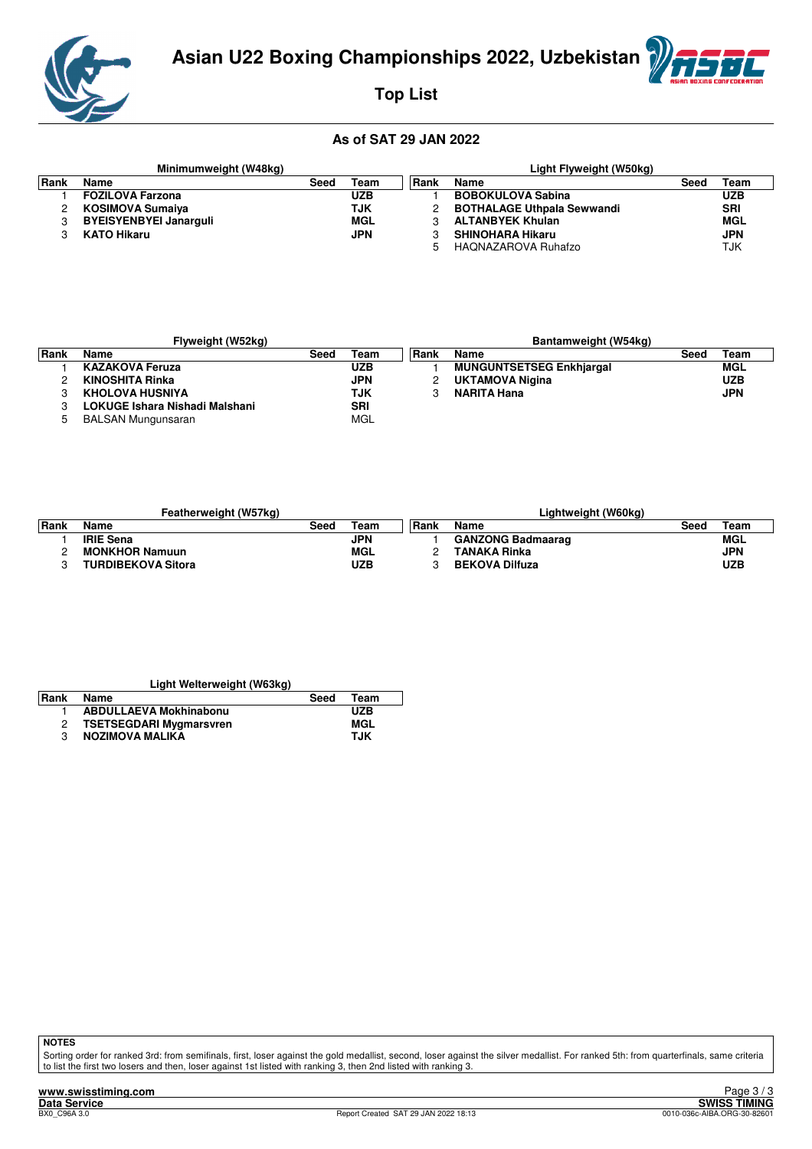

# **Top List**

#### **As of SAT 29 JAN 2022**

|      | Minimumweight (W48kg)         |      |            |      | Light Flyweight (W50kg)           |      |            |
|------|-------------------------------|------|------------|------|-----------------------------------|------|------------|
| Rank | Name                          | Seed | Team       | Rank | Name                              | Seed | Team       |
|      | <b>FOZILOVA Farzona</b>       |      | <b>UZB</b> |      | <b>BOBOKULOVA Sabina</b>          |      | <b>UZB</b> |
|      | KOSIMOVA Sumaiya              |      | TJK        |      | <b>BOTHALAGE Uthpala Sewwandi</b> |      | <b>SRI</b> |
|      | <b>BYEISYENBYEI Janarquli</b> |      | MGL        |      | <b>ALTANBYEK Khulan</b>           |      | MGL        |
|      | <b>KATO Hikaru</b>            |      | <b>JPN</b> |      | <b>SHINOHARA Hikaru</b>           |      | <b>JPN</b> |
|      |                               |      |            | 5    | HAQNAZAROVA Ruhafzo               |      | TJK        |

|       | Flyweight (W52kg)              |      |            |       | Bantamweight (W54kg)            |      |            |
|-------|--------------------------------|------|------------|-------|---------------------------------|------|------------|
| ∣Rank | Name                           | Seed | Геаm       | ∣Rank | Name                            | Seec | Team       |
|       | <b>KAZAKOVA Feruza</b>         |      | <b>UZB</b> |       | <b>MUNGUNTSETSEG Enkhiargal</b> |      | MGL        |
|       | <b>KINOSHITA Rinka</b>         |      | <b>JPN</b> |       | <b>UKTAMOVA Nigina</b>          |      | <b>UZB</b> |
|       | <b>KHOLOVA HUSNIYA</b>         |      | TJK        |       | <b>NARITA Hana</b>              |      | <b>JPN</b> |
|       | LOKUGE Ishara Nishadi Malshani |      | <b>SRI</b> |       |                                 |      |            |
|       | <b>BALSAN Mungunsaran</b>      |      | <b>MGL</b> |       |                                 |      |            |

|        | Featherweight (W57kg)     |      |            |       | Lightweight (W60kg)      |      |            |
|--------|---------------------------|------|------------|-------|--------------------------|------|------------|
| l Rank | Name                      | Seed | Team       | ∣Rank | Name                     | Seed | Team       |
|        | <b>IRIE Sena</b>          |      | <b>JPN</b> |       | <b>GANZONG Badmaarag</b> |      | MGL        |
|        | <b>MONKHOR Namuun</b>     |      | MGL        |       | <b>TANAKA Rinka</b>      |      | <b>JPN</b> |
|        | <b>TURDIBEKOVA Sitora</b> |      | <b>UZB</b> |       | <b>BEKOVA Dilfuza</b>    |      | UZB        |

| Light Welterweight (W63kg) |                                |      |            |  |  |  |  |  |  |  |  |  |
|----------------------------|--------------------------------|------|------------|--|--|--|--|--|--|--|--|--|
| Rank                       | Name                           | Seed | Team       |  |  |  |  |  |  |  |  |  |
|                            | <b>ABDULLAEVA Mokhinabonu</b>  |      | UZB        |  |  |  |  |  |  |  |  |  |
|                            | <b>TSETSEGDARI Mygmarsvren</b> |      | MGL        |  |  |  |  |  |  |  |  |  |
|                            | NOZIMOVA MALIKA                |      | <b>TJK</b> |  |  |  |  |  |  |  |  |  |

**NOTES**

Sorting order for ranked 3rd: from semifinals, first, loser against the gold medallist, second, loser against the silver medallist. For ranked 5th: from quarterfinals, same criteria<br>to list the first two losers and then, l

8C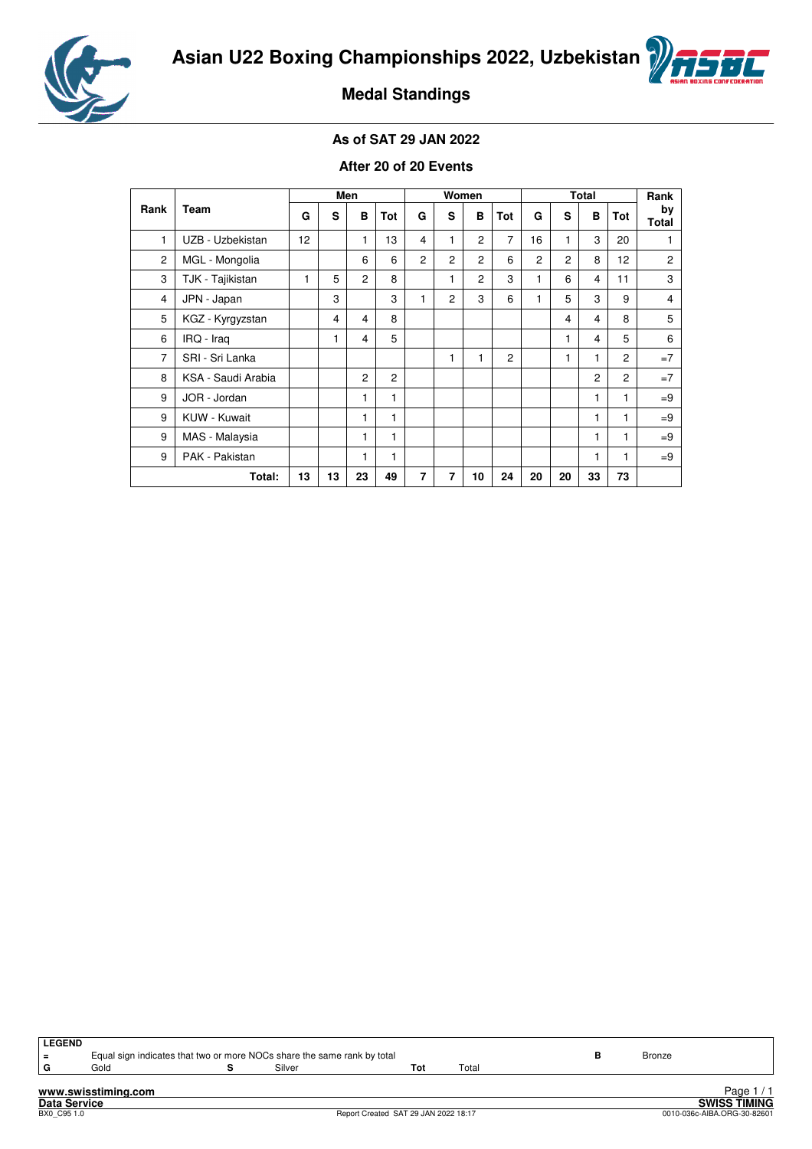



**Medal Standings**

#### **As of SAT 29 JAN 2022**

#### **After 20 of 20 Events**

|                |                    |    |    | Men            |                |                |                | Women          |     | <b>Total</b>   |                |                |                 | Rank               |
|----------------|--------------------|----|----|----------------|----------------|----------------|----------------|----------------|-----|----------------|----------------|----------------|-----------------|--------------------|
| Rank           | Team               | G  | s  | в              | <b>Tot</b>     | G              | s              | в              | Tot | G              | s              | в              | Tot             | by<br><b>Total</b> |
| 1              | UZB - Uzbekistan   | 12 |    | 1              | 13             | 4              | 1              | $\overline{2}$ | 7   | 16             | 1              | 3              | 20              | 1                  |
| $\overline{c}$ | MGL - Mongolia     |    |    | 6              | 6              | $\overline{2}$ | 2              | $\overline{c}$ | 6   | $\overline{c}$ | $\overline{2}$ | 8              | 12 <sup>2</sup> | $\overline{c}$     |
| 3              | TJK - Tajikistan   | 1  | 5  | $\overline{2}$ | 8              |                | 1              | $\overline{c}$ | 3   | 1              | 6              | 4              | 11              | 3                  |
| $\overline{4}$ | JPN - Japan        |    | 3  |                | 3              | 1              | $\overline{c}$ | 3              | 6   | 1              | 5              | 3              | 9               | 4                  |
| 5              | KGZ - Kyrgyzstan   |    | 4  | 4              | 8              |                |                |                |     |                | 4              | 4              | 8               | 5                  |
| 6              | IRQ - Iraq         |    | 1  | 4              | 5              |                |                |                |     |                | 1              | 4              | 5               | 6                  |
| 7              | SRI - Sri Lanka    |    |    |                |                |                |                |                | 2   |                | 1              | 1              | $\overline{c}$  | $=7$               |
| 8              | KSA - Saudi Arabia |    |    | $\overline{c}$ | $\overline{c}$ |                |                |                |     |                |                | $\overline{c}$ | $\overline{2}$  | $=7$               |
| 9              | JOR - Jordan       |    |    | 1              | 1              |                |                |                |     |                |                | 1              | 1               | $=9$               |
| 9              | KUW - Kuwait       |    |    | 1              | 1              |                |                |                |     |                |                | 1              | 1               | $=9$               |
| 9              | MAS - Malaysia     |    |    | 1              | 1              |                |                |                |     |                |                | 1              | 1               | $=9$               |
| 9              | PAK - Pakistan     |    |    | 1              | 1              |                |                |                |     |                |                | 1              | 1               | $=9$               |
|                | 13                 | 13 | 23 | 49             | 7              | 7              | 10             | 24             | 20  | 20             | 33             | 73             |                 |                    |

| <b>LEGEND</b><br>l = |                     | Equal sign indicates that two or more NOCs share the same rank by total |     |       | <b>Bronze</b> |                     |
|----------------------|---------------------|-------------------------------------------------------------------------|-----|-------|---------------|---------------------|
| G                    | Gold                | Silver                                                                  | Tot | Total |               |                     |
|                      | www.swisstiming.com |                                                                         |     |       |               | Page 1/1            |
| <b>Data Service</b>  |                     |                                                                         |     |       |               | <b>SWISS TIMING</b> |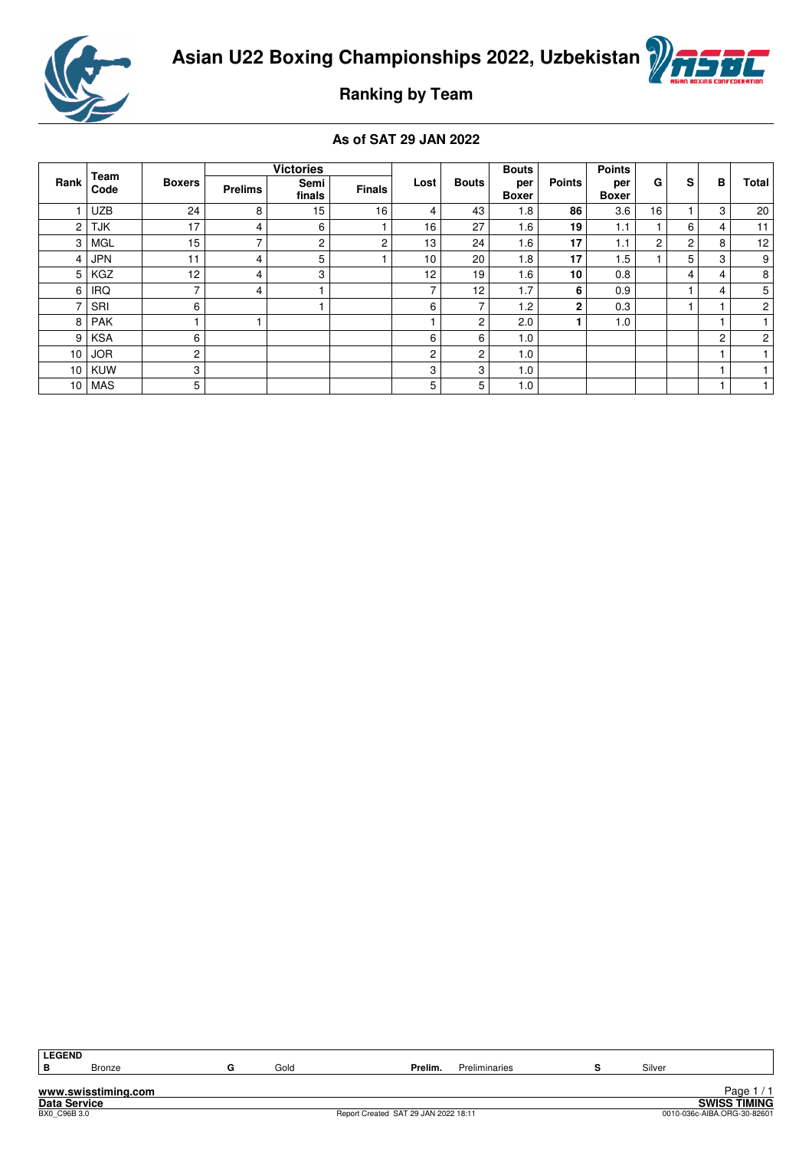



# **Ranking by Team**

#### **As of SAT 29 JAN 2022**

|      |              |                          |                | <b>Victories</b> |               |      |              | <b>Bouts</b>        |               | <b>Points</b>       |    |                |   |                |
|------|--------------|--------------------------|----------------|------------------|---------------|------|--------------|---------------------|---------------|---------------------|----|----------------|---|----------------|
| Rank | Team<br>Code | <b>Boxers</b>            | <b>Prelims</b> | Semi<br>finals   | <b>Finals</b> | Lost | <b>Bouts</b> | per<br><b>Boxer</b> | <b>Points</b> | per<br><b>Boxer</b> | G  | s              | в | Total          |
|      | <b>UZB</b>   | 24                       | 8              | 15               | 16            | 4    | 43           | 1.8                 | 86            | 3.6                 | 16 |                | 3 | 20             |
| 2    | <b>TJK</b>   | 17                       | 4              | 6                |               | 16   | 27           | 1.6                 | 19            | 1.1                 |    | 6              | 4 | 11             |
| 3    | <b>MGL</b>   | 15                       | $\overline{ }$ | $\overline{c}$   | 2             | 13   | 24           | 1.6                 | 17            | 1.1                 | 2  | $\overline{c}$ | 8 | 12             |
| 4    | <b>JPN</b>   | 11                       | 4              | 5                |               | 10   | 20           | 1.8                 | 17            | 1.5                 |    | 5              | 3 | 9              |
| 5    | KGZ          | 12                       | 4              | 3                |               | 12   | 19           | 1.6                 | 10            | 0.8                 |    | 4              | 4 | 8              |
| 6    | <b>IRQ</b>   | $\overline{\phantom{0}}$ | 4              |                  |               | ⇁    | 12           | 1.7                 | 6             | 0.9                 |    |                | 4 | 5              |
|      | SRI          | 6                        |                |                  |               | 6    | ⇁            | 1.2                 | $\mathbf{2}$  | 0.3                 |    |                |   | $\overline{c}$ |
| 8    | <b>PAK</b>   |                          |                |                  |               |      | 2            | 2.0                 |               | 1.0                 |    |                |   |                |
| 9    | <b>KSA</b>   | 6                        |                |                  |               | 6    | 6            | 1.0                 |               |                     |    |                | 2 | $\overline{2}$ |
| 10   | <b>JOR</b>   | 2                        |                |                  |               | 2    | 2            | 1.0                 |               |                     |    |                |   |                |
| 10   | <b>KUW</b>   | 3                        |                |                  |               | 3    | 3            | 1.0                 |               |                     |    |                |   |                |
| 10   | MAS          | 5                        |                |                  |               | 5    | 5            | 1.0                 |               |                     |    |                |   |                |

| .EGEND |  |
|--------|--|
|        |  |

**www.swisstiming.com**

Page 1/1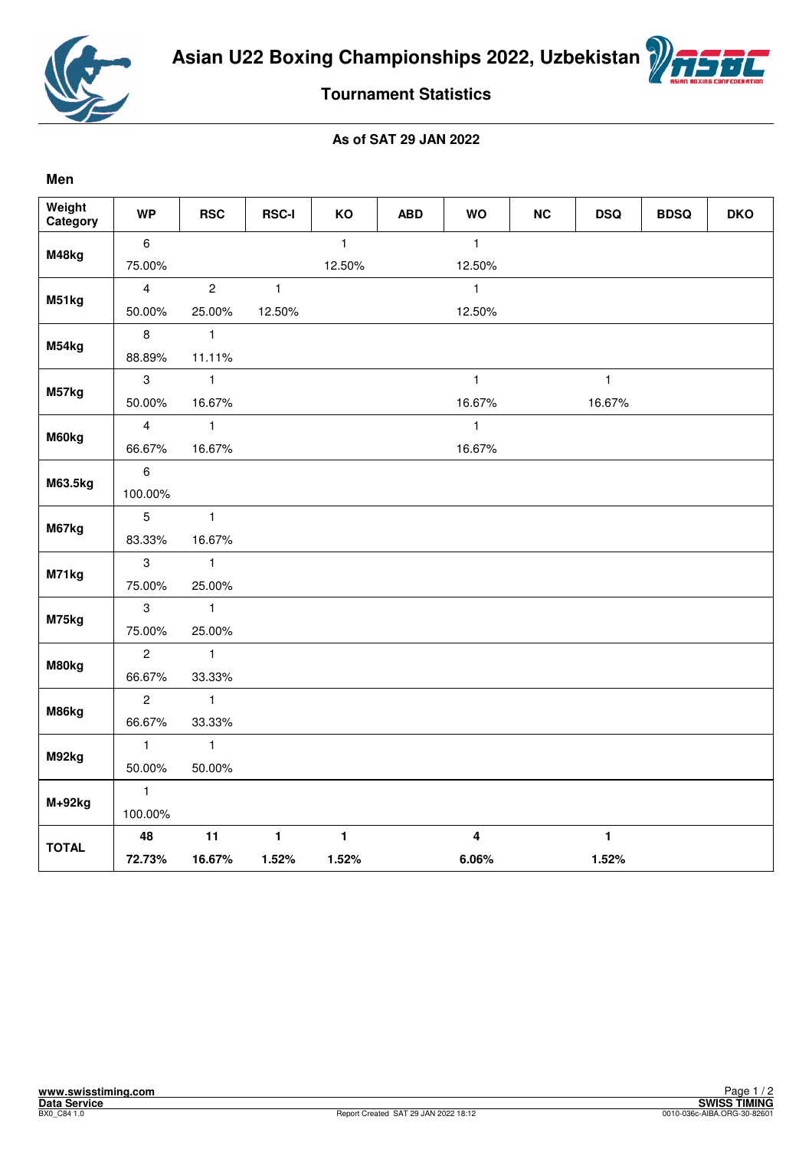

**Men**



## **Tournament Statistics**

| Weight<br>Category | <b>WP</b>        | <b>RSC</b>     | <b>RSC-I</b> | KO           | <b>ABD</b> | <b>WO</b>               | <b>NC</b> | <b>DSQ</b>   | <b>BDSQ</b> | <b>DKO</b> |
|--------------------|------------------|----------------|--------------|--------------|------------|-------------------------|-----------|--------------|-------------|------------|
| M48kg              | $\boldsymbol{6}$ |                |              | $\mathbf{1}$ |            | $\mathbf{1}$            |           |              |             |            |
|                    | 75.00%           |                |              | 12.50%       |            | 12.50%                  |           |              |             |            |
|                    | $\overline{4}$   | $\overline{c}$ | $\mathbf{1}$ |              |            | $\mathbf{1}$            |           |              |             |            |
| M51kg              | 50.00%           | 25.00%         | 12.50%       |              |            | 12.50%                  |           |              |             |            |
|                    | 8                | $\mathbf{1}$   |              |              |            |                         |           |              |             |            |
| M54kg              | 88.89%           | 11.11%         |              |              |            |                         |           |              |             |            |
| M57kg              | $\mathbf{3}$     | $\mathbf{1}$   |              |              |            | $\mathbf{1}$            |           | 1            |             |            |
|                    | 50.00%           | 16.67%         |              |              |            | 16.67%                  |           | 16.67%       |             |            |
| M60kg              | $\overline{4}$   | $\mathbf{1}$   |              |              |            | $\mathbf{1}$            |           |              |             |            |
|                    | 66.67%           | 16.67%         |              |              |            | 16.67%                  |           |              |             |            |
| M63.5kg            | $\,6\,$          |                |              |              |            |                         |           |              |             |            |
|                    | 100.00%          |                |              |              |            |                         |           |              |             |            |
| M67kg              | $\overline{5}$   | $\mathbf{1}$   |              |              |            |                         |           |              |             |            |
|                    | 83.33%           | 16.67%         |              |              |            |                         |           |              |             |            |
| M71kg              | $\,3$            | $\mathbf{1}$   |              |              |            |                         |           |              |             |            |
|                    | 75.00%           | 25.00%         |              |              |            |                         |           |              |             |            |
| M75kg              | $\,3$            | $\mathbf{1}$   |              |              |            |                         |           |              |             |            |
|                    | 75.00%           | 25.00%         |              |              |            |                         |           |              |             |            |
| M80kg              | $\overline{c}$   | $\mathbf{1}$   |              |              |            |                         |           |              |             |            |
|                    | 66.67%           | 33.33%         |              |              |            |                         |           |              |             |            |
| M86kg              | $\overline{c}$   | $\mathbf{1}$   |              |              |            |                         |           |              |             |            |
|                    | 66.67%           | 33.33%         |              |              |            |                         |           |              |             |            |
| M92kg              | $\mathbf{1}$     | $\mathbf{1}$   |              |              |            |                         |           |              |             |            |
|                    | 50.00%           | 50.00%         |              |              |            |                         |           |              |             |            |
| $M+92kg$           | $\mathbf{1}$     |                |              |              |            |                         |           |              |             |            |
|                    | 100.00%          |                |              |              |            |                         |           |              |             |            |
| <b>TOTAL</b>       | 48               | 11             | $\mathbf{1}$ | $\mathbf{1}$ |            | $\overline{\mathbf{4}}$ |           | $\mathbf{1}$ |             |            |
|                    | 72.73%           | 16.67%         | 1.52%        | 1.52%        |            | 6.06%                   |           | 1.52%        |             |            |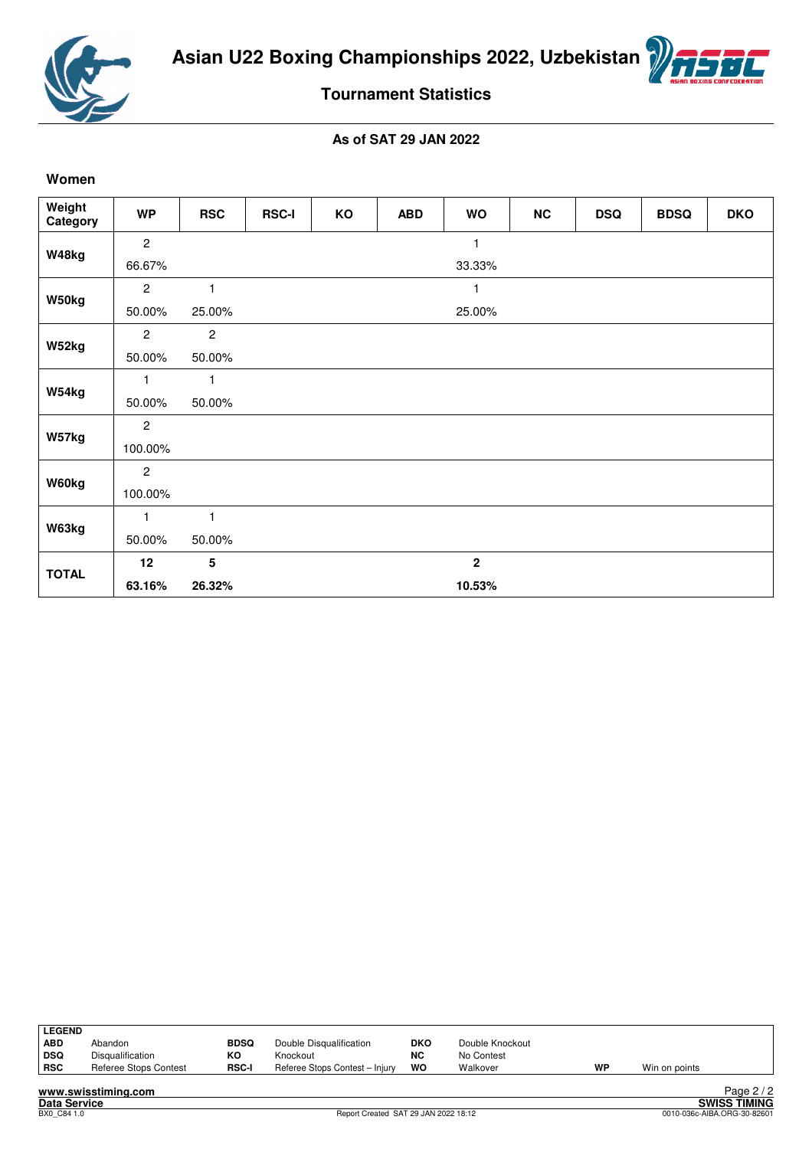



### **Tournament Statistics**

#### **As of SAT 29 JAN 2022**

#### **Women**

| Weight<br>Category | <b>WP</b>      | <b>RSC</b>     | <b>RSC-I</b> | KO | <b>ABD</b> | <b>WO</b>      | <b>NC</b> | <b>DSQ</b> | <b>BDSQ</b> | <b>DKO</b> |
|--------------------|----------------|----------------|--------------|----|------------|----------------|-----------|------------|-------------|------------|
|                    | $\overline{c}$ |                |              |    |            | 1              |           |            |             |            |
| W48kg              | 66.67%         |                |              |    |            | 33.33%         |           |            |             |            |
|                    | $\overline{c}$ | 1              |              |    |            |                |           |            |             |            |
| W50kg              | 50.00%         | 25.00%         |              |    |            | 25.00%         |           |            |             |            |
|                    | $\overline{2}$ | $\overline{c}$ |              |    |            |                |           |            |             |            |
| W52kg              | 50.00%         | 50.00%         |              |    |            |                |           |            |             |            |
| W54kg              | 1              | 1              |              |    |            |                |           |            |             |            |
|                    | 50.00%         | 50.00%         |              |    |            |                |           |            |             |            |
| W57kg              | $\overline{c}$ |                |              |    |            |                |           |            |             |            |
|                    | 100.00%        |                |              |    |            |                |           |            |             |            |
| W60kg              | $\mathbf{2}$   |                |              |    |            |                |           |            |             |            |
|                    | 100.00%        |                |              |    |            |                |           |            |             |            |
| W63kg              | 1              | $\mathbf{1}$   |              |    |            |                |           |            |             |            |
|                    | 50.00%         | 50.00%         |              |    |            |                |           |            |             |            |
| <b>TOTAL</b>       | 12             | 5              |              |    |            | $\overline{2}$ |           |            |             |            |
|                    | 63.16%         | 26.32%         |              |    |            | 10.53%         |           |            |             |            |

| <b>LEGEND</b> |                       |              |                                |            |                 |    |               |
|---------------|-----------------------|--------------|--------------------------------|------------|-----------------|----|---------------|
| <b>ABD</b>    | Abandon               | <b>BDSQ</b>  | Double Disqualification        | <b>DKO</b> | Double Knockout |    |               |
| <b>DSQ</b>    | Disqualification      | ĸо           | Knockout                       | <b>NC</b>  | No Contest      |    |               |
| <b>RSC</b>    | Referee Stops Contest | <b>RSC-I</b> | Referee Stops Contest - Injury | wo         | Walkover        | WP | Win on points |
|               |                       |              |                                |            |                 |    |               |